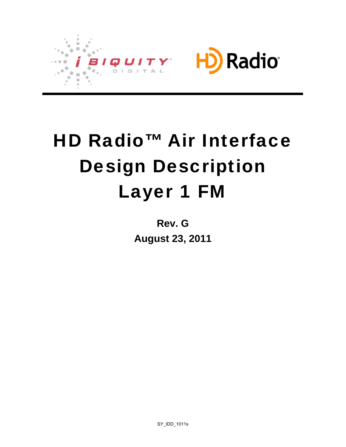

# HD Radio™ Air Interface Design Description Layer 1 FM

**Rev. G August 23, 2011** 

SY\_IDD\_1011s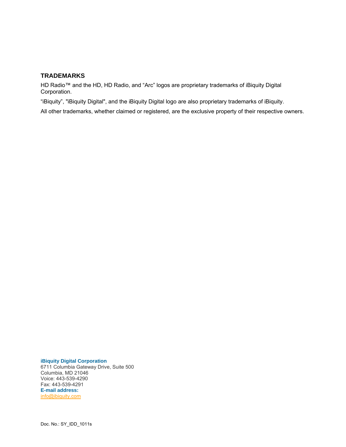#### **TRADEMARKS**

HD Radio™ and the HD, HD Radio, and "Arc" logos are proprietary trademarks of iBiquity Digital Corporation.

"iBiquity", "iBiquity Digital", and the iBiquity Digital logo are also proprietary trademarks of iBiquity.

All other trademarks, whether claimed or registered, are the exclusive property of their respective owners.

#### **iBiquity Digital Corporation**

6711 Columbia Gateway Drive, Suite 500 Columbia, MD 21046 Voice: 443-539-4290 Fax: 443-539-4291 **E-mail address:** [info@ibiquity.com](mailto:info@ibiquity.com)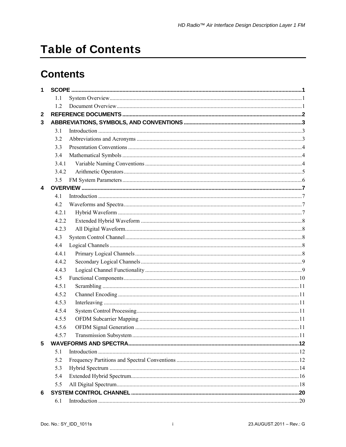# **Table of Contents**

# **Contents**

| 1            |       |  |
|--------------|-------|--|
|              | 1.1   |  |
|              | 1.2   |  |
| $\mathbf{2}$ |       |  |
| 3            |       |  |
|              | 3.1   |  |
|              | 3.2   |  |
|              | 3.3   |  |
|              | 3.4   |  |
|              | 3.4.1 |  |
|              | 3.4.2 |  |
|              | 3.5   |  |
| 4            |       |  |
|              | 4.1   |  |
|              | 4.2   |  |
|              | 4.2.1 |  |
|              | 4.2.2 |  |
|              | 4.2.3 |  |
|              | 4.3   |  |
|              | 4.4   |  |
|              | 4.4.1 |  |
|              | 4.4.2 |  |
|              | 4.4.3 |  |
|              | 4.5   |  |
|              | 4.5.1 |  |
|              | 4.5.2 |  |
|              | 4.5.3 |  |
|              | 4.5.4 |  |
|              | 4.5.5 |  |
|              | 4.5.6 |  |
|              | 4.5.7 |  |
| 5            |       |  |
|              | 5.1   |  |
|              | 5.2   |  |
|              | 5.3   |  |
|              | 5.4   |  |
|              | 5.5   |  |
| 6            |       |  |
|              | 6.1   |  |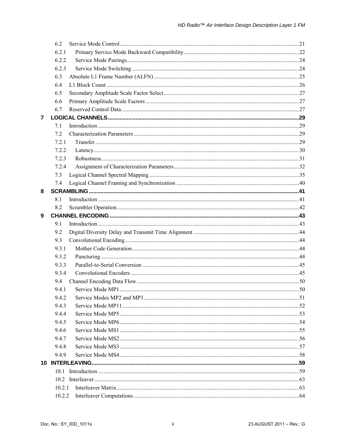|   | 6.2    |  |
|---|--------|--|
|   | 6.2.1  |  |
|   | 6.2.2  |  |
|   | 6.2.3  |  |
|   | 6.3    |  |
|   | 6.4    |  |
|   | 6.5    |  |
|   | 6.6    |  |
|   | 6.7    |  |
| 7 |        |  |
|   | 7.1    |  |
|   | 7.2    |  |
|   | 7.2.1  |  |
|   | 7.2.2  |  |
|   | 7.2.3  |  |
|   | 7.2.4  |  |
|   | 7.3    |  |
|   | 7.4    |  |
| 8 |        |  |
|   | 8.1    |  |
|   | 8.2    |  |
| 9 |        |  |
|   | 9.1    |  |
|   | 9.2    |  |
|   | 9.3    |  |
|   | 9.3.1  |  |
|   | 9.3.2  |  |
|   | 9.3.3  |  |
|   | 9.3.4  |  |
|   | 9.4    |  |
|   | 9.4.1  |  |
|   | 9.4.2  |  |
|   | 9.4.3  |  |
|   | 9.4.4  |  |
|   | 9.4.5  |  |
|   | 9.4.6  |  |
|   | 9.4.7  |  |
|   | 9.4.8  |  |
|   | 9.4.9  |  |
|   |        |  |
|   | 10-1   |  |
|   |        |  |
|   | 10.2.1 |  |
|   | 10.2.2 |  |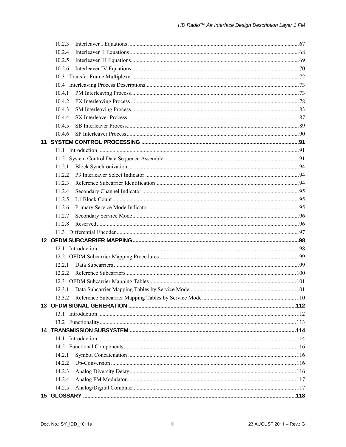|    | 10.2.3 |  |
|----|--------|--|
|    | 10.2.4 |  |
|    | 10.2.5 |  |
|    | 10.2.6 |  |
|    |        |  |
|    |        |  |
|    | 10.4.1 |  |
|    | 10.4.2 |  |
|    | 10.4.3 |  |
|    | 10.4.4 |  |
|    | 10.4.5 |  |
|    | 10.4.6 |  |
| 11 |        |  |
|    |        |  |
|    |        |  |
|    | 11.2.1 |  |
|    | 11.2.2 |  |
|    | 11.2.3 |  |
|    | 11.2.4 |  |
|    | 11.2.5 |  |
|    | 11.2.6 |  |
|    | 11.2.7 |  |
|    | 11.2.8 |  |
|    |        |  |
|    |        |  |
|    |        |  |
|    |        |  |
|    | 12.21  |  |
|    | 12.2.2 |  |
|    |        |  |
|    |        |  |
|    | 1232   |  |
|    |        |  |
|    |        |  |
|    |        |  |
|    |        |  |
|    |        |  |
|    |        |  |
|    | 14.2.1 |  |
|    | 14.2.2 |  |
|    | 14.2.3 |  |
|    | 14.2.4 |  |
|    | 14.2.5 |  |
|    |        |  |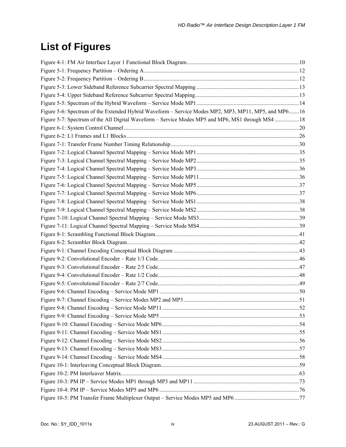# **List of Figures**

| Figure 5-6: Spectrum of the Extended Hybrid Waveform - Service Modes MP2, MP3, MP11, MP5, and MP616 |  |
|-----------------------------------------------------------------------------------------------------|--|
| Figure 5-7: Spectrum of the All Digital Waveform – Service Modes MP5 and MP6, MS1 through MS4  18   |  |
|                                                                                                     |  |
|                                                                                                     |  |
|                                                                                                     |  |
|                                                                                                     |  |
|                                                                                                     |  |
|                                                                                                     |  |
|                                                                                                     |  |
|                                                                                                     |  |
|                                                                                                     |  |
|                                                                                                     |  |
|                                                                                                     |  |
|                                                                                                     |  |
|                                                                                                     |  |
|                                                                                                     |  |
|                                                                                                     |  |
|                                                                                                     |  |
|                                                                                                     |  |
|                                                                                                     |  |
|                                                                                                     |  |
|                                                                                                     |  |
|                                                                                                     |  |
|                                                                                                     |  |
|                                                                                                     |  |
|                                                                                                     |  |
|                                                                                                     |  |
|                                                                                                     |  |
|                                                                                                     |  |
|                                                                                                     |  |
|                                                                                                     |  |
|                                                                                                     |  |
|                                                                                                     |  |
|                                                                                                     |  |
|                                                                                                     |  |
|                                                                                                     |  |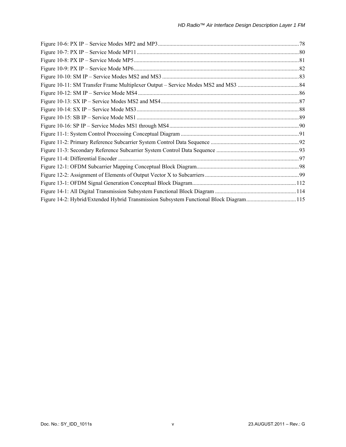| Figure 14-2: Hybrid/Extended Hybrid Transmission Subsystem Functional Block Diagram115 |  |
|----------------------------------------------------------------------------------------|--|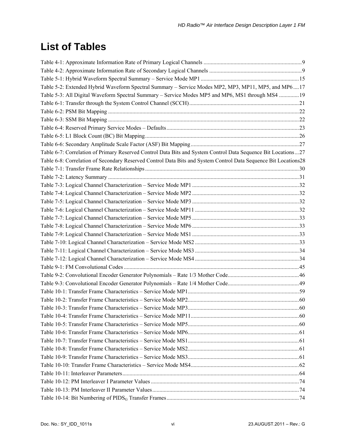# **List of Tables**

| Table 5-2: Extended Hybrid Waveform Spectral Summary - Service Modes MP2, MP3, MP11, MP5, and MP617             |  |
|-----------------------------------------------------------------------------------------------------------------|--|
| Table 5-3: All Digital Waveform Spectral Summary - Service Modes MP5 and MP6, MS1 through MS4 19                |  |
|                                                                                                                 |  |
|                                                                                                                 |  |
|                                                                                                                 |  |
|                                                                                                                 |  |
|                                                                                                                 |  |
|                                                                                                                 |  |
| Table 6-7: Correlation of Primary Reserved Control Data Bits and System Control Data Sequence Bit Locations27   |  |
| Table 6-8: Correlation of Secondary Reserved Control Data Bits and System Control Data Sequence Bit Locations28 |  |
|                                                                                                                 |  |
|                                                                                                                 |  |
|                                                                                                                 |  |
|                                                                                                                 |  |
|                                                                                                                 |  |
|                                                                                                                 |  |
|                                                                                                                 |  |
|                                                                                                                 |  |
|                                                                                                                 |  |
|                                                                                                                 |  |
|                                                                                                                 |  |
|                                                                                                                 |  |
|                                                                                                                 |  |
|                                                                                                                 |  |
|                                                                                                                 |  |
|                                                                                                                 |  |
|                                                                                                                 |  |
|                                                                                                                 |  |
|                                                                                                                 |  |
|                                                                                                                 |  |
|                                                                                                                 |  |
|                                                                                                                 |  |
|                                                                                                                 |  |
|                                                                                                                 |  |
|                                                                                                                 |  |
|                                                                                                                 |  |
|                                                                                                                 |  |
|                                                                                                                 |  |
|                                                                                                                 |  |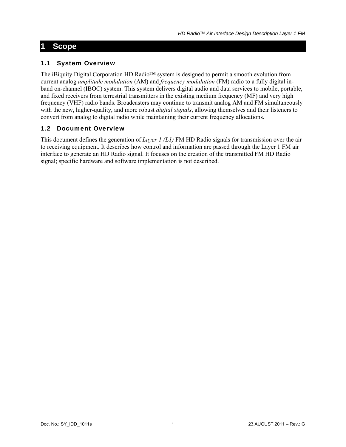## <span id="page-9-1"></span><span id="page-9-0"></span>**1 Scope**

#### <span id="page-9-2"></span>1.1 System Overview

The iBiquity Digital Corporation HD Radio™ system is designed to permit a smooth evolution from current analog *amplitude modulation* (AM) and *frequency modulation* (FM) radio to a fully digital inband on-channel (IBOC) system. This system delivers digital audio and data services to mobile, portable, and fixed receivers from terrestrial transmitters in the existing medium frequency (MF) and very high frequency (VHF) radio bands. Broadcasters may continue to transmit analog AM and FM simultaneously with the new, higher-quality, and more robust *digital signals*, allowing themselves and their listeners to convert from analog to digital radio while maintaining their current frequency allocations.

#### <span id="page-9-3"></span>1.2 Document Overview

This document defines the generation of *Layer 1 (L1)* FM HD Radio signals for transmission over the air to receiving equipment. It describes how control and information are passed through the Layer 1 FM air interface to generate an HD Radio signal. It focuses on the creation of the transmitted FM HD Radio signal; specific hardware and software implementation is not described.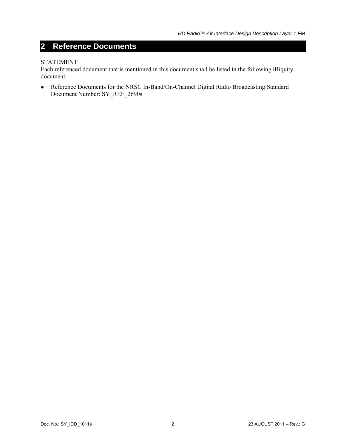## <span id="page-10-1"></span><span id="page-10-0"></span>**2 Reference Documents**

#### STATEMENT

Each referenced document that is mentioned in this document shall be listed in the following iBiquity document:

● Reference Documents for the NRSC In-Band/On-Channel Digital Radio Broadcasting Standard Document Number: SY\_REF\_2690s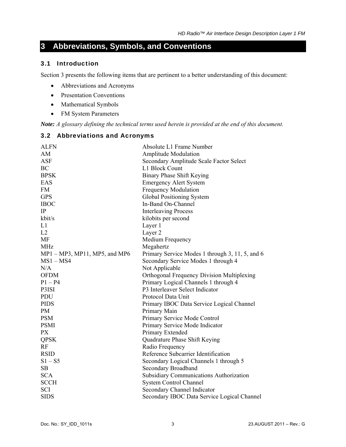## <span id="page-11-1"></span><span id="page-11-0"></span>**3 Abbreviations, Symbols, and Conventions**

#### <span id="page-11-2"></span>3.1 Introduction

Section [3](#page-11-1) presents the following items that are pertinent to a better understanding of this document:

- Abbreviations and Acronyms
- Presentation Conventions
- Mathematical Symbols
- FM System Parameters

*Note: A glossary defining the technical terms used herein is provided at the end of this document.* 

#### <span id="page-11-3"></span>3.2 Abbreviations and Acronyms

| <b>ALFN</b>                   | Absolute L1 Frame Number                        |
|-------------------------------|-------------------------------------------------|
| AM                            | <b>Amplitude Modulation</b>                     |
| <b>ASF</b>                    | Secondary Amplitude Scale Factor Select         |
| BC                            | L1 Block Count                                  |
| <b>BPSK</b>                   | <b>Binary Phase Shift Keying</b>                |
| EAS                           | <b>Emergency Alert System</b>                   |
| <b>FM</b>                     | <b>Frequency Modulation</b>                     |
| <b>GPS</b>                    | Global Positioning System                       |
| <b>IBOC</b>                   | In-Band On-Channel                              |
| $\rm IP$                      | <b>Interleaving Process</b>                     |
| kbit/s                        | kilobits per second                             |
| L1                            | Layer 1                                         |
| L2                            | Layer 2                                         |
| <b>MF</b>                     | Medium Frequency                                |
| <b>MHz</b>                    | Megahertz                                       |
| MP1 - MP3, MP11, MP5, and MP6 | Primary Service Modes 1 through 3, 11, 5, and 6 |
| $MS1 - MS4$                   | Secondary Service Modes 1 through 4             |
| N/A                           | Not Applicable                                  |
| <b>OFDM</b>                   | Orthogonal Frequency Division Multiplexing      |
| $P1 - P4$                     | Primary Logical Channels 1 through 4            |
| P3ISI                         | P3 Interleaver Select Indicator                 |
| PDU                           | Protocol Data Unit                              |
| <b>PIDS</b>                   | Primary IBOC Data Service Logical Channel       |
| PM                            | Primary Main                                    |
| <b>PSM</b>                    | Primary Service Mode Control                    |
| <b>PSMI</b>                   | Primary Service Mode Indicator                  |
| PX                            | Primary Extended                                |
| <b>QPSK</b>                   | Quadrature Phase Shift Keying                   |
| RF                            | Radio Frequency                                 |
| <b>RSID</b>                   | Reference Subcarrier Identification             |
| $S1 - S5$                     | Secondary Logical Channels 1 through 5          |
| SB                            | Secondary Broadband                             |
| <b>SCA</b>                    | <b>Subsidiary Communications Authorization</b>  |
| <b>SCCH</b>                   | <b>System Control Channel</b>                   |
| <b>SCI</b>                    | Secondary Channel Indicator                     |
| <b>SIDS</b>                   | Secondary IBOC Data Service Logical Channel     |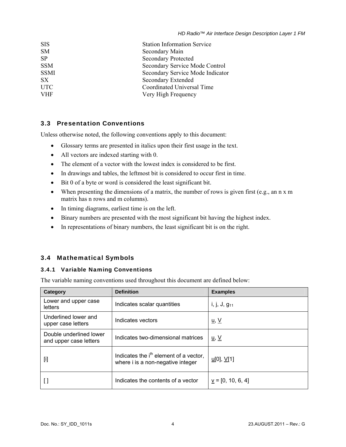<span id="page-12-0"></span>

| <b>SIS</b>  | <b>Station Information Service</b> |
|-------------|------------------------------------|
| <b>SM</b>   | Secondary Main                     |
| <b>SP</b>   | <b>Secondary Protected</b>         |
| <b>SSM</b>  | Secondary Service Mode Control     |
| <b>SSMI</b> | Secondary Service Mode Indicator   |
| SX          | Secondary Extended                 |
| <b>UTC</b>  | Coordinated Universal Time         |
| <b>VHF</b>  | Very High Frequency                |
|             |                                    |

#### <span id="page-12-1"></span>3.3 Presentation Conventions

Unless otherwise noted, the following conventions apply to this document:

- Glossary terms are presented in italics upon their first usage in the text.
- All vectors are indexed starting with 0.
- The element of a vector with the lowest index is considered to be first.
- In drawings and tables, the leftmost bit is considered to occur first in time.
- Bit 0 of a byte or word is considered the least significant bit.
- When presenting the dimensions of a matrix, the number of rows is given first (e.g., an n x m matrix has n rows and m columns).
- In timing diagrams, earliest time is on the left.
- Binary numbers are presented with the most significant bit having the highest index.
- In representations of binary numbers, the least significant bit is on the right.

#### <span id="page-12-2"></span>3.4 Mathematical Symbols

#### <span id="page-12-3"></span>3.4.1 Variable Naming Conventions

The variable naming conventions used throughout this document are defined below:

| Category                                          | <b>Definition</b>                                                                       | <b>Examples</b>                      |
|---------------------------------------------------|-----------------------------------------------------------------------------------------|--------------------------------------|
| Lower and upper case<br>letters                   | Indicates scalar quantities                                                             | i, j, J, $g_{11}$                    |
| Underlined lower and<br>upper case letters        | Indicates vectors                                                                       | <u>u, V</u>                          |
| Double underlined lower<br>and upper case letters | Indicates two-dimensional matrices                                                      | <u>u</u> , <u>V</u>                  |
| $[$ i                                             | Indicates the i <sup>th</sup> element of a vector,<br>where i is a non-negative integer | $\underline{u}[0], \underline{V}[1]$ |
|                                                   | Indicates the contents of a vector                                                      | $v = [0, 10, 6, 4]$                  |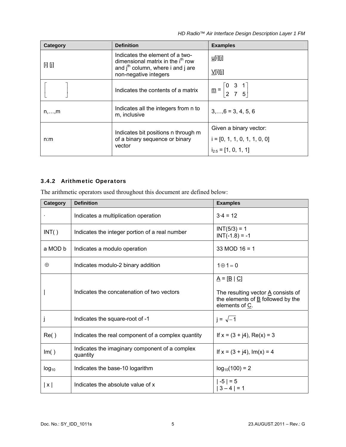*HD Radio™ Air Interface Design Description Layer 1 FM*

<span id="page-13-0"></span>

| Category       | <b>Definition</b>                                                                                                                                | <b>Examples</b>                                                        |
|----------------|--------------------------------------------------------------------------------------------------------------------------------------------------|------------------------------------------------------------------------|
| [i] [j]        | Indicates the element of a two-<br>dimensional matrix in the i <sup>th</sup> row<br>and $jth$ column, where i and j are<br>non-negative integers | u[i][j]                                                                |
|                |                                                                                                                                                  | $\underline{V}$ [i][j]                                                 |
|                | Indicates the contents of a matrix                                                                                                               | $\underline{m} = \begin{bmatrix} 0 & 3 & 1 \\ 2 & 7 & 5 \end{bmatrix}$ |
| $n, \ldots, m$ | Indicates all the integers from n to<br>m, inclusive                                                                                             | $3, \ldots, 6 = 3, 4, 5, 6$                                            |
|                | Indicates bit positions n through m                                                                                                              | Given a binary vector:                                                 |
| n:m            | of a binary sequence or binary<br>vector                                                                                                         | $i = [0, 1, 1, 0, 1, 1, 0, 0]$                                         |
|                |                                                                                                                                                  | $i_{2:5}$ = [1, 0, 1, 1]                                               |

#### <span id="page-13-1"></span>3.4.2 Arithmetic Operators

The arithmetic operators used throughout this document are defined below:

| Category   | <b>Definition</b>                                          | <b>Examples</b>                                                                                                                                                                     |
|------------|------------------------------------------------------------|-------------------------------------------------------------------------------------------------------------------------------------------------------------------------------------|
|            | Indicates a multiplication operation                       | $3.4 = 12$                                                                                                                                                                          |
| INT()      | Indicates the integer portion of a real number             | $INT(5/3) = 1$<br>$INT(-1.8) = -1$                                                                                                                                                  |
| a MOD b    | Indicates a modulo operation                               | 33 MOD $16 = 1$                                                                                                                                                                     |
| $\oplus$   | Indicates modulo-2 binary addition                         | $1 \oplus 1 = 0$                                                                                                                                                                    |
|            | Indicates the concatenation of two vectors                 | $\underline{A} = [\underline{B}   \underline{C}]$<br>The resulting vector $\underline{A}$ consists of<br>the elements of $\underline{\mathsf{B}}$ followed by the<br>elements of C. |
|            | Indicates the square-root of -1                            | $i = \sqrt{-1}$                                                                                                                                                                     |
| Re()       | Indicates the real component of a complex quantity         | If $x = (3 + i4)$ , Re(x) = 3                                                                                                                                                       |
| Im()       | Indicates the imaginary component of a complex<br>quantity | If $x = (3 + j4)$ , Im(x) = 4                                                                                                                                                       |
| $log_{10}$ | Indicates the base-10 logarithm                            | $log_{10}(100) = 2$                                                                                                                                                                 |
| x          | Indicates the absolute value of x                          | $ -5  = 5$<br>  3 – 4   = 1                                                                                                                                                         |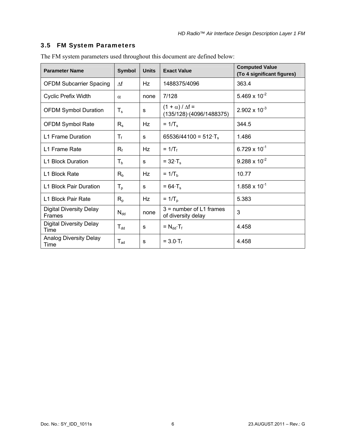#### <span id="page-14-1"></span><span id="page-14-0"></span>3.5 FM System Parameters

| <b>Parameter Name</b>                           | <b>Symbol</b> |      | <b>Exact Value</b>                                          | <b>Computed Value</b><br>(To 4 significant figures) |
|-------------------------------------------------|---------------|------|-------------------------------------------------------------|-----------------------------------------------------|
| <b>OFDM Subcarrier Spacing</b>                  | $\Delta f$    | Hz   | 1488375/4096                                                | 363.4                                               |
| Cyclic Prefix Width                             | $\alpha$      | none | 7/128                                                       | 5.469 x $10^{-2}$                                   |
| <b>OFDM Symbol Duration</b>                     | $T_{s}$       | s    | $(1 + \alpha) / \Delta f =$<br>$(135/128)$ $(4096/1488375)$ | $2.902 \times 10^{-3}$                              |
| OFDM Symbol Rate                                | $R_{s}$       | Hz   | $= 1/T_s$                                                   | 344.5                                               |
| L1 Frame Duration                               | $T_f$         | S    | 65536/44100 = 512 $\cdot$ T <sub>s</sub>                    | 1.486                                               |
| L1 Frame Rate                                   | $R_f$         | Hz   | $= 1/T_{f}$                                                 | $6.729 \times 10^{-1}$                              |
| <b>L1 Block Duration</b>                        | $T_{b}$       | s    | $= 32 \cdot T_s$                                            | $9.288 \times 10^{-2}$                              |
| L1 Block Rate                                   | $R_{b}$       | Hz   | $= 1/Tb$                                                    | 10.77                                               |
| L1 Block Pair Duration                          | $T_{p}$       | s    | $= 64 \cdot T_s$                                            | $1.858 \times 10^{-1}$                              |
| L1 Block Pair Rate                              | $R_{p}$       | Hz   | $= 1/Tp$                                                    | 5.383                                               |
| <b>Digital Diversity Delay</b><br><b>Frames</b> | $N_{dd}$      | none | $3 =$ number of L1 frames<br>of diversity delay             | 3                                                   |
| <b>Digital Diversity Delay</b><br>Time          | $T_{dd}$      | s    | $= N_{dd} \cdot T_f$                                        | 4.458                                               |
| <b>Analog Diversity Delay</b><br>Time           | $T_{ad}$      | s    | $= 3.0 \cdot T_f$                                           | 4.458                                               |

The FM system parameters used throughout this document are defined below: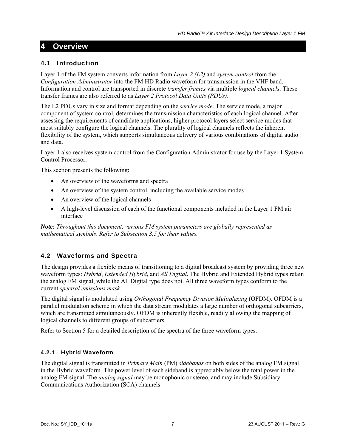### <span id="page-15-1"></span><span id="page-15-0"></span>**4 Overview**

#### <span id="page-15-2"></span>4.1 Introduction

Layer 1 of the FM system converts information from *Layer 2 (L2)* and *system control* from the *Configuration Administrator* into the FM HD Radio waveform for transmission in the VHF band. Information and control are transported in discrete *transfer frames* via multiple *logical channels*. These transfer frames are also referred to as *Layer 2 Protocol Data Units (PDUs)*.

The L2 PDUs vary in size and format depending on the *service mode*. The service mode, a major component of system control, determines the transmission characteristics of each logical channel. After assessing the requirements of candidate applications, higher protocol layers select service modes that most suitably configure the logical channels. The plurality of logical channels reflects the inherent flexibility of the system, which supports simultaneous delivery of various combinations of digital audio and data.

Layer 1 also receives system control from the Configuration Administrator for use by the Layer 1 System Control Processor.

This section presents the following:

- An overview of the waveforms and spectra
- An overview of the system control, including the available service modes
- An overview of the logical channels
- A high-level discussion of each of the functional components included in the Layer 1 FM air interface

*Note: Throughout this document, various FM system parameters are globally represented as mathematical symbols*. *Refer to Subsection [3.5](#page-14-1) for their values.* 

#### <span id="page-15-3"></span>4.2 Waveforms and Spectra

The design provides a flexible means of transitioning to a digital broadcast system by providing three new waveform types: *Hybrid*, *Extended Hybrid*, and *All Digital*. The Hybrid and Extended Hybrid types retain the analog FM signal, while the All Digital type does not. All three waveform types conform to the current *spectral emissions mask*.

The digital signal is modulated using *Orthogonal Frequency Division Multiplexing* (OFDM). OFDM is a parallel modulation scheme in which the data stream modulates a large number of orthogonal subcarriers, which are transmitted simultaneously. OFDM is inherently flexible, readily allowing the mapping of logical channels to different groups of subcarriers.

Refer to Section [5](#page-20-1) for a detailed description of the spectra of the three waveform types.

#### <span id="page-15-4"></span>4.2.1 Hybrid Waveform

The digital signal is transmitted in *Primary Main* (PM) *sidebands* on both sides of the analog FM signal in the Hybrid waveform. The power level of each sideband is appreciably below the total power in the analog FM signal. The *analog signal* may be monophonic or stereo, and may include Subsidiary Communications Authorization (SCA) channels.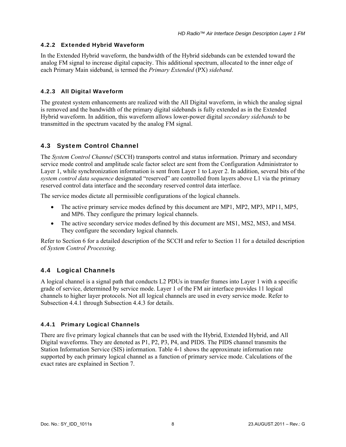#### <span id="page-16-1"></span><span id="page-16-0"></span>4.2.2 Extended Hybrid Waveform

In the Extended Hybrid waveform, the bandwidth of the Hybrid sidebands can be extended toward the analog FM signal to increase digital capacity. This additional spectrum, allocated to the inner edge of each Primary Main sideband, is termed the *Primary Extended* (PX) *sideband*.

#### <span id="page-16-2"></span>4.2.3 All Digital Waveform

The greatest system enhancements are realized with the All Digital waveform, in which the analog signal is removed and the bandwidth of the primary digital sidebands is fully extended as in the Extended Hybrid waveform. In addition, this waveform allows lower-power digital *secondary sidebands* to be transmitted in the spectrum vacated by the analog FM signal.

#### <span id="page-16-3"></span>4.3 System Control Channel

The *System Control Channel* (SCCH) transports control and status information. Primary and secondary service mode control and amplitude scale factor select are sent from the Configuration Administrator to Layer 1, while synchronization information is sent from Layer 1 to Layer 2. In addition, several bits of the *system control data sequence* designated "reserved" are controlled from layers above L1 via the primary reserved control data interface and the secondary reserved control data interface.

The service modes dictate all permissible configurations of the logical channels.

- The active primary service modes defined by this document are MP1, MP2, MP3, MP11, MP5, and MP6. They configure the primary logical channels.
- The active secondary service modes defined by this document are MS1, MS2, MS3, and MS4. They configure the secondary logical channels.

Refer to Section [6](#page-28-1) for a detailed description of the SCCH and refer to Section [11](#page-99-1) for a detailed description of *System Control Processing*.

#### <span id="page-16-4"></span>4.4 Logical Channels

A logical channel is a signal path that conducts L2 PDUs in transfer frames into Layer 1 with a specific grade of service, determined by service mode. Layer 1 of the FM air interface provides 11 logical channels to higher layer protocols. Not all logical channels are used in every service mode. Refer to Subsection [4.4.1](#page-16-5) through Subsection [4.4.3](#page-17-2) for details.

#### <span id="page-16-5"></span>4.4.1 Primary Logical Channels

There are five primary logical channels that can be used with the Hybrid, Extended Hybrid, and All Digital waveforms. They are denoted as P1, P2, P3, P4, and PIDS. The PIDS channel transmits the Station Information Service (SIS) information. [Table 4-1](#page-17-3) shows the approximate information rate supported by each primary logical channel as a function of primary service mode. Calculations of the exact rates are explained in Section [7.](#page-37-1)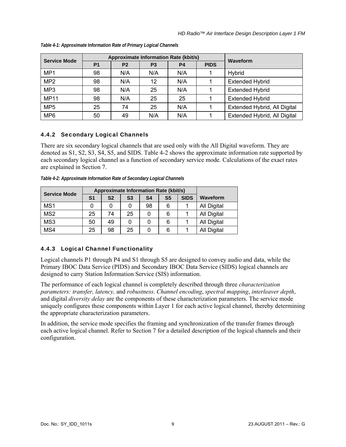<span id="page-17-3"></span>

| <b>Service Mode</b> |           | Approximate Information Rate (kbit/s) | Waveform       |           |             |                              |
|---------------------|-----------|---------------------------------------|----------------|-----------|-------------|------------------------------|
|                     | <b>P1</b> | P <sub>2</sub>                        | P <sub>3</sub> | <b>P4</b> | <b>PIDS</b> |                              |
| MP1                 | 98        | N/A                                   | N/A            | N/A       |             | Hybrid                       |
| MP <sub>2</sub>     | 98        | N/A                                   | 12             | N/A       |             | <b>Extended Hybrid</b>       |
| MP <sub>3</sub>     | 98        | N/A                                   | 25             | N/A       |             | <b>Extended Hybrid</b>       |
| <b>MP11</b>         | 98        | N/A                                   | 25             | 25        |             | <b>Extended Hybrid</b>       |
| MP <sub>5</sub>     | 25        | 74                                    | 25             | N/A       |             | Extended Hybrid, All Digital |
| MP <sub>6</sub>     | 50        | 49                                    | N/A            | N/A       |             | Extended Hybrid, All Digital |

<span id="page-17-0"></span>*Table 4-1: Approximate Information Rate of Primary Logical Channels* 

#### <span id="page-17-1"></span>4.4.2 Secondary Logical Channels

There are six secondary logical channels that are used only with the All Digital waveform. They are denoted as S1, S2, S3, S4, S5, and SIDS. [Table 4-2](#page-17-4) shows the approximate information rate supported by each secondary logical channel as a function of secondary service mode. Calculations of the exact rates are explained in Section [7](#page-37-1).

*Table 4-2: Approximate Information Rate of Secondary Logical Channels* 

<span id="page-17-4"></span>

| <b>Service Mode</b> |    | <b>Approximate Information Rate (kbit/s)</b> |                |                |                |             |             |
|---------------------|----|----------------------------------------------|----------------|----------------|----------------|-------------|-------------|
|                     | S1 | S <sub>2</sub>                               | S <sub>3</sub> | S <sub>4</sub> | S <sub>5</sub> | <b>SIDS</b> | Waveform    |
| MS1                 |    |                                              |                | 98             | 6              |             | All Digital |
| MS <sub>2</sub>     | 25 | 74                                           | 25             |                | 6              |             | All Digital |
| MS3                 | 50 | 49                                           | 0              |                | 6              |             | All Digital |
| MS4                 | 25 | 98                                           | 25             |                | 6              |             | All Digital |

#### <span id="page-17-2"></span>4.4.3 Logical Channel Functionality

Logical channels P1 through P4 and S1 through S5 are designed to convey audio and data, while the Primary IBOC Data Service (PIDS) and Secondary IBOC Data Service (SIDS) logical channels are designed to carry Station Information Service (SIS) information.

The performance of each logical channel is completely described through three *characterization parameters: transfer, latency,* and *robustness*. *Channel encoding*, *spectral mapping*, *interleaver depth*, and digital *diversity delay* are the components of these characterization parameters. The service mode uniquely configures these components within Layer 1 for each active logical channel, thereby determining the appropriate characterization parameters.

In addition, the service mode specifies the framing and synchronization of the transfer frames through each active logical channel. Refer to Section [7](#page-37-1) for a detailed description of the logical channels and their configuration.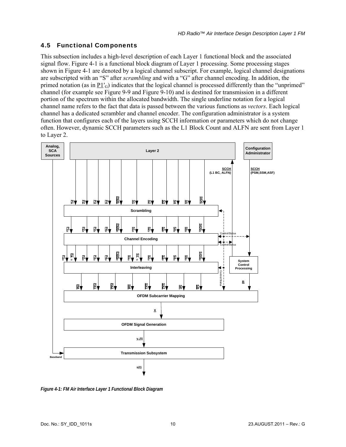#### <span id="page-18-1"></span><span id="page-18-0"></span>4.5 Functional Components

This subsection includes a high-level description of each Layer 1 functional block and the associated signal flow. [Figure 4-1](#page-18-2) is a functional block diagram of Layer 1 processing. Some processing stages shown in [Figure 4-1](#page-18-2) are denoted by a logical channel subscript. For example, logical channel designations are subscripted with an "S" after *scrambling* and with a "G" after channel encoding. In addition, the primed notation (as in  $PI'_{G}$ ) indicates that the logical channel is processed differently than the "unprimed" channel (for example see [Figure 9-9](#page-61-2) and [Figure 9-10](#page-62-2)) and is destined for transmission in a different portion of the spectrum within the allocated bandwidth. The single underline notation for a logical channel name refers to the fact that data is passed between the various functions as *vectors*. Each logical channel has a dedicated scrambler and channel encoder. The configuration administrator is a system function that configures each of the layers using SCCH information or parameters which do not change often. However, dynamic SCCH parameters such as the L1 Block Count and ALFN are sent from Layer 1 to Layer 2.



<span id="page-18-2"></span>*Figure 4-1: FM Air Interface Layer 1 Functional Block Diagram*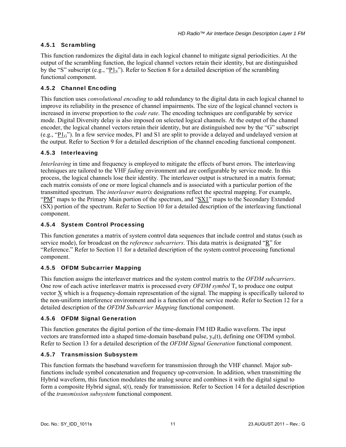#### <span id="page-19-1"></span><span id="page-19-0"></span>4.5.1 Scrambling

This function randomizes the digital data in each logical channel to mitigate signal periodicities. At the output of the scrambling function, the logical channel vectors retain their identity, but are distinguished by the "S" subscript (e.g., "P1S"). Refer to Section [8](#page-49-1) for a detailed description of the scrambling functional component.

#### <span id="page-19-2"></span>4.5.2 Channel Encoding

This function uses *convolutional encoding* to add redundancy to the digital data in each logical channel to improve its reliability in the presence of channel impairments. The size of the logical channel vectors is increased in inverse proportion to the *code rate*. The encoding techniques are configurable by service mode. Digital Diversity delay is also imposed on selected logical channels. At the output of the channel encoder, the logical channel vectors retain their identity, but are distinguished now by the "G" subscript (e.g., "P1G"). In a few service modes, P1 and S1 are split to provide a delayed and undelayed version at the output. Refer to Section [9](#page-51-1) for a detailed description of the channel encoding functional component.

#### <span id="page-19-3"></span>4.5.3 Interleaving

*Interleaving* in time and frequency is employed to mitigate the effects of burst errors. The interleaving techniques are tailored to the VHF *fading* environment and are configurable by service mode. In this process, the logical channels lose their identity. The interleaver output is structured in a matrix format; each matrix consists of one or more logical channels and is associated with a particular portion of the transmitted spectrum. The *interleaver matrix* designations reflect the spectral mapping. For example, "PM" maps to the Primary Main portion of the spectrum, and "SX1" maps to the Secondary Extended (SX) portion of the spectrum. Refer to Section [10](#page-67-1) for a detailed description of the interleaving functional component.

#### <span id="page-19-4"></span>4.5.4 System Control Processing

This function generates a matrix of system control data sequences that include control and status (such as service mode), for broadcast on the *reference subcarriers*. This data matrix is designated "R" for "Reference." Refer to Section [11](#page-99-1) for a detailed description of the system control processing functional component.

#### <span id="page-19-5"></span>4.5.5 OFDM Subcarrier Mapping

This function assigns the interleaver matrices and the system control matrix to the *OFDM subcarriers*. One row of each active interleaver matrix is processed every *OFDM symbol* T<sub>s</sub> to produce one output vector X which is a frequency-domain representation of the signal. The mapping is specifically tailored to the non-uniform interference environment and is a function of the service mode. Refer to Section [12](#page-106-1) for a detailed description of the *OFDM Subcarrier Mapping* functional component.

#### <span id="page-19-6"></span>4.5.6 OFDM Signal Generation

This function generates the digital portion of the time-domain FM HD Radio waveform. The input vectors are transformed into a shaped time-domain baseband pulse,  $y_n(t)$ , defining one OFDM symbol. Refer to Section [13](#page-120-1) for a detailed description of the *OFDM Signal Generation* functional component.

#### <span id="page-19-7"></span>4.5.7 Transmission Subsystem

This function formats the baseband waveform for transmission through the VHF channel. Major subfunctions include symbol concatenation and frequency up-conversion. In addition, when transmitting the Hybrid waveform, this function modulates the analog source and combines it with the digital signal to form a composite Hybrid signal, s(t), ready for transmission. Refer to Section [14](#page-122-1) for a detailed description of the *transmission subsystem* functional component.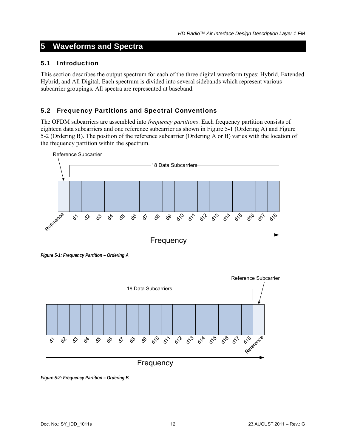## <span id="page-20-1"></span><span id="page-20-0"></span>**5 Waveforms and Spectra**

#### <span id="page-20-2"></span>5.1 Introduction

This section describes the output spectrum for each of the three digital waveform types: Hybrid, Extended Hybrid, and All Digital. Each spectrum is divided into several sidebands which represent various subcarrier groupings. All spectra are represented at baseband.

#### <span id="page-20-3"></span>5.2 Frequency Partitions and Spectral Conventions

The OFDM subcarriers are assembled into *frequency partitions*. Each frequency partition consists of eighteen data subcarriers and one reference subcarrier as shown in [Figure 5-1](#page-20-4) (Ordering A) and [Figure](#page-20-5)  [5-2](#page-20-5) (Ordering B). The position of the reference subcarrier (Ordering A or B) varies with the location of the frequency partition within the spectrum.



*Figure 5-1: Frequency Partition – Ordering A* 

<span id="page-20-4"></span>

<span id="page-20-5"></span>*Figure 5-2: Frequency Partition – Ordering B*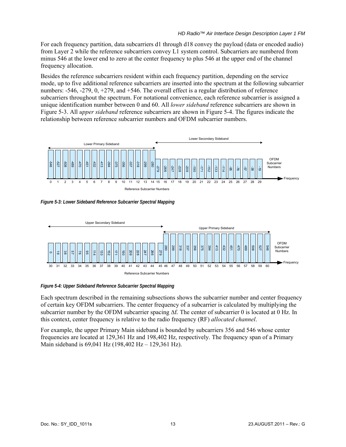<span id="page-21-0"></span>For each frequency partition, data subcarriers d1 through d18 convey the payload (data or encoded audio) from Layer 2 while the reference subcarriers convey L1 system control. Subcarriers are numbered from minus 546 at the lower end to zero at the center frequency to plus 546 at the upper end of the channel frequency allocation.

Besides the reference subcarriers resident within each frequency partition, depending on the service mode, up to five additional reference subcarriers are inserted into the spectrum at the following subcarrier numbers: -546, -279, 0, +279, and +546. The overall effect is a regular distribution of reference subcarriers throughout the spectrum. For notational convenience, each reference subcarrier is assigned a unique identification number between 0 and 60. All *lower sideband* reference subcarriers are shown in [Figure 5-3](#page-21-1). All *upper sideband* reference subcarriers are shown in [Figure 5-4.](#page-21-2) The figures indicate the relationship between reference subcarrier numbers and OFDM subcarrier numbers.



<span id="page-21-1"></span>*Figure 5-3: Lower Sideband Reference Subcarrier Spectral Mapping* 



<span id="page-21-2"></span>*Figure 5-4: Upper Sideband Reference Subcarrier Spectral Mapping* 

Each spectrum described in the remaining subsections shows the subcarrier number and center frequency of certain key OFDM subcarriers. The center frequency of a subcarrier is calculated by multiplying the subcarrier number by the OFDM subcarrier spacing Δf. The center of subcarrier 0 is located at 0 Hz. In this context, center frequency is relative to the radio frequency (RF) *allocated channel*.

For example, the upper Primary Main sideband is bounded by subcarriers 356 and 546 whose center frequencies are located at 129,361 Hz and 198,402 Hz, respectively. The frequency span of a Primary Main sideband is 69,041 Hz (198,402 Hz – 129,361 Hz).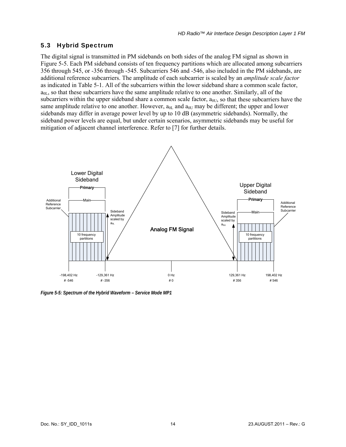#### <span id="page-22-1"></span><span id="page-22-0"></span>5.3 Hybrid Spectrum

The digital signal is transmitted in PM sidebands on both sides of the analog FM signal as shown in [Figure 5-5](#page-22-2). Each PM sideband consists of ten frequency partitions which are allocated among subcarriers 356 through 545, or -356 through -545. Subcarriers 546 and -546, also included in the PM sidebands, are additional reference subcarriers. The amplitude of each subcarrier is scaled by an *amplitude scale factor* as indicated in [Table 5-1.](#page-23-1) All of the subcarriers within the lower sideband share a common scale factor,  $a_{0L}$ , so that these subcarriers have the same amplitude relative to one another. Similarly, all of the subcarriers within the upper sideband share a common scale factor,  $a_{0U}$ , so that these subcarriers have the same amplitude relative to one another. However,  $a_{0L}$  and  $a_{0U}$  may be different; the upper and lower sidebands may differ in average power level by up to 10 dB (asymmetric sidebands). Normally, the sideband power levels are equal, but under certain scenarios, asymmetric sidebands may be useful for mitigation of adjacent channel interference. Refer to [7] for further details.



<span id="page-22-2"></span>*Figure 5-5: Spectrum of the Hybrid Waveform – Service Mode MP1*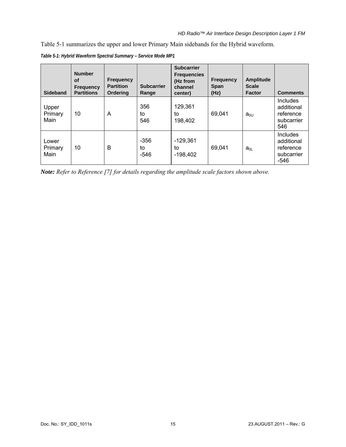<span id="page-23-0"></span>[Table 5-1](#page-23-1) summarizes the upper and lower Primary Main sidebands for the Hybrid waveform.

<span id="page-23-1"></span>

| <b>Sideband</b>          | <b>Number</b><br>of<br><b>Frequency</b><br><b>Partitions</b> | <b>Frequency</b><br><b>Partition</b><br><b>Ordering</b> | <b>Subcarrier</b><br>Range | <b>Subcarrier</b><br><b>Frequencies</b><br>(Hz from<br>channel<br>center) | <b>Frequency</b><br><b>Span</b><br>(Hz) | <b>Amplitude</b><br><b>Scale</b><br><b>Factor</b> | <b>Comments</b>                                                  |
|--------------------------|--------------------------------------------------------------|---------------------------------------------------------|----------------------------|---------------------------------------------------------------------------|-----------------------------------------|---------------------------------------------------|------------------------------------------------------------------|
| Upper<br>Primary<br>Main | 10                                                           | A                                                       | 356<br>to<br>546           | 129,361<br>to<br>198,402                                                  | 69,041                                  | $a_{0U}$                                          | Includes<br>additional<br>reference<br>subcarrier<br>546         |
| Lower<br>Primary<br>Main | 10                                                           | B                                                       | $-356$<br>to<br>$-546$     | $-129,361$<br>to<br>$-198,402$                                            | 69,041                                  | $a_{0L}$                                          | <b>Includes</b><br>additional<br>reference<br>subcarrier<br>-546 |

*Table 5-1: Hybrid Waveform Spectral Summary – Service Mode MP1* 

*Note: Refer to Reference [7] for details regarding the amplitude scale factors shown above.*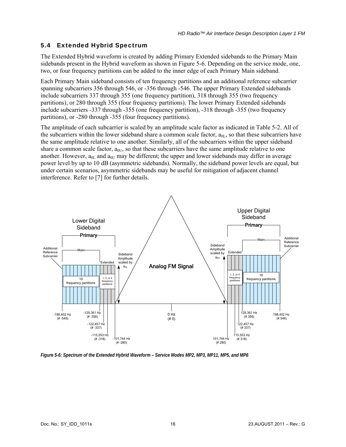#### <span id="page-24-1"></span><span id="page-24-0"></span>5.4 Extended Hybrid Spectrum

The Extended Hybrid waveform is created by adding Primary Extended sidebands to the Primary Main sidebands present in the Hybrid waveform as shown in [Figure 5-6](#page-24-2). Depending on the service mode, one, two, or four frequency partitions can be added to the inner edge of each Primary Main sideband.

Each Primary Main sideband consists of ten frequency partitions and an additional reference subcarrier spanning subcarriers 356 through 546, or -356 through -546. The upper Primary Extended sidebands include subcarriers 337 through 355 (one frequency partition), 318 through 355 (two frequency partitions), or 280 through 355 (four frequency partitions). The lower Primary Extended sidebands include subcarriers -337 through -355 (one frequency partition), -318 through -355 (two frequency partitions), or -280 through -355 (four frequency partitions).

The amplitude of each subcarrier is scaled by an amplitude scale factor as indicated in [Table 5-2.](#page-25-1) All of the subcarriers within the lower sideband share a common scale factor,  $a_{0L}$ , so that these subcarriers have the same amplitude relative to one another. Similarly, all of the subcarriers within the upper sideband share a common scale factor,  $a_{0U}$ , so that these subcarriers have the same amplitude relative to one another. However,  $a_{0L}$  and  $a_{0L}$  may be different; the upper and lower sidebands may differ in average power level by up to 10 dB (asymmetric sidebands). Normally, the sideband power levels are equal, but under certain scenarios, asymmetric sidebands may be useful for mitigation of adjacent channel interference. Refer to [7] for further details.



<span id="page-24-2"></span>*Figure 5-6: Spectrum of the Extended Hybrid Waveform – Service Modes MP2, MP3, MP11, MP5, and MP6*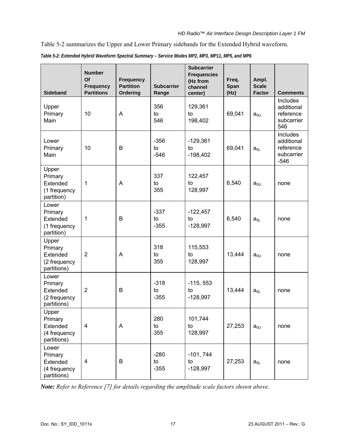<span id="page-25-0"></span>[Table 5-2](#page-25-1) summarizes the Upper and Lower Primary sidebands for the Extended Hybrid waveform.

<span id="page-25-1"></span>

| <b>Sideband</b>                                             | <b>Number</b><br>Of<br><b>Frequency</b><br><b>Partitions</b> | <b>Frequency</b><br><b>Partition</b><br>Ordering | <b>Subcarrier</b><br>Range | <b>Subcarrier</b><br><b>Frequencies</b><br>(Hz from<br>channel<br>center) | Freq.<br>Span<br>(Hz) | Ampl.<br><b>Scale</b><br><b>Factor</b> | <b>Comments</b>                                                 |
|-------------------------------------------------------------|--------------------------------------------------------------|--------------------------------------------------|----------------------------|---------------------------------------------------------------------------|-----------------------|----------------------------------------|-----------------------------------------------------------------|
| Upper<br>Primary<br>Main                                    | 10                                                           | Α                                                | 356<br>to<br>546           | 129,361<br>to<br>198,402                                                  | 69,041                | $a_{0U}$                               | <b>Includes</b><br>additional<br>reference<br>subcarrier<br>546 |
| Lower<br>Primary<br>Main                                    | 10                                                           | B                                                | $-356$<br>to<br>$-546$     | $-129,361$<br>to<br>$-198,402$                                            | 69,041                | $a_{0L}$                               | Includes<br>additional<br>reference<br>subcarrier<br>$-546$     |
| Upper<br>Primary<br>Extended<br>(1 frequency<br>partition)  | 1                                                            | A                                                | 337<br>to<br>355           | 122,457<br>to<br>128,997                                                  | 6,540                 | $a_{0U}$                               | none                                                            |
| Lower<br>Primary<br>Extended<br>(1 frequency<br>partition)  | 1                                                            | B                                                | $-337$<br>to<br>$-355$     | $-122,457$<br>to<br>$-128,997$                                            | 6,540                 | $a_{0L}$                               | none                                                            |
| Upper<br>Primary<br>Extended<br>(2 frequency<br>partitions) | $\overline{2}$                                               | Α                                                | 318<br>to<br>355           | 115,553<br>to<br>128,997                                                  | 13,444                | $a_{0U}$                               | none                                                            |
| Lower<br>Primary<br>Extended<br>(2 frequency<br>partitions) | $\overline{2}$                                               | B                                                | $-318$<br>to<br>$-355$     | $-115, 553$<br>to<br>$-128,997$                                           | 13,444                | $a_{0L}$                               | none                                                            |
| Upper<br>Primary<br>Extended<br>(4 frequency<br>partitions) | 4                                                            | A                                                | 280<br>to<br>355           | 101,744<br>to<br>128,997                                                  | 27,253                | $a_{0U}$                               | none                                                            |
| Lower<br>Primary<br>Extended<br>(4 frequency<br>partitions) | 4                                                            | B                                                | $-280$<br>to<br>$-355$     | $-101, 744$<br>to<br>$-128,997$                                           | 27,253                | $a_{0L}$                               | none                                                            |

*Table 5-2: Extended Hybrid Waveform Spectral Summary – Service Modes MP2, MP3, MP11, MP5, and MP6* 

*Note: Refer to Reference [7] for details regarding the amplitude scale factors shown above.*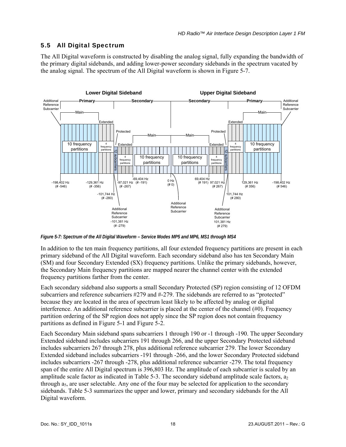#### <span id="page-26-1"></span><span id="page-26-0"></span>5.5 All Digital Spectrum

The All Digital waveform is constructed by disabling the analog signal, fully expanding the bandwidth of the primary digital sidebands, and adding lower-power secondary sidebands in the spectrum vacated by the analog signal. The spectrum of the All Digital waveform is shown in [Figure 5-7](#page-26-2).



<span id="page-26-2"></span>*Figure 5-7: Spectrum of the All Digital Waveform – Service Modes MP5 and MP6, MS1 through MS4* 

In addition to the ten main frequency partitions, all four extended frequency partitions are present in each primary sideband of the All Digital waveform. Each secondary sideband also has ten Secondary Main (SM) and four Secondary Extended (SX) frequency partitions. Unlike the primary sidebands, however, the Secondary Main frequency partitions are mapped nearer the channel center with the extended frequency partitions farther from the center.

Each secondary sideband also supports a small Secondary Protected (SP) region consisting of 12 OFDM subcarriers and reference subcarriers #279 and #-279. The sidebands are referred to as "protected" because they are located in the area of spectrum least likely to be affected by analog or digital interference. An additional reference subcarrier is placed at the center of the channel (#0). Frequency partition ordering of the SP region does not apply since the SP region does not contain frequency partitions as defined in [Figure 5-1](#page-20-4) and [Figure 5-2.](#page-20-5)

Each Secondary Main sideband spans subcarriers 1 through 190 or -1 through -190. The upper Secondary Extended sideband includes subcarriers 191 through 266, and the upper Secondary Protected sideband includes subcarriers 267 through 278, plus additional reference subcarrier 279. The lower Secondary Extended sideband includes subcarriers -191 through -266, and the lower Secondary Protected sideband includes subcarriers -267 through -278, plus additional reference subcarrier -279. The total frequency span of the entire All Digital spectrum is 396,803 Hz. The amplitude of each subcarrier is scaled by an amplitude scale factor as indicated in [Table 5-3.](#page-27-1) The secondary sideband amplitude scale factors, a<sub>2</sub> through  $a_5$ , are user selectable. Any one of the four may be selected for application to the secondary sidebands. [Table 5-3](#page-27-1) summarizes the upper and lower, primary and secondary sidebands for the All Digital waveform.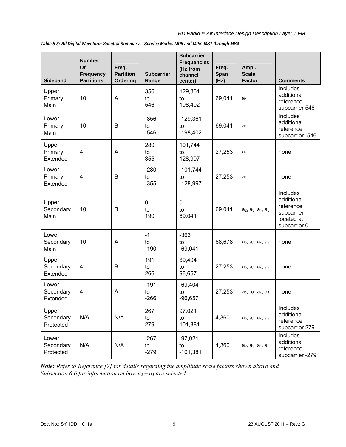*HD Radio™ Air Interface Design Description Layer 1 FM*

| <b>Sideband</b>                 | <b>Number</b><br>Of<br><b>Frequency</b><br><b>Partitions</b> | Freq.<br><b>Partition</b><br>Ordering | <b>Subcarrier</b><br>Range | <b>Subcarrier</b><br><b>Frequencies</b><br>(Hz from<br>channel<br>center) | Freq.<br>Span<br>(Hz) | Ampl.<br><b>Scale</b><br><b>Factor</b>                            | <b>Comments</b>                                                                        |
|---------------------------------|--------------------------------------------------------------|---------------------------------------|----------------------------|---------------------------------------------------------------------------|-----------------------|-------------------------------------------------------------------|----------------------------------------------------------------------------------------|
| Upper<br>Primary<br>Main        | 10                                                           | A                                     | 356<br>to<br>546           | 129,361<br>to<br>198,402                                                  | 69,041                | a <sub>1</sub>                                                    | Includes<br>additional<br>reference<br>subcarrier 546                                  |
| Lower<br>Primary<br>Main        | 10                                                           | B                                     | $-356$<br>to<br>$-546$     | $-129,361$<br>to<br>$-198,402$                                            | 69,041                | a <sub>1</sub>                                                    | Includes<br>additional<br>reference<br>subcarrier -546                                 |
| Upper<br>Primary<br>Extended    | $\overline{4}$                                               | A                                     | 280<br>to<br>355           | 101,744<br>27,253<br>to<br>a <sub>1</sub><br>128,997                      |                       |                                                                   | none                                                                                   |
| Lower<br>Primary<br>Extended    | $\overline{\mathbf{4}}$                                      | B                                     | $-280$<br>to<br>$-355$     | $-101,744$<br>27,253<br>to<br>$-128,997$                                  |                       | a <sub>1</sub>                                                    | none                                                                                   |
| Upper<br>Secondary<br>Main      | 10                                                           | B                                     | 0<br>to<br>190             | $\mathbf 0$<br>to<br>69,041                                               | 69,041                | a <sub>2</sub> , a <sub>3</sub> , a <sub>4</sub> , a <sub>5</sub> | <b>Includes</b><br>additional<br>reference<br>subcarrier<br>located at<br>subcarrier 0 |
| Lower<br>Secondary<br>Main      | 10                                                           | A                                     | $-1$<br>to<br>$-190$       | $-363$<br>to<br>$-69,041$                                                 | 68,678                | a <sub>2</sub> , a <sub>3</sub> , a <sub>4</sub> , a <sub>5</sub> | none                                                                                   |
| Upper<br>Secondary<br>Extended  | 4                                                            | B                                     | 191<br>to<br>266           | 69,404<br>to<br>96,657                                                    | 27,253                | $a_2$ , $a_3$ , $a_4$ , $a_5$                                     | none                                                                                   |
| Lower<br>Secondary<br>Extended  | $\overline{\mathbf{4}}$                                      | A                                     | $-191$<br>to<br>$-266$     | $-69,404$<br>to<br>$-96,657$                                              | 27,253                | $a_2$ , $a_3$ , $a_4$ , $a_5$                                     | none                                                                                   |
| Upper<br>Secondary<br>Protected | N/A                                                          | N/A                                   | 267<br>to<br>279           | 97,021<br>to<br>101,381                                                   | 4,360                 | a <sub>2</sub> , a <sub>3</sub> , a <sub>4</sub> , a <sub>5</sub> | Includes<br>additional<br>reference<br>subcarrier 279                                  |
| Lower<br>Secondary<br>Protected | N/A                                                          | N/A                                   | $-267$<br>to<br>$-279$     | $-97,021$<br>to<br>$-101,381$                                             | 4,360                 | a <sub>2</sub> , a <sub>3</sub> , a <sub>4</sub> , a <sub>5</sub> | Includes<br>additional<br>reference<br>subcarrier -279                                 |

<span id="page-27-1"></span><span id="page-27-0"></span>*Table 5-3: All Digital Waveform Spectral Summary – Service Modes MP5 and MP6, MS1 through MS4* 

*Note: Refer to Reference [7] for details regarding the amplitude scale factors shown above and Subsection 6.6 for information on how*  $a_2 - a_5$  *are selected.*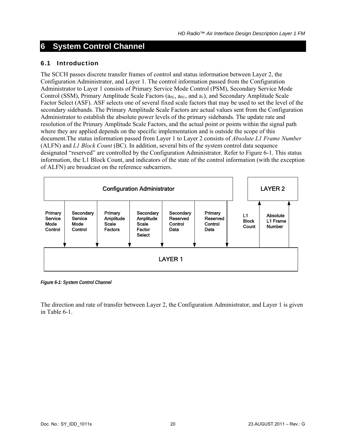## <span id="page-28-1"></span><span id="page-28-0"></span>**6 System Control Channel**

#### <span id="page-28-2"></span>6.1 Introduction

The SCCH passes discrete transfer frames of control and status information between Layer 2, the Configuration Administrator, and Layer 1. The control information passed from the Configuration Administrator to Layer 1 consists of Primary Service Mode Control (PSM), Secondary Service Mode Control (SSM), Primary Amplitude Scale Factors ( $a_{0L}$ ,  $a_{0U}$ , and  $a_1$ ), and Secondary Amplitude Scale Factor Select (ASF). ASF selects one of several fixed scale factors that may be used to set the level of the secondary sidebands. The Primary Amplitude Scale Factors are actual values sent from the Configuration Administrator to establish the absolute power levels of the primary sidebands. The update rate and resolution of the Primary Amplitude Scale Factors, and the actual point or points within the signal path where they are applied depends on the specific implementation and is outside the scope of this document.The status information passed from Layer 1 to Layer 2 consists of *Absolute L1 Frame Number* (ALFN) and *L1 Block Count* (BC). In addition, several bits of the system control data sequence designated "reserved" are controlled by the Configuration Administrator. Refer to [Figure 6-1](#page-28-3). This status information, the L1 Block Count, and indicators of the state of the control information (with the exception of ALFN) are broadcast on the reference subcarriers.



<span id="page-28-3"></span>*Figure 6-1: System Control Channel* 

The direction and rate of transfer between Layer 2, the Configuration Administrator, and Layer 1 is given in [Table 6-1.](#page-29-2)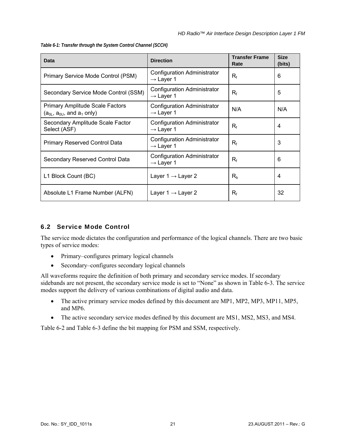<span id="page-29-0"></span>*Table 6-1: Transfer through the System Control Channel (SCCH)* 

<span id="page-29-2"></span>

| Data                                                                         | <b>Direction</b>                                            | <b>Transfer Frame</b><br>Rate | <b>Size</b><br>(bits) |
|------------------------------------------------------------------------------|-------------------------------------------------------------|-------------------------------|-----------------------|
| Primary Service Mode Control (PSM)                                           | <b>Configuration Administrator</b><br>$\rightarrow$ Layer 1 | $R_{f}$                       | 6                     |
| Secondary Service Mode Control (SSM)                                         | <b>Configuration Administrator</b><br>$\rightarrow$ Layer 1 | $R_{f}$                       | 5                     |
| <b>Primary Amplitude Scale Factors</b><br>$(a_{0L}, a_{0U},$ and $a_1$ only) | <b>Configuration Administrator</b><br>$\rightarrow$ Layer 1 | N/A                           | N/A                   |
| Secondary Amplitude Scale Factor<br>Select (ASF)                             | <b>Configuration Administrator</b><br>$\rightarrow$ Layer 1 | $R_f$                         | 4                     |
| <b>Primary Reserved Control Data</b>                                         | <b>Configuration Administrator</b><br>$\rightarrow$ Layer 1 | $R_f$                         | 3                     |
| Secondary Reserved Control Data                                              | <b>Configuration Administrator</b><br>$\rightarrow$ Layer 1 | $R_f$                         | 6                     |
| L1 Block Count (BC)                                                          | Layer $1 \rightarrow$ Layer 2                               | $R_{b}$                       | 4                     |
| Absolute L1 Frame Number (ALFN)                                              | Layer $1 \rightarrow$ Layer 2                               | $R_f$                         | 32                    |

#### <span id="page-29-1"></span>6.2 Service Mode Control

The service mode dictates the configuration and performance of the logical channels. There are two basic types of service modes:

- Primary–configures primary logical channels
- Secondary–configures secondary logical channels

All waveforms require the definition of both primary and secondary service modes. If secondary sidebands are not present, the secondary service mode is set to "None" as shown in [Table 6-3.](#page-30-3) The service modes support the delivery of various combinations of digital audio and data.

- The active primary service modes defined by this document are MP1, MP2, MP3, MP11, MP5, and MP6.
- The active secondary service modes defined by this document are MS1, MS2, MS3, and MS4.

[Table 6-2](#page-30-2) and [Table 6-3](#page-30-3) define the bit mapping for PSM and SSM, respectively.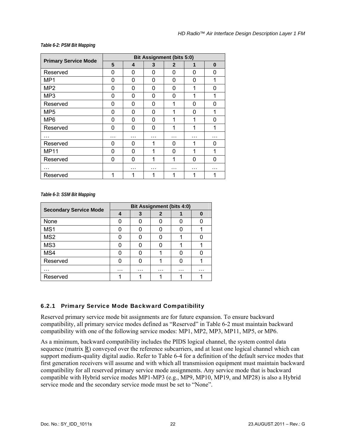#### <span id="page-30-0"></span>*Table 6-2: PSM Bit Mapping*

<span id="page-30-2"></span>

| <b>Primary Service Mode</b> |   |          |          | <b>Bit Assignment (bits 5:0)</b> |          |          |
|-----------------------------|---|----------|----------|----------------------------------|----------|----------|
|                             | 5 | 4        | 3        | $\mathbf{2}$                     | 1        | $\bf{0}$ |
| Reserved                    | 0 | 0        | 0        | 0                                | 0        | 0        |
| MP1                         | 0 | $\Omega$ | 0        | 0                                | $\Omega$ | 1        |
| MP <sub>2</sub>             | 0 | $\Omega$ | 0        | 0                                | 1        | 0        |
| MP3                         | 0 | 0        | 0        | 0                                | 1        | 1        |
| Reserved                    | 0 | 0        | 0        | 1                                | $\Omega$ | 0        |
| MP <sub>5</sub>             | 0 | 0        | 0        | 1                                | $\Omega$ | 1        |
| MP <sub>6</sub>             | 0 | 0        | 0        | 1                                | 1        | 0        |
| Reserved                    | 0 | 0        | $\Omega$ | 1                                | 1        | 1        |
| .                           | . | .        | .        | .                                | .        |          |
| Reserved                    | 0 | 0        | 1        | 0                                | 1        | 0        |
| <b>MP11</b>                 | 0 | $\Omega$ | 1        | 0                                | 1        | 1        |
| Reserved                    | 0 | 0        | 1        | 1                                | $\Omega$ | 0        |
| .                           |   | .        | .        | .                                | .        | .        |
| Reserved                    | 1 | 1        | 1        | 1                                | 1        |          |

*Table 6-3: SSM Bit Mapping* 

<span id="page-30-3"></span>

| <b>Secondary Service Mode</b> | <b>Bit Assignment (bits 4:0)</b> |   |   |   |   |  |  |  |  |
|-------------------------------|----------------------------------|---|---|---|---|--|--|--|--|
|                               | Δ                                |   | 2 |   | O |  |  |  |  |
| None                          |                                  |   |   |   |   |  |  |  |  |
| MS1                           |                                  |   |   |   |   |  |  |  |  |
| MS <sub>2</sub>               |                                  |   |   |   |   |  |  |  |  |
| MS3                           |                                  |   |   |   |   |  |  |  |  |
| MS4                           |                                  |   |   |   |   |  |  |  |  |
| Reserved                      |                                  |   |   |   |   |  |  |  |  |
| .                             | .                                | . | . | . | . |  |  |  |  |
| Reserved                      |                                  |   |   |   |   |  |  |  |  |

#### <span id="page-30-1"></span>6.2.1 Primary Service Mode Backward Compatibility

Reserved primary service mode bit assignments are for future expansion. To ensure backward compatibility, all primary service modes defined as "Reserved" in [Table 6-2](#page-30-2) must maintain backward compatibility with one of the following service modes: MP1, MP2, MP3, MP11, MP5, or MP6.

As a minimum, backward compatibility includes the PIDS logical channel, the system control data sequence (matrix R) conveyed over the reference subcarriers, and at least one logical channel which can support medium-quality digital audio. Refer to [Table 6-4](#page-31-1) for a definition of the default service modes that first generation receivers will assume and with which all transmission equipment must maintain backward compatibility for all reserved primary service mode assignments. Any service mode that is backward compatible with Hybrid service modes MP1-MP3 (e.g., MP9, MP10, MP19, and MP28) is also a Hybrid service mode and the secondary service mode must be set to "None".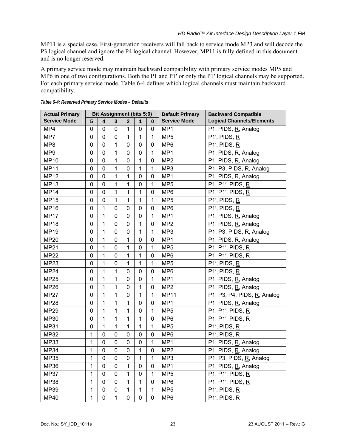<span id="page-31-0"></span>MP11 is a special case. First-generation receivers will fall back to service mode MP3 and will decode the P3 logical channel and ignore the P4 logical channel. However, MP11 is fully defined in this document and is no longer reserved.

A primary service mode may maintain backward compatibility with primary service modes MP5 and MP6 in one of two configurations. Both the P1 and P1' or only the P1' logical channels may be supported. For each primary service mode, [Table 6-4](#page-31-1) defines which logical channels must maintain backward compatibility.

<span id="page-31-1"></span>

| <b>Actual Primary</b> |                | <b>Bit Assignment (bits 5:0)</b> |                |                |              |             | <b>Default Primary</b> | <b>Backward Compatible</b>            |
|-----------------------|----------------|----------------------------------|----------------|----------------|--------------|-------------|------------------------|---------------------------------------|
| <b>Service Mode</b>   | 5              | 4                                | 3              | $\overline{2}$ | 1            | $\bf{0}$    | <b>Service Mode</b>    | <b>Logical Channels/Elements</b>      |
| MP4                   | 0              | 0                                | $\mathbf 0$    | $\mathbf{1}$   | 0            | 0           | MP1                    | P1, PIDS, R, Analog                   |
| MP7                   | 0              | 0                                | $\mathbf 0$    | $\mathbf{1}$   | 1            | 1           | MP <sub>5</sub>        | P1', PIDS, R                          |
| MP8                   | $\mathbf 0$    | 0                                | 1              | 0              | 0            | 0           | MP6                    | $P1'$ , PIDS, R                       |
| MP9                   | $\mathbf 0$    | $\mathbf 0$                      | $\mathbf{1}$   | 0              | $\mathbf 0$  | 1           | MP1                    | P1, PIDS, R, Analog                   |
| <b>MP10</b>           | $\mathbf 0$    | $\overline{0}$                   | 1              | $\mathbf 0$    | 1            | $\mathbf 0$ | MP <sub>2</sub>        | P1, PIDS, R, Analog                   |
| <b>MP11</b>           | $\overline{0}$ | 0                                | $\mathbf 1$    | $\mathbf 0$    | 1            | 1           | MP3                    | P1, P3, PIDS, R, Analog               |
| <b>MP12</b>           | 0              | $\Omega$                         | 1              | 1              | $\mathbf 0$  | 0           | MP1                    | P1, PIDS, R, Analog                   |
| <b>MP13</b>           | $\mathbf 0$    | $\Omega$                         | 1              | 1              | 0            | 1           | MP <sub>5</sub>        | P1, P1', PIDS, R                      |
| <b>MP14</b>           | $\mathbf 0$    | $\mathbf 0$                      | 1              | $\mathbf 1$    | 1            | 0           | MP6                    | P1, P1', PIDS, R                      |
| <b>MP15</b>           | 0              | 0                                | 1              | 1              | 1            | 1           | MP <sub>5</sub>        | $P1'$ , PIDS, R                       |
| <b>MP16</b>           | 0              | 1                                | 0              | 0              | 0            | 0           | MP <sub>6</sub>        | $P1'$ , PIDS, R                       |
| <b>MP17</b>           | $\mathbf 0$    | 1                                | 0              | 0              | $\mathbf 0$  | 1           | MP1                    | P1, PIDS, R, Analog                   |
| <b>MP18</b>           | $\mathbf 0$    | 1                                | 0              | 0              | 1            | 0           | MP <sub>2</sub>        | P1, PIDS, R, Analog                   |
| <b>MP19</b>           | 0              | 1                                | $\mathbf 0$    | $\mathbf 0$    | 1            | 1           | MP3                    | P1, P3, PIDS, R, Analog               |
| <b>MP20</b>           | 0              | 1                                | $\mathbf 0$    | $\mathbf{1}$   | $\mathbf 0$  | 0           | MP1                    | P1, PIDS, R, Analog                   |
| <b>MP21</b>           | 0              | 1                                | 0              | 1              | 0            | 1           | MP <sub>5</sub>        | P1, P1', PIDS, R                      |
| <b>MP22</b>           | 0              | 1                                | 0              | 1              | 1            | 0           | MP <sub>6</sub>        | P1, P1', PIDS, R                      |
| <b>MP23</b>           | 0              | 1                                | 0              | $\mathbf{1}$   | 1            | 1           | MP <sub>5</sub>        | $P1'$ , PIDS, R                       |
| <b>MP24</b>           | 0              | 1                                | 1              | 0              | 0            | 0           | MP <sub>6</sub>        | $P1'$ , PIDS, R                       |
| <b>MP25</b>           | 0              | 1                                | 1              | 0              | 0            | 1           | MP1                    | P1, PIDS, R, Analog                   |
| <b>MP26</b>           | $\pmb{0}$      | 1                                | 1              | 0              | 1            | 0           | MP <sub>2</sub>        | P1, PIDS, R, Analog                   |
| <b>MP27</b>           | 0              | 1                                | 1              | 0              | 1            | 1           | <b>MP11</b>            | P1, P3, P4, PIDS, R, Analog           |
| <b>MP28</b>           | $\mathbf 0$    | 1                                | $\mathbf{1}$   | $\mathbf{1}$   | $\mathbf 0$  | 0           | MP1                    | P1, PIDS, R, Analog                   |
| <b>MP29</b>           | $\mathbf 0$    | 1                                | $\mathbf 1$    | $\mathbf{1}$   | $\mathbf 0$  | 1           | MP <sub>5</sub>        | $\overline{P}$ 1, P1', PIDS, <u>R</u> |
| <b>MP30</b>           | $\mathbf 0$    | $\mathbf{1}$                     | $\mathbf 1$    | $\mathbf{1}$   | $\mathbf{1}$ | $\mathbf 0$ | MP6                    | P1, P1', PIDS, R                      |
| <b>MP31</b>           | $\mathbf 0$    | 1                                | 1              | $\mathbf{1}$   | 1            | 1           | MP <sub>5</sub>        | $P1'$ , PIDS, R                       |
| <b>MP32</b>           | 1              | $\mathbf 0$                      | 0              | 0              | $\mathbf 0$  | $\mathbf 0$ | MP6                    | $P1'$ , PIDS, R                       |
| <b>MP33</b>           | $\mathbf{1}$   | $\mathbf 0$                      | 0              | $\mathbf 0$    | $\mathbf 0$  | 1           | MP1                    | P1, PIDS, R, Analog                   |
| <b>MP34</b>           | $\mathbf{1}$   | $\mathbf 0$                      | $\mathbf 0$    | $\mathbf 0$    | 1            | 0           | MP <sub>2</sub>        | P1, PIDS, R, Analog                   |
| <b>MP35</b>           | $\mathbf{1}$   | $\mathbf 0$                      | $\mathbf 0$    | $\mathbf 0$    | 1            | 1           | MP3                    | P1, P3, PIDS, R, Analog               |
| <b>MP36</b>           | $\mathbf{1}$   | $\mathbf 0$                      | $\mathbf 0$    | $\mathbf{1}$   | $\mathbf 0$  | 0           | MP1                    | P1, PIDS, R, Analog                   |
| <b>MP37</b>           | 1              | $\mathbf 0$                      | $\mathbf 0$    | $\mathbf{1}$   | $\mathbf 0$  | 1           | MP <sub>5</sub>        | P1, P1', PIDS, R                      |
| <b>MP38</b>           | 1              | $\mathbf 0$                      | $\mathbf 0$    | $\mathbf{1}$   | 1            | $\mathbf 0$ | MP <sub>6</sub>        | P1, P1', PIDS, R                      |
| <b>MP39</b>           | $\mathbf{1}$   | $\overline{0}$                   | $\overline{0}$ | $\mathbf{1}$   | $\mathbf{1}$ | 1           | MP <sub>5</sub>        | $P1'$ , PIDS, R                       |
| <b>MP40</b>           | 1              | $\overline{0}$                   | 1              | $\mathbf 0$    | $\mathbf 0$  | $\mathbf 0$ | MP <sub>6</sub>        | P1', PIDS, R                          |

*Table 6-4: Reserved Primary Service Modes – Defaults*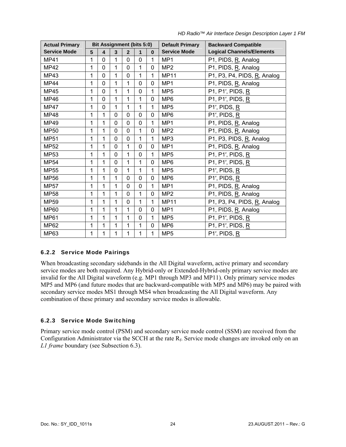<span id="page-32-0"></span>

| <b>Actual Primary</b> |   | <b>Bit Assignment (bits 5:0)</b> |             |                |              |              | <b>Default Primary</b> | <b>Backward Compatible</b>       |
|-----------------------|---|----------------------------------|-------------|----------------|--------------|--------------|------------------------|----------------------------------|
| <b>Service Mode</b>   | 5 | 4                                | 3           | $\overline{2}$ | 1            | $\bf{0}$     | <b>Service Mode</b>    | <b>Logical Channels/Elements</b> |
| MP41                  | 1 | $\Omega$                         | 1           | $\Omega$       | $\Omega$     | 1            | MP1                    | P1, PIDS, R, Analog              |
| <b>MP42</b>           | 1 | $\Omega$                         | 1           | $\Omega$       | 1            | $\mathbf 0$  | MP <sub>2</sub>        | P1, PIDS, R, Analog              |
| MP43                  | 1 | 0                                | 1           | 0              | 1            | $\mathbf 1$  | <b>MP11</b>            | P1, P3, P4, PIDS, R, Analog      |
| <b>MP44</b>           | 1 | $\Omega$                         | 1           | 1              | $\Omega$     | $\mathbf 0$  | MP <sub>1</sub>        | P1, PIDS, R, Analog              |
| <b>MP45</b>           | 1 | 0                                | 1           | 1              | 0            | $\mathbf 1$  | MP <sub>5</sub>        | P1, P1', PIDS, R                 |
| MP46                  | 1 | $\Omega$                         | 1           | 1              | 1            | 0            | MP <sub>6</sub>        | P1, P1', PIDS, R                 |
| <b>MP47</b>           | 1 | 0                                | 1           | 1              | 1            | $\mathbf 1$  | MP <sub>5</sub>        | $P1'$ , PIDS, R                  |
| MP48                  | 1 | 1                                | $\mathbf 0$ | 0              | $\mathbf{0}$ | $\mathbf{0}$ | MP <sub>6</sub>        | $P1'$ , PIDS, R                  |
| MP49                  | 1 | 1                                | $\Omega$    | $\Omega$       | $\Omega$     | 1            | MP1                    | P1, PIDS, R, Analog              |
| MP50                  | 1 | 1                                | $\mathbf 0$ | 0              | 1            | $\mathbf{0}$ | MP <sub>2</sub>        | P1, PIDS, R, Analog              |
| <b>MP51</b>           | 1 | 1                                | $\Omega$    | 0              | 1            | 1            | MP <sub>3</sub>        | P1, P3, PIDS, R, Analog          |
| <b>MP52</b>           | 1 | 1                                | 0           | 1              | 0            | $\mathbf 0$  | MP1                    | P1, PIDS, R, Analog              |
| MP53                  | 1 | 1                                | 0           | 1              | $\Omega$     | 1            | MP <sub>5</sub>        | P1, P1', PIDS, R                 |
| <b>MP54</b>           | 1 | 1                                | 0           | 1              | 1            | $\mathbf 0$  | MP <sub>6</sub>        | P1, P1', PIDS, R                 |
| MP55                  | 1 | 1                                | 0           | 1              | 1            | 1            | MP <sub>5</sub>        | $P1'$ , PIDS, R                  |
| <b>MP56</b>           | 1 | 1                                | 1           | 0              | $\mathbf 0$  | $\mathbf 0$  | MP <sub>6</sub>        | $P1'$ , PIDS, R                  |
| MP57                  | 1 | 1                                | 1           | 0              | $\mathbf 0$  | 1            | MP <sub>1</sub>        | P1, PIDS, R, Analog              |
| MP58                  | 1 | 1                                | 1           | $\Omega$       | $\mathbf{1}$ | $\mathbf 0$  | MP <sub>2</sub>        | P1, PIDS, R, Analog              |
| MP59                  | 1 | 1                                | 1           | 0              | 1            | 1            | <b>MP11</b>            | P1, P3, P4, PIDS, R, Analog      |
| MP60                  | 1 | 1                                | 1           | 1              | $\Omega$     | $\mathbf 0$  | MP <sub>1</sub>        | P1, PIDS, R, Analog              |
| <b>MP61</b>           | 1 | 1                                | 1           | 1              | 0            | $\mathbf{1}$ | MP <sub>5</sub>        | P1, P1', PIDS, R                 |
| MP62                  | 1 | 1                                | 1           | 1              | 1            | $\mathbf 0$  | MP <sub>6</sub>        | P1, P1', PIDS, R                 |
| <b>MP63</b>           | 1 | 1                                | 1           | 1              | 1            | $\mathbf{1}$ | MP <sub>5</sub>        | $P1'$ , PIDS, R                  |

*HD Radio™ Air Interface Design Description Layer 1 FM*

#### <span id="page-32-1"></span>6.2.2 Service Mode Pairings

When broadcasting secondary sidebands in the All Digital waveform, active primary and secondary service modes are both required. Any Hybrid-only or Extended-Hybrid-only primary service modes are invalid for the All Digital waveform (e.g. MP1 through MP3 and MP11). Only primary service modes MP5 and MP6 (and future modes that are backward-compatible with MP5 and MP6) may be paired with secondary service modes MS1 through MS4 when broadcasting the All Digital waveform. Any combination of these primary and secondary service modes is allowable.

#### <span id="page-32-2"></span>6.2.3 Service Mode Switching

Primary service mode control (PSM) and secondary service mode control (SSM) are received from the Configuration Administrator via the SCCH at the rate  $R_f$ . Service mode changes are invoked only on an *L1 frame* boundary (see Subsection [6.3](#page-33-1)).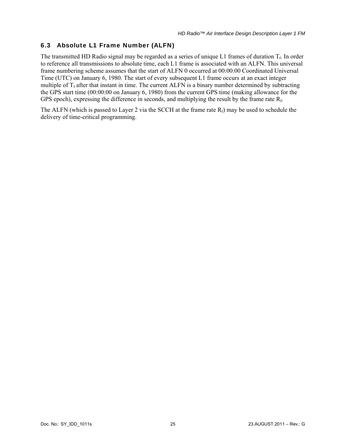#### <span id="page-33-1"></span><span id="page-33-0"></span>6.3 Absolute L1 Frame Number (ALFN)

The transmitted HD Radio signal may be regarded as a series of unique L1 frames of duration  $T_f$ . In order to reference all transmissions to absolute time, each L1 frame is associated with an ALFN. This universal frame numbering scheme assumes that the start of ALFN 0 occurred at 00:00:00 Coordinated Universal Time (UTC) on January 6, 1980. The start of every subsequent L1 frame occurs at an exact integer multiple of  $T_f$  after that instant in time. The current ALFN is a binary number determined by subtracting the GPS start time (00:00:00 on January 6, 1980) from the current GPS time (making allowance for the GPS epoch), expressing the difference in seconds, and multiplying the result by the frame rate  $R_f$ .

The ALFN (which is passed to Layer 2 via the SCCH at the frame rate  $R_f$ ) may be used to schedule the delivery of time-critical programming.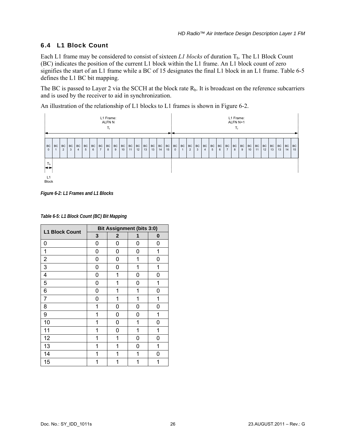#### <span id="page-34-1"></span><span id="page-34-0"></span>6.4 L1 Block Count

Each L1 frame may be considered to consist of sixteen *L1 blocks* of duration  $T_b$ . The L1 Block Count (BC) indicates the position of the current L1 block within the L1 frame. An L1 block count of zero signifies the start of an L1 frame while a BC of 15 designates the final L1 block in an L1 frame. [Table 6-5](#page-34-3) defines the L1 BC bit mapping.

The BC is passed to Layer 2 via the SCCH at the block rate  $R_b$ . It is broadcast on the reference subcarriers and is used by the receiver to aid in synchronization.

An illustration of the relationship of L1 blocks to L1 frames is shown in [Figure 6-2.](#page-34-2)



<span id="page-34-2"></span>*Figure 6-2: L1 Frames and L1 Blocks* 

<span id="page-34-3"></span>

| <b>L1 Block Count</b> | <b>Bit Assignment (bits 3:0)</b> |                |   |   |  |
|-----------------------|----------------------------------|----------------|---|---|--|
|                       | 3                                | $\overline{2}$ | 1 | 0 |  |
| 0                     | 0                                | 0              | 0 | 0 |  |
| 1                     | 0                                | 0              | 0 | 1 |  |
| $\overline{2}$        | 0                                | 0              | 1 | 0 |  |
| 3                     | 0                                | 0              | 1 | 1 |  |
| 4                     | 0                                | 1              | 0 | 0 |  |
| 5                     | 0                                | 1              | 0 | 1 |  |
| 6                     | 0                                | 1              | 1 | 0 |  |
| 7                     | 0                                | 1              | 1 | 1 |  |
| 8                     | 1                                | 0              | 0 | 0 |  |
| 9                     | 1                                | 0              | 0 | 1 |  |
| 10                    | 1                                | 0              | 1 | 0 |  |
| 11                    | 1                                | 0              | 1 | 1 |  |
| 12                    | 1                                | 1              | 0 | 0 |  |
| 13                    | 1                                | 1              | 0 | 1 |  |
| 14                    | 1                                | 1              | 1 | 0 |  |
| 15                    | 1                                | 1              | 1 | 1 |  |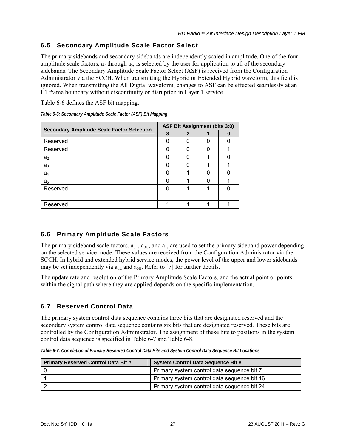#### <span id="page-35-1"></span><span id="page-35-0"></span>6.5 Secondary Amplitude Scale Factor Select

The primary sidebands and secondary sidebands are independently scaled in amplitude. One of the four amplitude scale factors,  $a_2$  through  $a_5$ , is selected by the user for application to all of the secondary sidebands. The Secondary Amplitude Scale Factor Select (ASF) is received from the Configuration Administrator via the SCCH. When transmitting the Hybrid or Extended Hybrid waveform, this field is ignored. When transmitting the All Digital waveform, changes to ASF can be effected seamlessly at an L1 frame boundary without discontinuity or disruption in Layer 1 service.

[Table 6-6](#page-35-4) defines the ASF bit mapping.

<span id="page-35-4"></span>

| <b>Secondary Amplitude Scale Factor Selection</b> |   | <b>ASF Bit Assignment (bits 3:0)</b> |   |   |  |  |
|---------------------------------------------------|---|--------------------------------------|---|---|--|--|
|                                                   |   | 2                                    |   |   |  |  |
| Reserved                                          | O | O                                    |   |   |  |  |
| Reserved                                          |   |                                      |   |   |  |  |
| a <sub>2</sub>                                    | n |                                      |   |   |  |  |
| a <sub>3</sub>                                    | O |                                      |   |   |  |  |
| a <sub>4</sub>                                    | n |                                      |   |   |  |  |
| a <sub>5</sub>                                    |   |                                      |   |   |  |  |
| Reserved                                          | n |                                      |   |   |  |  |
| .                                                 | . | .                                    | . | . |  |  |
| Reserved                                          |   |                                      |   |   |  |  |

*Table 6-6: Secondary Amplitude Scale Factor (ASF) Bit Mapping* 

#### <span id="page-35-2"></span>6.6 Primary Amplitude Scale Factors

The primary sideband scale factors,  $a_{0L}$ ,  $a_{0L}$ , and  $a_L$ , are used to set the primary sideband power depending on the selected service mode. These values are received from the Configuration Administrator via the SCCH. In hybrid and extended hybrid service modes, the power level of the upper and lower sidebands may be set independently via  $a_{0L}$  and  $a_{0H}$ . Refer to [7] for further details.

The update rate and resolution of the Primary Amplitude Scale Factors, and the actual point or points within the signal path where they are applied depends on the specific implementation.

#### <span id="page-35-3"></span>6.7 Reserved Control Data

The primary system control data sequence contains three bits that are designated reserved and the secondary system control data sequence contains six bits that are designated reserved. These bits are controlled by the Configuration Administrator. The assignment of these bits to positions in the system control data sequence is specified in [Table 6-7](#page-35-5) and [Table 6-8](#page-36-1).

*Table 6-7: Correlation of Primary Reserved Control Data Bits and System Control Data Sequence Bit Locations*

<span id="page-35-5"></span>

| <b>Primary Reserved Control Data Bit #</b> | <b>System Control Data Sequence Bit #</b>   |
|--------------------------------------------|---------------------------------------------|
|                                            | Primary system control data sequence bit 7  |
|                                            | Primary system control data sequence bit 16 |
|                                            | Primary system control data sequence bit 24 |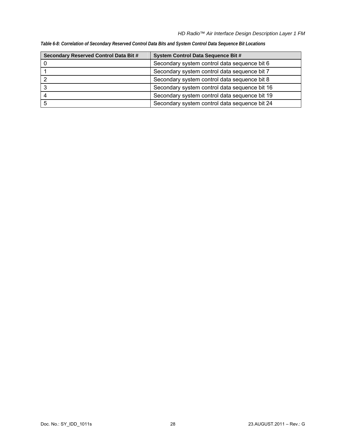| Secondary Reserved Control Data Bit # | System Control Data Sequence Bit #            |
|---------------------------------------|-----------------------------------------------|
|                                       | Secondary system control data sequence bit 6  |
|                                       | Secondary system control data sequence bit 7  |
|                                       | Secondary system control data sequence bit 8  |
|                                       | Secondary system control data sequence bit 16 |
|                                       | Secondary system control data sequence bit 19 |
|                                       | Secondary system control data sequence bit 24 |

*Table 6-8: Correlation of Secondary Reserved Control Data Bits and System Control Data Sequence Bit Locations*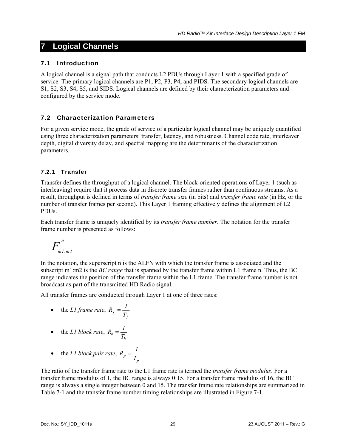# **7 Logical Channels**

## 7.1 Introduction

A logical channel is a signal path that conducts L2 PDUs through Layer 1 with a specified grade of service. The primary logical channels are P1, P2, P3, P4, and PIDS. The secondary logical channels are S1, S2, S3, S4, S5, and SIDS. Logical channels are defined by their characterization parameters and configured by the service mode.

# 7.2 Characterization Parameters

For a given service mode, the grade of service of a particular logical channel may be uniquely quantified using three characterization parameters: transfer, latency, and robustness. Channel code rate, interleaver depth, digital diversity delay, and spectral mapping are the determinants of the characterization parameters.

## <span id="page-37-0"></span>7.2.1 Transfer

Transfer defines the throughput of a logical channel. The block-oriented operations of Layer 1 (such as interleaving) require that it process data in discrete transfer frames rather than continuous streams. As a result, throughput is defined in terms of *transfer frame size* (in bits) and *transfer frame rate* (in Hz, or the number of transfer frames per second). This Layer 1 framing effectively defines the alignment of L2 PDUs.

Each transfer frame is uniquely identified by its *transfer frame number*. The notation for the transfer frame number is presented as follows:

$$
F^{n}_{m1:m2}
$$

In the notation, the superscript n is the ALFN with which the transfer frame is associated and the subscript m1:m2 is the *BC range* that is spanned by the transfer frame within L1 frame n. Thus, the BC range indicates the position of the transfer frame within the L1 frame. The transfer frame number is not broadcast as part of the transmitted HD Radio signal.

All transfer frames are conducted through Layer 1 at one of three rates:

• the *L1 frame rate*, 
$$
R_f = \frac{I}{T_f}
$$

• the *L1* block rate, 
$$
R_b = \frac{I}{T_b}
$$

• the *L1* block pair rate, 
$$
R_p = \frac{I}{T_p}
$$

The ratio of the transfer frame rate to the L1 frame rate is termed the *transfer frame modulus*. For a transfer frame modulus of 1, the BC range is always 0:15. For a transfer frame modulus of 16, the BC range is always a single integer between 0 and 15. The transfer frame rate relationships are summarized in [Table 7-1](#page-38-0) and the transfer frame number timing relationships are illustrated in [Figure 7-1.](#page-38-1)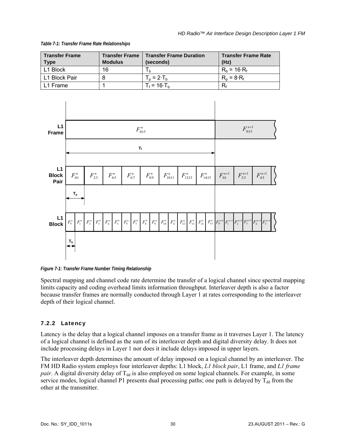#### *Table 7-1: Transfer Frame Rate Relationships*

<span id="page-38-0"></span>

| <b>Transfer Frame</b><br>Type | <b>Transfer Frame</b><br><b>Modulus</b> | <b>Transfer Frame Duration</b><br>(seconds) | <b>Transfer Frame Rate</b><br>(Hz) |
|-------------------------------|-----------------------------------------|---------------------------------------------|------------------------------------|
| L1 Block                      | 16                                      |                                             | $R_h = 16 \cdot R_f$               |
| L1 Block Pair                 |                                         | $T_p = 2 \cdot T_b$                         | $R_n = 8 \cdot R_f$                |
| l L1 Frame                    |                                         | $T_f = 16 \cdot T_h$                        | R٠                                 |



<span id="page-38-1"></span>*Figure 7-1: Transfer Frame Number Timing Relationship* 

Spectral mapping and channel code rate determine the transfer of a logical channel since spectral mapping limits capacity and coding overhead limits information throughput. Interleaver depth is also a factor because transfer frames are normally conducted through Layer 1 at rates corresponding to the interleaver depth of their logical channel.

## 7.2.2 Latency

Latency is the delay that a logical channel imposes on a transfer frame as it traverses Layer 1. The latency of a logical channel is defined as the sum of its interleaver depth and digital diversity delay. It does not include processing delays in Layer 1 nor does it include delays imposed in upper layers.

The interleaver depth determines the amount of delay imposed on a logical channel by an interleaver. The FM HD Radio system employs four interleaver depths: L1 block, *L1 block pair*, L1 frame, and *L1 frame pair*. A digital diversity delay of T<sub>dd</sub> is also employed on some logical channels. For example, in some service modes, logical channel P1 presents dual processing paths; one path is delayed by  $T_{dd}$  from the other at the transmitter.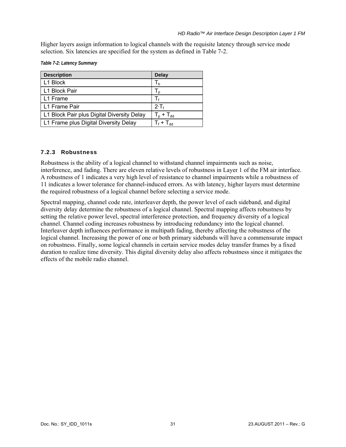Higher layers assign information to logical channels with the requisite latency through service mode selection. Six latencies are specified for the system as defined in [Table 7-2](#page-39-0).

*Table 7-2: Latency Summary* 

<span id="page-39-0"></span>

| <b>Description</b>                         | <b>Delay</b>   |
|--------------------------------------------|----------------|
| L1 Block                                   | Т <sub>b</sub> |
| L1 Block Pair                              | I n            |
| L1 Frame                                   |                |
| L1 Frame Pair                              | $2 \cdot T_f$  |
| L1 Block Pair plus Digital Diversity Delay | $T_p + T_{dd}$ |
| L1 Frame plus Digital Diversity Delay      | $T_f + T_{dd}$ |

## 7.2.3 Robustness

Robustness is the ability of a logical channel to withstand channel impairments such as noise, interference, and fading. There are eleven relative levels of robustness in Layer 1 of the FM air interface. A robustness of 1 indicates a very high level of resistance to channel impairments while a robustness of 11 indicates a lower tolerance for channel-induced errors. As with latency, higher layers must determine the required robustness of a logical channel before selecting a service mode.

Spectral mapping, channel code rate, interleaver depth, the power level of each sideband, and digital diversity delay determine the robustness of a logical channel. Spectral mapping affects robustness by setting the relative power level, spectral interference protection, and frequency diversity of a logical channel. Channel coding increases robustness by introducing redundancy into the logical channel. Interleaver depth influences performance in multipath fading, thereby affecting the robustness of the logical channel. Increasing the power of one or both primary sidebands will have a commensurate impact on robustness. Finally, some logical channels in certain service modes delay transfer frames by a fixed duration to realize time diversity. This digital diversity delay also affects robustness since it mitigates the effects of the mobile radio channel.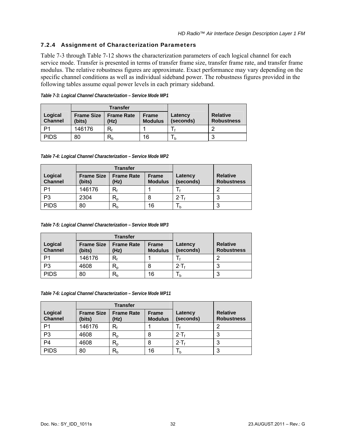## 7.2.4 Assignment of Characterization Parameters

[Table 7-3](#page-40-0) through [Table 7-12](#page-42-0) shows the characterization parameters of each logical channel for each service mode. Transfer is presented in terms of transfer frame size, transfer frame rate, and transfer frame modulus. The relative robustness figures are approximate. Exact performance may vary depending on the specific channel conditions as well as individual sideband power. The robustness figures provided in the following tables assume equal power levels in each primary sideband.

<span id="page-40-0"></span>

|                           | <b>Transfer</b>             |                           |                                |                      |                                      |
|---------------------------|-----------------------------|---------------------------|--------------------------------|----------------------|--------------------------------------|
| Logical<br><b>Channel</b> | <b>Frame Size</b><br>(bits) | <b>Frame Rate</b><br>(Hz) | <b>Frame</b><br><b>Modulus</b> | Latency<br>(seconds) | <b>Relative</b><br><b>Robustness</b> |
| D1                        | 146176                      | R٠                        |                                |                      |                                      |
| <b>PIDS</b>               | 80                          | $R_{b}$                   | 16                             | l h                  | ◠<br>J                               |

| Table 7-3: Logical Channel Characterization - Service Mode MP1 |  |  |
|----------------------------------------------------------------|--|--|
|                                                                |  |  |

*Table 7-4: Logical Channel Characterization – Service Mode MP2* 

|                           | <b>Transfer</b>             |                                               |                                |                      |                                      |
|---------------------------|-----------------------------|-----------------------------------------------|--------------------------------|----------------------|--------------------------------------|
| Logical<br><b>Channel</b> | <b>Frame Size</b><br>(bits) | <b>Frame Rate</b><br>(Hz)                     | <b>Frame</b><br><b>Modulus</b> | Latency<br>(seconds) | <b>Relative</b><br><b>Robustness</b> |
| P1                        | 146176                      | R۰                                            |                                |                      |                                      |
| P <sub>3</sub>            | 2304                        | $\mathsf{R}_{\scriptscriptstyle{\mathsf{D}}}$ |                                | $2 \cdot T_1$        |                                      |
| <b>PIDS</b>               | 80                          | $R_{b}$                                       | 16                             | I h                  |                                      |

*Table 7-5: Logical Channel Characterization – Service Mode MP3* 

|                           | <b>Transfer</b>             |                           |                                |                      |                                      |
|---------------------------|-----------------------------|---------------------------|--------------------------------|----------------------|--------------------------------------|
| Logical<br><b>Channel</b> | <b>Frame Size</b><br>(bits) | <b>Frame Rate</b><br>(Hz) | <b>Frame</b><br><b>Modulus</b> | Latency<br>(seconds) | <b>Relative</b><br><b>Robustness</b> |
| P1                        | 146176                      | R۰                        |                                |                      |                                      |
| P <sub>3</sub>            | 4608                        | $R_{o}$                   | 8                              | $2 \cdot T_f$        |                                      |
| <b>PIDS</b>               | 80                          | R,                        | 16                             |                      |                                      |

*Table 7-6: Logical Channel Characterization – Service Mode MP11* 

|                           | <b>Transfer</b>             |                                               |                                |                      |                                      |
|---------------------------|-----------------------------|-----------------------------------------------|--------------------------------|----------------------|--------------------------------------|
| Logical<br><b>Channel</b> | <b>Frame Size</b><br>(bits) | <b>Frame Rate</b><br>(Hz)                     | <b>Frame</b><br><b>Modulus</b> | Latency<br>(seconds) | <b>Relative</b><br><b>Robustness</b> |
| P1                        | 146176                      | $\mathsf{R}_{\mathsf{f}}$                     |                                |                      |                                      |
| P <sub>3</sub>            | 4608                        | $R_{p}$                                       | 8                              | $2 \cdot T_f$        |                                      |
| P4                        | 4608                        | $\mathsf{R}_{\scriptscriptstyle{\mathsf{D}}}$ | 8                              | $2 \cdot T_4$        |                                      |
| <b>PIDS</b>               | 80                          | $\mathsf{R}_{\mathsf{b}}$                     | 16                             | I h                  |                                      |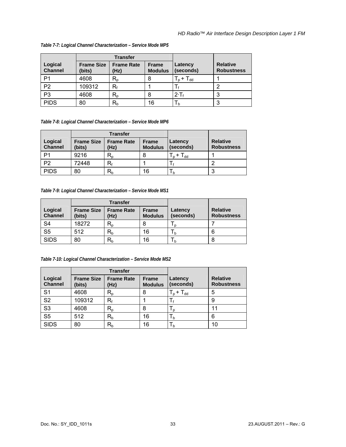|                           | <b>Transfer</b>             |                           |                                |                                            |                                      |
|---------------------------|-----------------------------|---------------------------|--------------------------------|--------------------------------------------|--------------------------------------|
| Logical<br><b>Channel</b> | <b>Frame Size</b><br>(bits) | <b>Frame Rate</b><br>(Hz) | <b>Frame</b><br><b>Modulus</b> | Latency<br>(seconds)                       | <b>Relative</b><br><b>Robustness</b> |
| P <sub>1</sub>            | 4608                        | $\mathsf{R}_{\mathsf{D}}$ | 8                              | $_{\rm bb}$ I<br>$\mathsf{L}_{\mathsf{D}}$ |                                      |
| P <sub>2</sub>            | 109312                      | $R_{f}$                   |                                |                                            |                                      |
| P <sub>3</sub>            | 4608                        | $R_{p}$                   | 8                              | $2 \cdot T_f$                              | ◠<br>J                               |
| <b>PIDS</b>               | 80                          | $\mathsf{R}_{\mathsf{b}}$ | 16                             | $\mathsf{L}_{\mathsf{b}}$                  | ◠                                    |

#### *Table 7-7: Logical Channel Characterization – Service Mode MP5*

*Table 7-8: Logical Channel Characterization – Service Mode MP6* 

|                           | <b>Transfer</b>             |                           |                                |                       |                                      |
|---------------------------|-----------------------------|---------------------------|--------------------------------|-----------------------|--------------------------------------|
| Logical<br><b>Channel</b> | <b>Frame Size</b><br>(bits) | <b>Frame Rate</b><br>(Hz) | <b>Frame</b><br><b>Modulus</b> | Latency<br>(seconds)  | <b>Relative</b><br><b>Robustness</b> |
| P <sub>1</sub>            | 9216                        | $R_{p}$                   |                                | $T_{dd}$<br>$T_{p}$ + |                                      |
| P <sub>2</sub>            | 72448                       | R۰                        |                                |                       |                                      |
| <b>PIDS</b>               | 80                          | $R_b$                     | 16                             | I b                   | ◠                                    |

*Table 7-9: Logical Channel Characterization – Service Mode MS1* 

|                           | <b>Transfer</b>             |                           |                                |                      |                                      |
|---------------------------|-----------------------------|---------------------------|--------------------------------|----------------------|--------------------------------------|
| Logical<br><b>Channel</b> | <b>Frame Size</b><br>(bits) | <b>Frame Rate</b><br>(Hz) | <b>Frame</b><br><b>Modulus</b> | Latency<br>(seconds) | <b>Relative</b><br><b>Robustness</b> |
| S <sub>4</sub>            | 18272                       | $\mathsf{R}_{\mathsf{D}}$ | 8                              | I n                  |                                      |
| S <sub>5</sub>            | 512                         | $\mathsf{R}_{\mathsf{b}}$ | 16                             | I h                  | 6                                    |
| <b>SIDS</b>               | 80                          | $\mathsf{R}_{\mathsf{b}}$ | 16                             | I b                  | 8                                    |

*Table 7-10: Logical Channel Characterization – Service Mode MS2* 

|                           | <b>Transfer</b>             |                           |                                |                           |                                      |
|---------------------------|-----------------------------|---------------------------|--------------------------------|---------------------------|--------------------------------------|
| Logical<br><b>Channel</b> | <b>Frame Size</b><br>(bits) | <b>Frame Rate</b><br>(Hz) | <b>Frame</b><br><b>Modulus</b> | Latency<br>(seconds)      | <b>Relative</b><br><b>Robustness</b> |
| S <sub>1</sub>            | 4608                        | $\mathsf{R}_{\mathsf{p}}$ | 8                              | $T_p$ + $T_{dd}$          | 5                                    |
| S <sub>2</sub>            | 109312                      | R۰                        |                                |                           | 9                                    |
| S <sub>3</sub>            | 4608                        | $\mathsf{R}_{\mathsf{p}}$ | 8                              | I p                       | 11                                   |
| S <sub>5</sub>            | 512                         | $\mathsf{R}_{\mathsf{b}}$ | 16                             | $\mathsf{L}_{\mathsf{b}}$ | 6                                    |
| <b>SIDS</b>               | 80                          | $\mathsf{R}_{\mathsf{b}}$ | 16                             | I b                       | 10                                   |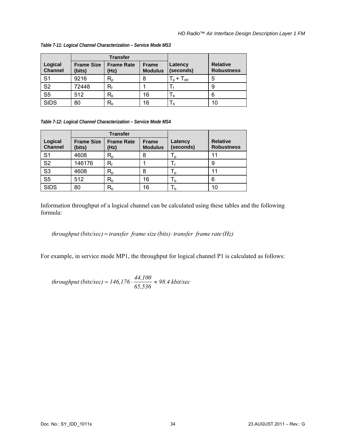|                           | <b>Transfer</b>             |                           |                                |                            |                                      |
|---------------------------|-----------------------------|---------------------------|--------------------------------|----------------------------|--------------------------------------|
| Logical<br><b>Channel</b> | <b>Frame Size</b><br>(bits) | <b>Frame Rate</b><br>(Hz) | <b>Frame</b><br><b>Modulus</b> | Latency<br>(seconds)       | <b>Relative</b><br><b>Robustness</b> |
| S <sub>1</sub>            | 9216                        | $R_{p}$                   | 8                              | $T_{\sf p}$ + $T_{\sf dd}$ | 5                                    |
| S <sub>2</sub>            | 72448                       | R۰                        |                                |                            | 9                                    |
| S <sub>5</sub>            | 512                         | $R_b$                     | 16                             | $h_{b}$                    | 6                                    |
| <b>SIDS</b>               | 80                          | $\mathsf{R}_{\mathsf{b}}$ | 16                             | I b                        | 10                                   |

*Table 7-11: Logical Channel Characterization – Service Mode MS3* 

*Table 7-12: Logical Channel Characterization – Service Mode MS4* 

<span id="page-42-0"></span>

|                           | <b>Transfer</b>             |                           |                                |                           |                                      |
|---------------------------|-----------------------------|---------------------------|--------------------------------|---------------------------|--------------------------------------|
| Logical<br><b>Channel</b> | <b>Frame Size</b><br>(bits) | <b>Frame Rate</b><br>(Hz) | <b>Frame</b><br><b>Modulus</b> | Latency<br>(seconds)      | <b>Relative</b><br><b>Robustness</b> |
| S <sub>1</sub>            | 4608                        | $R_{p}$                   | 8                              | I p                       | 11                                   |
| S <sub>2</sub>            | 146176                      | R۰                        |                                |                           | 9                                    |
| S <sub>3</sub>            | 4608                        | $\mathsf{R}_{\mathsf{p}}$ | 8                              | I p                       | 11                                   |
| S <sub>5</sub>            | 512                         | $R_b$                     | 16                             | $\mathsf{L}_{\mathsf{b}}$ | 6                                    |
| <b>SIDS</b>               | 80                          | $\mathsf{R}_{\mathsf{b}}$ | 16                             | Т <sub>b</sub>            | 10                                   |

Information throughput of a logical channel can be calculated using these tables and the following formula:

## $throughput (bits/sec) = transfer frame size (bits) · transfer frame rate (Hz)$

For example, in service mode MP1, the throughput for logical channel P1 is calculated as follows:

*kbit/sec 98.4 65,536*  $throughput (bits/sec) = 146,176 \cdot \frac{44,100}{\sqrt{15}} \approx$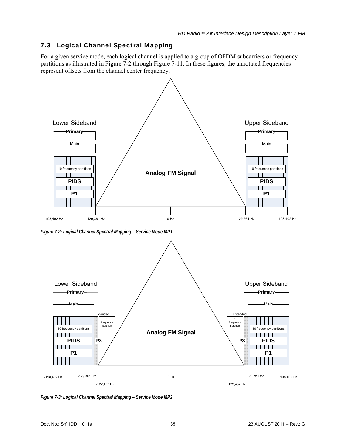# 7.3 Logical Channel Spectral Mapping

For a given service mode, each logical channel is applied to a group of OFDM subcarriers or frequency partitions as illustrated in [Figure 7-2](#page-43-0) through [Figure 7-11.](#page-47-0) In these figures, the annotated frequencies represent offsets from the channel center frequency.



<span id="page-43-0"></span>*Figure 7-2: Logical Channel Spectral Mapping – Service Mode MP1* 



*Figure 7-3: Logical Channel Spectral Mapping – Service Mode MP2*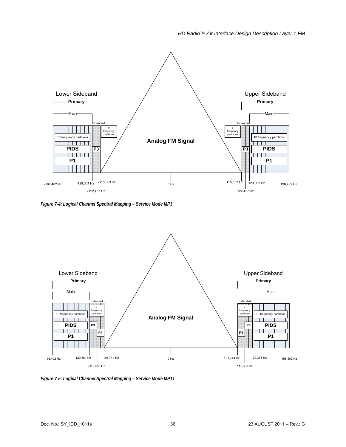

*Figure 7-4: Logical Channel Spectral Mapping – Service Mode MP3* 



*Figure 7-5: Logical Channel Spectral Mapping – Service Mode MP11*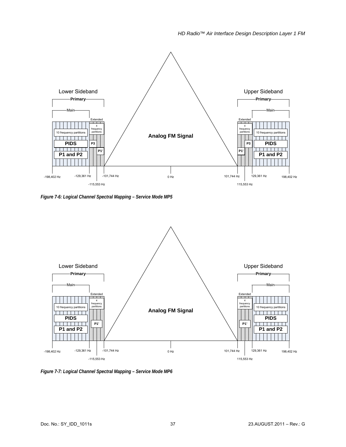

*Figure 7-6: Logical Channel Spectral Mapping – Service Mode MP5* 



*Figure 7-7: Logical Channel Spectral Mapping – Service Mode MP6*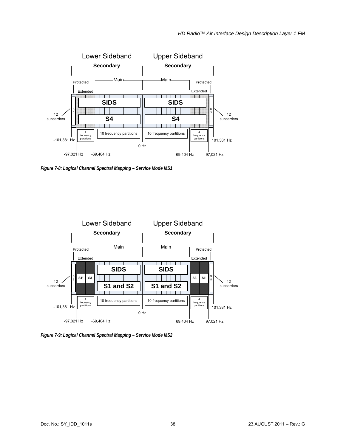

*Figure 7-8: Logical Channel Spectral Mapping – Service Mode MS1* 



*Figure 7-9: Logical Channel Spectral Mapping – Service Mode MS2*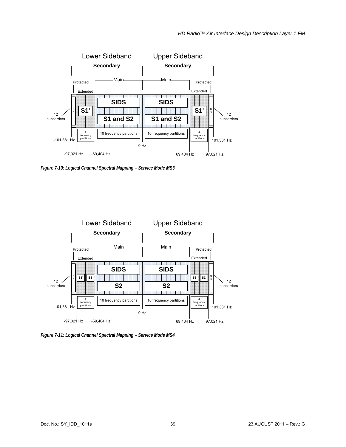

*Figure 7-10: Logical Channel Spectral Mapping – Service Mode MS3* 



<span id="page-47-0"></span>*Figure 7-11: Logical Channel Spectral Mapping – Service Mode MS4*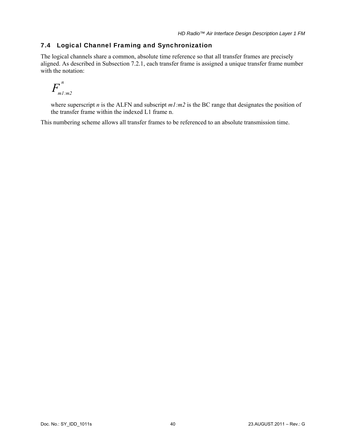## 7.4 Logical Channel Framing and Synchronization

The logical channels share a common, absolute time reference so that all transfer frames are precisely aligned. As described in Subsection [7.2.1](#page-37-0), each transfer frame is assigned a unique transfer frame number with the notation:

$$
F_{m1:m2}^{\prime n}
$$

where superscript *n* is the ALFN and subscript  $m1$ : $m2$  is the BC range that designates the position of the transfer frame within the indexed L1 frame n.

This numbering scheme allows all transfer frames to be referenced to an absolute transmission time.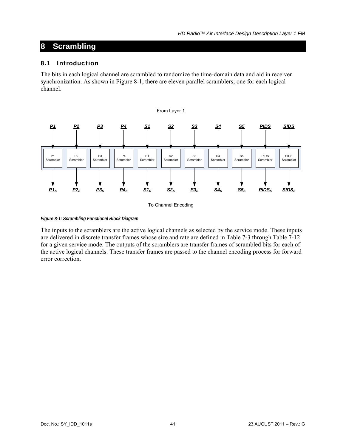# **8 Scrambling**

## 8.1 Introduction

The bits in each logical channel are scrambled to randomize the time-domain data and aid in receiver synchronization. As shown in [Figure 8-1,](#page-49-0) there are eleven parallel scramblers; one for each logical channel.



To Channel Encoding

<span id="page-49-0"></span>*Figure 8-1: Scrambling Functional Block Diagram* 

The inputs to the scramblers are the active logical channels as selected by the service mode. These inputs are delivered in discrete transfer frames whose size and rate are defined in [Table 7-3](#page-40-0) through [Table 7-12](#page-42-0) for a given service mode. The outputs of the scramblers are transfer frames of scrambled bits for each of the active logical channels. These transfer frames are passed to the channel encoding process for forward error correction.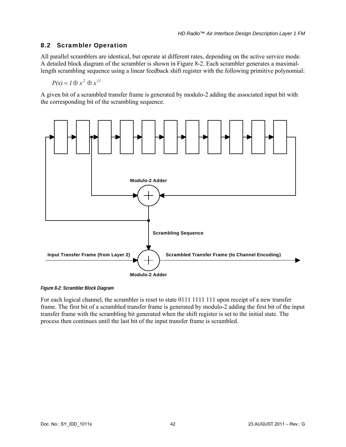## 8.2 Scrambler Operation

All parallel scramblers are identical, but operate at different rates, depending on the active service mode. A detailed block diagram of the scrambler is shown in [Figure 8-2](#page-50-0). Each scrambler generates a maximallength scrambling sequence using a linear feedback shift register with the following primitive polynomial:

$$
P(x) = I \oplus x^2 \oplus x^{11}
$$

A given bit of a scrambled transfer frame is generated by modulo-2 adding the associated input bit with the corresponding bit of the scrambling sequence.



<span id="page-50-0"></span>*Figure 8-2: Scrambler Block Diagram* 

For each logical channel, the scrambler is reset to state 0111 1111 111 upon receipt of a new transfer frame. The first bit of a scrambled transfer frame is generated by modulo-2 adding the first bit of the input transfer frame with the scrambling bit generated when the shift register is set to the initial state. The process then continues until the last bit of the input transfer frame is scrambled.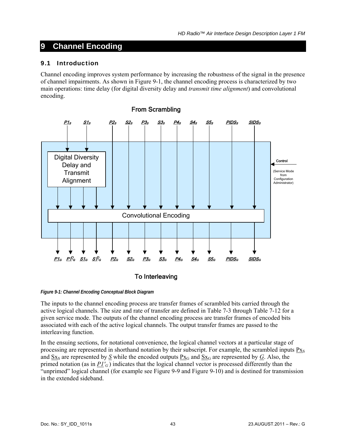# **9 Channel Encoding**

## 9.1 Introduction

Channel encoding improves system performance by increasing the robustness of the signal in the presence of channel impairments. As shown in [Figure 9-1](#page-51-0), the channel encoding process is characterized by two main operations: time delay (for digital diversity delay and *transmit time alignment*) and convolutional encoding.



To Interleaving

<span id="page-51-0"></span>*Figure 9-1: Channel Encoding Conceptual Block Diagram* 

The inputs to the channel encoding process are transfer frames of scrambled bits carried through the active logical channels. The size and rate of transfer are defined in [Table 7-3](#page-40-0) through [Table 7-12](#page-42-0) for a given service mode. The outputs of the channel encoding process are transfer frames of encoded bits associated with each of the active logical channels. The output transfer frames are passed to the interleaving function.

In the ensuing sections, for notational convenience, the logical channel vectors at a particular stage of processing are represented in shorthand notation by their subscript. For example, the scrambled inputs  $P_{Xs}$ and  $Sx_S$  are represented by  $S$  while the encoded outputs  $Px_G$  and  $Sx_G$  are represented by  $G$ . Also, the primed notation (as in  $PI'_{G}$ ) indicates that the logical channel vector is processed differently than the "unprimed" logical channel (for example see [Figure 9-9](#page-61-0) and [Figure 9-10\)](#page-62-0) and is destined for transmission in the extended sideband.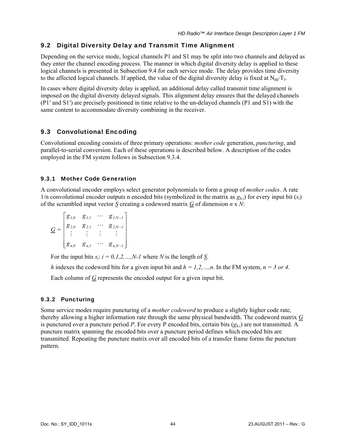## 9.2 Digital Diversity Delay and Transmit Time Alignment

Depending on the service mode, logical channels P1 and S1 may be split into two channels and delayed as they enter the channel encoding process. The manner in which digital diversity delay is applied to these logical channels is presented in Subsection [9.4](#page-58-0) for each service mode. The delay provides time diversity to the affected logical channels. If applied, the value of the digital diversity delay is fixed at  $N_{dd}T_f$ .

In cases where digital diversity delay is applied, an additional delay called transmit time alignment is imposed on the digital diversity delayed signals. This alignment delay ensures that the delayed channels (P1′ and S1′) are precisely positioned in time relative to the un-delayed channels (P1 and S1) with the same content to accommodate diversity combining in the receiver.

## 9.3 Convolutional Encoding

Convolutional encoding consists of three primary operations: *mother code* generation, *puncturing*, and parallel-to-serial conversion. Each of these operations is described below. A description of the codes employed in the FM system follows in Subsection [9.3.4.](#page-53-0)

### 9.3.1 Mother Code Generation

A convolutional encoder employs select generator polynomials to form a group of *mother codes*. A rate 1/n convolutional encoder outputs n encoded bits (symbolized in the matrix as  $g_{h,i}$ ) for every input bit  $(s_i)$ of the scrambled input vector *S* creating a codeword matrix *G* of dimension *n* x *N*:

$$
\underline{G} = \begin{bmatrix} g_{1,0} & g_{1,1} & \cdots & g_{1,N-1} \\ g_{2,0} & g_{2,1} & \cdots & g_{2,N-1} \\ \vdots & \vdots & \vdots & \vdots \\ g_{n,0} & g_{n,1} & \cdots & g_{n,N-1} \end{bmatrix}
$$

For the input bits  $s_i$ :  $i = 0, 1, 2, ..., N-1$  where *N* is the length of *S*.

*h* indexes the codeword bits for a given input bit and  $h = 1, 2, ..., n$ . In the FM system,  $n = 3$  or 4. Each column of  $G$  represents the encoded output for a given input bit.

## 9.3.2 Puncturing

Some service modes require puncturing of a *mother codeword* to produce a slightly higher code rate, thereby allowing a higher information rate through the same physical bandwidth. The codeword matrix *G* is punctured over a puncture period *P*. For every P encoded bits, certain bits  $(g_h_i)$  are not transmitted. A puncture matrix spanning the encoded bits over a puncture period defines which encoded bits are transmitted. Repeating the puncture matrix over all encoded bits of a transfer frame forms the puncture pattern.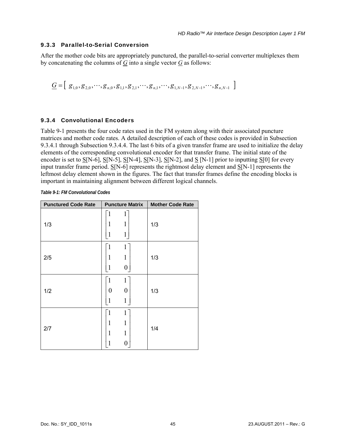#### 9.3.3 Parallel-to-Serial Conversion

After the mother code bits are appropriately punctured, the parallel-to-serial converter multiplexes them by concatenating the columns of  $\overline{G}$  into a single vector  $\overline{G}$  as follows:

$$
\underline{G} = \left[ \begin{array}{c} g_{1,0}, g_{2,0}, \cdots, g_{n,0}, g_{1,1}, g_{2,1}, \cdots, g_{n,1}, \cdots, g_{1,N-1}, g_{2,N-1}, \cdots, g_{n,N-1} \end{array} \right]
$$

#### <span id="page-53-0"></span>9.3.4 Convolutional Encoders

[Table 9-1](#page-53-1) presents the four code rates used in the FM system along with their associated puncture matrices and mother code rates. A detailed description of each of these codes is provided in Subsection [9.3.4.1](#page-54-0) through Subsection [9.3.4.4](#page-57-0). The last 6 bits of a given transfer frame are used to initialize the delay elements of the corresponding convolutional encoder for that transfer frame. The initial state of the encoder is set to  $S[N-6]$ ,  $S[N-5]$ ,  $S[N-4]$ ,  $S[N-3]$ ,  $S[N-2]$ , and  $S[N-1]$  prior to inputting  $S[0]$  for every input transfer frame period. S[N-6] represents the rightmost delay element and S[N-1] represents the leftmost delay element shown in the figures. The fact that transfer frames define the encoding blocks is important in maintaining alignment between different logical channels.

*Table 9-1: FM Convolutional Codes* 

<span id="page-53-1"></span>

| <b>Punctured Code Rate</b> | <b>Puncture Matrix</b>                               | <b>Mother Code Rate</b> |
|----------------------------|------------------------------------------------------|-------------------------|
| 1/3                        | $\mathbf{1}$<br>1<br>1<br>1<br>1<br>1                | 1/3                     |
| 2/5                        | $\mathbf{1}$<br>$\mathbf{1}$<br>1<br>1<br>0          | 1/3                     |
| 1/2                        | $\mathbf{1}$<br>1<br>$\boldsymbol{0}$<br>0<br>1<br>1 | 1/3                     |
| 2/7                        | $\mathbf{1}$<br>1<br>1<br>1<br>1<br>1<br>0           | 1/4                     |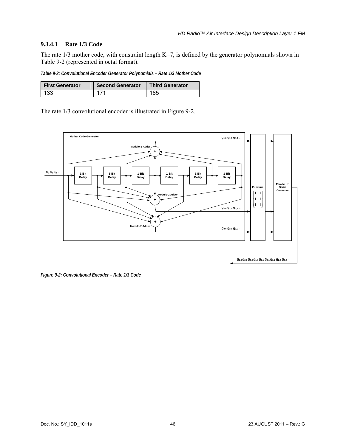## <span id="page-54-0"></span>**9.3.4.1 Rate 1/3 Code**

The rate 1/3 mother code, with constraint length K=7, is defined by the generator polynomials shown in [Table 9-2](#page-54-1) (represented in octal format).

*Table 9-2: Convolutional Encoder Generator Polynomials – Rate 1/3 Mother Code* 

<span id="page-54-1"></span>

| <b>First Generator</b> | <b>Second Generator</b> | <b>Third Generator</b> |
|------------------------|-------------------------|------------------------|
| 133                    |                         | 165                    |

The rate 1/3 convolutional encoder is illustrated in [Figure 9-2.](#page-54-2)



<span id="page-54-2"></span>*Figure 9-2: Convolutional Encoder – Rate 1/3 Code*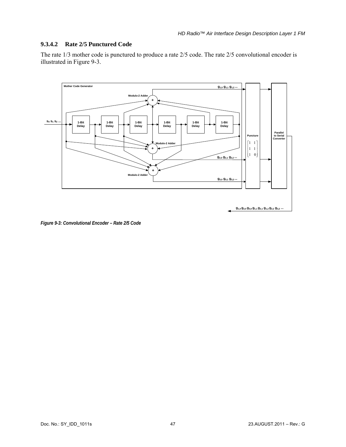## **9.3.4.2 Rate 2/5 Punctured Code**

The rate 1/3 mother code is punctured to produce a rate 2/5 code. The rate 2/5 convolutional encoder is illustrated in [Figure 9-3](#page-55-0).



<span id="page-55-0"></span>*Figure 9-3: Convolutional Encoder – Rate 2/5 Code*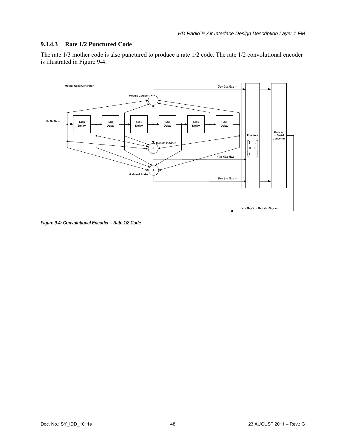#### **9.3.4.3 Rate 1/2 Punctured Code**

The rate 1/3 mother code is also punctured to produce a rate 1/2 code. The rate 1/2 convolutional encoder is illustrated in [Figure 9-4](#page-56-0).



<span id="page-56-0"></span>*Figure 9-4: Convolutional Encoder – Rate 1/2 Code*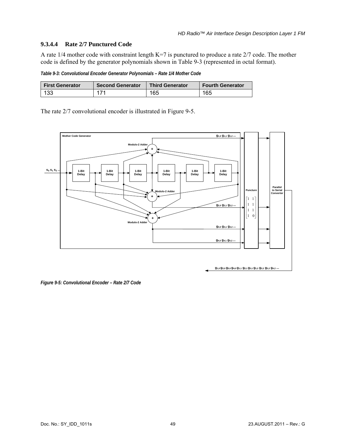### <span id="page-57-0"></span>**9.3.4.4 Rate 2/7 Punctured Code**

A rate 1/4 mother code with constraint length K=7 is punctured to produce a rate 2/7 code. The mother code is defined by the generator polynomials shown in [Table 9-3](#page-57-1) (represented in octal format).

*Table 9-3: Convolutional Encoder Generator Polynomials – Rate 1/4 Mother Code* 

<span id="page-57-1"></span>

| <b>First Generator</b> | <b>Second Generator</b> | <b>Third Generator</b> | <b>Fourth Generator</b> |
|------------------------|-------------------------|------------------------|-------------------------|
| 133                    | 171                     | 165                    | 165                     |

The rate 2/7 convolutional encoder is illustrated in [Figure 9-5.](#page-57-2)



<span id="page-57-2"></span>*Figure 9-5: Convolutional Encoder – Rate 2/7 Code*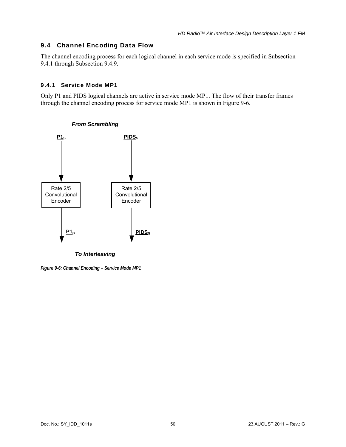## <span id="page-58-0"></span>9.4 Channel Encoding Data Flow

The channel encoding process for each logical channel in each service mode is specified in Subsection [9.4.1](#page-58-1) through Subsection [9.4.9.](#page-66-0)

## <span id="page-58-1"></span>9.4.1 Service Mode MP1

Only P1 and PIDS logical channels are active in service mode MP1. The flow of their transfer frames through the channel encoding process for service mode MP1 is shown in [Figure 9-6.](#page-58-2)



## *From Scrambling*

<span id="page-58-2"></span>*Figure 9-6: Channel Encoding – Service Mode MP1*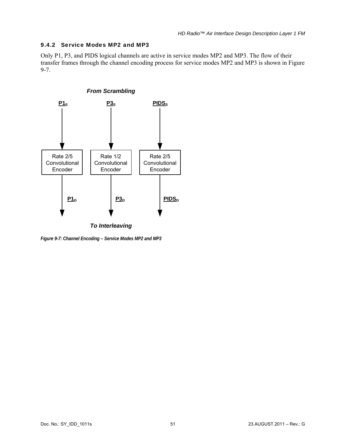#### 9.4.2 Service Modes MP2 and MP3

Only P1, P3, and PIDS logical channels are active in service modes MP2 and MP3. The flow of their transfer frames through the channel encoding process for service modes MP2 and MP3 is shown in [Figure](#page-59-0)  [9-7.](#page-59-0)



<span id="page-59-0"></span>*Figure 9-7: Channel Encoding – Service Modes MP2 and MP3*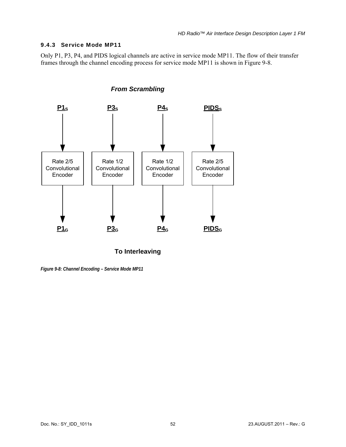#### 9.4.3 Service Mode MP11

Only P1, P3, P4, and PIDS logical channels are active in service mode MP11. The flow of their transfer frames through the channel encoding process for service mode MP11 is shown in [Figure 9-8.](#page-60-0)



*From Scrambling*

**To Interleaving**

<span id="page-60-0"></span>*Figure 9-8: Channel Encoding – Service Mode MP11*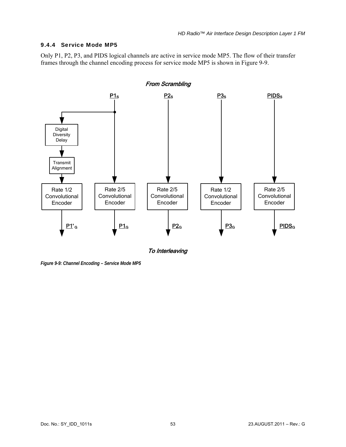#### 9.4.4 Service Mode MP5

Only P1, P2, P3, and PIDS logical channels are active in service mode MP5. The flow of their transfer frames through the channel encoding process for service mode MP5 is shown in [Figure 9-9](#page-61-0).



<span id="page-61-0"></span>*Figure 9-9: Channel Encoding – Service Mode MP5*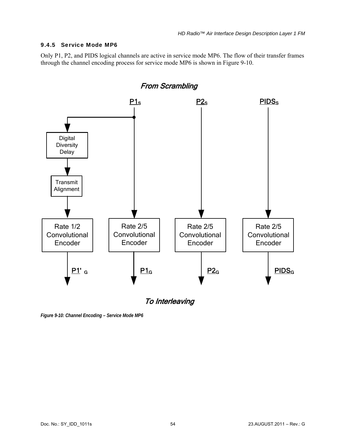#### 9.4.5 Service Mode MP6

Only P1, P2, and PIDS logical channels are active in service mode MP6. The flow of their transfer frames through the channel encoding process for service mode MP6 is shown in [Figure 9-10](#page-62-0).



To Interleaving

<span id="page-62-0"></span>*Figure 9-10: Channel Encoding – Service Mode MP6*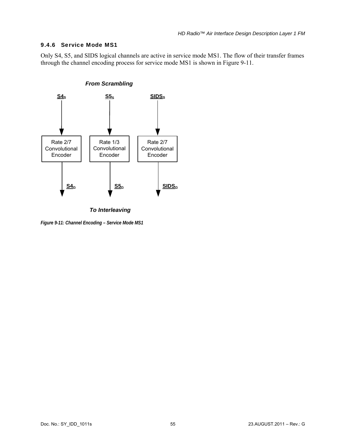#### 9.4.6 Service Mode MS1

Only S4, S5, and SIDS logical channels are active in service mode MS1. The flow of their transfer frames through the channel encoding process for service mode MS1 is shown in [Figure 9-11](#page-63-0).



*To Interleaving*

<span id="page-63-0"></span>*Figure 9-11: Channel Encoding – Service Mode MS1*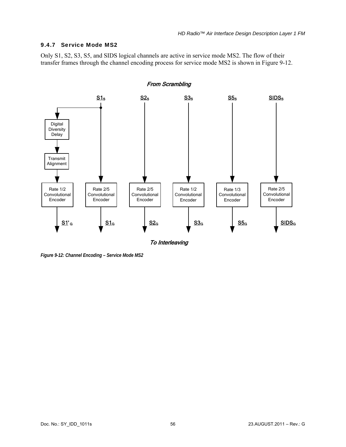#### 9.4.7 Service Mode MS2

Only S1, S2, S3, S5, and SIDS logical channels are active in service mode MS2. The flow of their transfer frames through the channel encoding process for service mode MS2 is shown in [Figure 9-12](#page-64-0).



<span id="page-64-0"></span>*Figure 9-12: Channel Encoding – Service Mode MS2*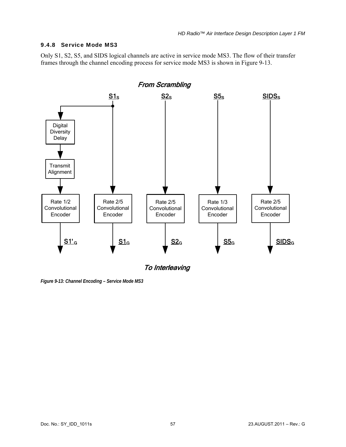#### 9.4.8 Service Mode MS3

Only S1, S2, S5, and SIDS logical channels are active in service mode MS3. The flow of their transfer frames through the channel encoding process for service mode MS3 is shown in [Figure 9-13.](#page-65-0)



To Interleaving

<span id="page-65-0"></span>*Figure 9-13: Channel Encoding – Service Mode MS3*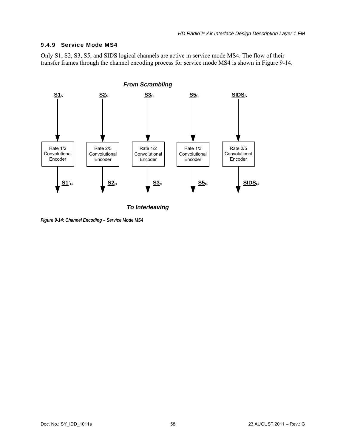#### <span id="page-66-0"></span>9.4.9 Service Mode MS4

Only S1, S2, S3, S5, and SIDS logical channels are active in service mode MS4. The flow of their transfer frames through the channel encoding process for service mode MS4 is shown in [Figure 9-14](#page-66-1).



*To Interleaving*

<span id="page-66-1"></span>*Figure 9-14: Channel Encoding – Service Mode MS4*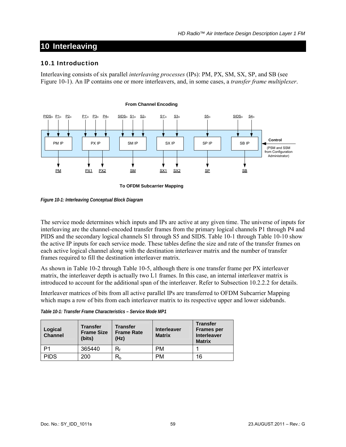# **10 Interleaving**

#### 10.1 Introduction

Interleaving consists of six parallel *interleaving processes* (IPs): PM, PX, SM, SX, SP, and SB (see [Figure 10-1\)](#page-67-0). An IP contains one or more interleavers, and, in some cases, a *transfer frame multiplexer*.



<span id="page-67-0"></span>*Figure 10-1: Interleaving Conceptual Block Diagram* 

The service mode determines which inputs and IPs are active at any given time. The universe of inputs for interleaving are the channel-encoded transfer frames from the primary logical channels P1 through P4 and PIDS and the secondary logical channels S1 through S5 and SIDS. [Table 10-1](#page-67-1) through [Table 10-10](#page-70-0) show the active IP inputs for each service mode. These tables define the size and rate of the transfer frames on each active logical channel along with the destination interleaver matrix and the number of transfer frames required to fill the destination interleaver matrix.

As shown in [Table 10-2](#page-68-0) through [Table 10-5](#page-68-1), although there is one transfer frame per PX interleaver matrix, the interleaver depth is actually two L1 frames. In this case, an internal interleaver matrix is introduced to account for the additional span of the interleaver. Refer to Subsection [10.2.2.2](#page-73-0) for details.

Interleaver matrices of bits from all active parallel IPs are transferred to OFDM Subcarrier Mapping which maps a row of bits from each interleaver matrix to its respective upper and lower sidebands.

<span id="page-67-1"></span>

| Logical<br><b>Channel</b> | <b>Transfer</b><br><b>Frame Size</b><br>(bits) | <b>Transfer</b><br><b>Frame Rate</b><br>(Hz) | <b>Interleaver</b><br><b>Matrix</b> | <b>Transfer</b><br><b>Frames per</b><br><b>Interleaver</b><br><b>Matrix</b> |
|---------------------------|------------------------------------------------|----------------------------------------------|-------------------------------------|-----------------------------------------------------------------------------|
| P1                        | 365440                                         | R۰                                           | <b>PM</b>                           |                                                                             |
| <b>PIDS</b>               | 200                                            | $\mathsf{R}_{\mathsf{b}}$                    | <b>PM</b>                           | 16                                                                          |

*Table 10-1: Transfer Frame Characteristics – Service Mode MP1*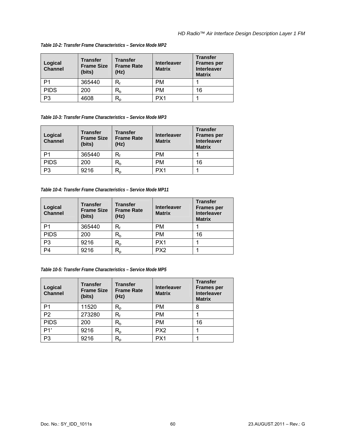| Logical<br><b>Channel</b> | <b>Transfer</b><br><b>Frame Size</b><br>(bits) | <b>Transfer</b><br><b>Frame Rate</b><br>(Hz) | <b>Interleaver</b><br><b>Matrix</b> | <b>Transfer</b><br><b>Frames per</b><br><b>Interleaver</b><br><b>Matrix</b> |
|---------------------------|------------------------------------------------|----------------------------------------------|-------------------------------------|-----------------------------------------------------------------------------|
| P <sub>1</sub>            | 365440                                         | R۰                                           | <b>PM</b>                           |                                                                             |
| <b>PIDS</b>               | 200                                            | $\mathsf{R}_{\mathsf{b}}$                    | <b>PM</b>                           | 16                                                                          |
| P3                        | 4608                                           | $\mathsf{R}_{\mathsf{D}}$                    | PX <sub>1</sub>                     |                                                                             |

<span id="page-68-0"></span>*Table 10-2: Transfer Frame Characteristics – Service Mode MP2* 

*Table 10-3: Transfer Frame Characteristics – Service Mode MP3* 

| Logical<br><b>Channel</b> | <b>Transfer</b><br><b>Frame Size</b><br>(bits) | <b>Transfer</b><br><b>Frame Rate</b><br>(Hz) | <b>Interleaver</b><br><b>Matrix</b> | <b>Transfer</b><br><b>Frames per</b><br><b>Interleaver</b><br><b>Matrix</b> |
|---------------------------|------------------------------------------------|----------------------------------------------|-------------------------------------|-----------------------------------------------------------------------------|
| P1                        | 365440                                         | $\mathsf{R}_{\mathsf{f}}$                    | PM                                  |                                                                             |
| <b>PIDS</b>               | 200                                            | $\mathsf{R}_{\mathsf{b}}$                    | PM                                  | 16                                                                          |
| P3                        | 9216                                           | $R_{p}$                                      | PX <sub>1</sub>                     |                                                                             |

*Table 10-4: Transfer Frame Characteristics – Service Mode MP11* 

| Logical<br><b>Channel</b> | <b>Transfer</b><br><b>Frame Size</b><br>(bits) | <b>Transfer</b><br><b>Frame Rate</b><br>(Hz) | <b>Interleaver</b><br><b>Matrix</b> | <b>Transfer</b><br><b>Frames per</b><br><b>Interleaver</b><br><b>Matrix</b> |
|---------------------------|------------------------------------------------|----------------------------------------------|-------------------------------------|-----------------------------------------------------------------------------|
| P1                        | 365440                                         | R۰                                           | PM                                  |                                                                             |
| <b>PIDS</b>               | 200                                            | $\mathsf{R}_{\mathsf{b}}$                    | PM                                  | 16                                                                          |
| P <sub>3</sub>            | 9216                                           | $\mathsf{R}_{\mathsf{p}}$                    | PX <sub>1</sub>                     |                                                                             |
| P <sub>4</sub>            | 9216                                           | $\mathsf{R}_{\mathsf{D}}$                    | PX <sub>2</sub>                     |                                                                             |

*Table 10-5: Transfer Frame Characteristics – Service Mode MP5* 

<span id="page-68-1"></span>

| Logical<br><b>Channel</b> | <b>Transfer</b><br><b>Frame Size</b><br>(bits) | <b>Transfer</b><br><b>Frame Rate</b><br>(Hz) | <b>Interleaver</b><br><b>Matrix</b> | <b>Transfer</b><br><b>Frames per</b><br><b>Interleaver</b><br><b>Matrix</b> |
|---------------------------|------------------------------------------------|----------------------------------------------|-------------------------------------|-----------------------------------------------------------------------------|
| P <sub>1</sub>            | 11520                                          | $\mathsf{R}_{\mathsf{p}}$                    | <b>PM</b>                           | 8                                                                           |
| P <sub>2</sub>            | 273280                                         | R,                                           | <b>PM</b>                           |                                                                             |
| <b>PIDS</b>               | 200                                            | $\mathsf{R}_{\mathsf{b}}$                    | <b>PM</b>                           | 16                                                                          |
| P1'                       | 9216                                           | $\mathsf{R}_{\mathsf{p}}$                    | PX <sub>2</sub>                     |                                                                             |
| P <sub>3</sub>            | 9216                                           | $\mathsf{R}_{\mathsf{p}}$                    | PX <sub>1</sub>                     |                                                                             |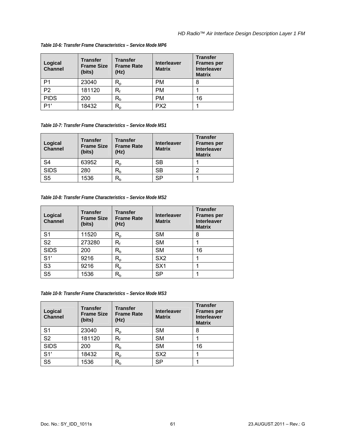| Logical<br><b>Channel</b> | <b>Transfer</b><br><b>Frame Size</b><br>(bits) | <b>Transfer</b><br><b>Frame Rate</b><br>(Hz) | <b>Interleaver</b><br><b>Matrix</b> | <b>Transfer</b><br><b>Frames per</b><br><b>Interleaver</b><br><b>Matrix</b> |
|---------------------------|------------------------------------------------|----------------------------------------------|-------------------------------------|-----------------------------------------------------------------------------|
| P1                        | 23040                                          | $\mathsf{R}_{\mathsf{p}}$                    | <b>PM</b>                           |                                                                             |
| P <sub>2</sub>            | 181120                                         | R,                                           | <b>PM</b>                           |                                                                             |
| <b>PIDS</b>               | 200                                            | $R_{b}$                                      | <b>PM</b>                           | 16                                                                          |
| P1'                       | 18432                                          | $\mathsf{R}_{\mathsf{p}}$                    | PX <sub>2</sub>                     |                                                                             |

#### *Table 10-6: Transfer Frame Characteristics – Service Mode MP6*

*Table 10-7: Transfer Frame Characteristics – Service Mode MS1* 

| Logical<br><b>Channel</b> | <b>Transfer</b><br><b>Frame Size</b><br>(bits) | <b>Transfer</b><br><b>Frame Rate</b><br>(Hz) | <b>Interleaver</b><br><b>Matrix</b> | <b>Transfer</b><br><b>Frames per</b><br><b>Interleaver</b><br><b>Matrix</b> |
|---------------------------|------------------------------------------------|----------------------------------------------|-------------------------------------|-----------------------------------------------------------------------------|
| S <sub>4</sub>            | 63952                                          | R,                                           | SВ                                  |                                                                             |
| <b>SIDS</b>               | 280                                            | $\mathsf{R}_{\mathsf{b}}$                    | <b>SB</b>                           | ົ                                                                           |
| S <sub>5</sub>            | 1536                                           | $\mathsf{R}_{\mathsf{b}}$                    | SP                                  |                                                                             |

*Table 10-8: Transfer Frame Characteristics – Service Mode MS2* 

| Logical<br><b>Channel</b> | <b>Transfer</b><br><b>Frame Size</b><br>(bits) | <b>Transfer</b><br><b>Frame Rate</b><br>(Hz) | <b>Interleaver</b><br><b>Matrix</b> | <b>Transfer</b><br><b>Frames per</b><br><b>Interleaver</b><br><b>Matrix</b> |
|---------------------------|------------------------------------------------|----------------------------------------------|-------------------------------------|-----------------------------------------------------------------------------|
| S <sub>1</sub>            | 11520                                          | $\mathsf{R}_{\mathsf{p}}$                    | <b>SM</b>                           | 8                                                                           |
| S <sub>2</sub>            | 273280                                         | $\mathsf{R}_{\mathsf{f}}$                    | <b>SM</b>                           |                                                                             |
| <b>SIDS</b>               | 200                                            | $R_b$                                        | <b>SM</b>                           | 16                                                                          |
| S1'                       | 9216                                           | $\mathsf{R}_{\mathsf{p}}$                    | SX <sub>2</sub>                     |                                                                             |
| S <sub>3</sub>            | 9216                                           | $R_{p}$                                      | SX <sub>1</sub>                     |                                                                             |
| S <sub>5</sub>            | 1536                                           | $R_b$                                        | <b>SP</b>                           |                                                                             |

*Table 10-9: Transfer Frame Characteristics – Service Mode MS3* 

| Logical<br><b>Channel</b> | <b>Transfer</b><br><b>Frame Size</b><br>(bits) | <b>Transfer</b><br><b>Frame Rate</b><br>(Hz) | <b>Interleaver</b><br><b>Matrix</b> | <b>Transfer</b><br><b>Frames per</b><br><b>Interleaver</b><br><b>Matrix</b> |
|---------------------------|------------------------------------------------|----------------------------------------------|-------------------------------------|-----------------------------------------------------------------------------|
| S <sub>1</sub>            | 23040                                          | $\mathsf{R}_{\mathsf{p}}$                    | SM                                  | 8                                                                           |
| S <sub>2</sub>            | 181120                                         | $\mathsf{R}_{\mathsf{f}}$                    | <b>SM</b>                           |                                                                             |
| <b>SIDS</b>               | 200                                            | $\mathsf{R}_{\mathsf{b}}$                    | <b>SM</b>                           | 16                                                                          |
| S1'                       | 18432                                          | $\mathsf{R}_{\mathsf{p}}$                    | SX <sub>2</sub>                     |                                                                             |
| S <sub>5</sub>            | 1536                                           | $\mathsf{R}_{\mathsf{b}}$                    | SP                                  |                                                                             |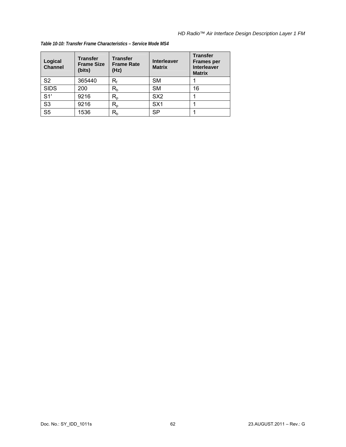| Logical<br><b>Channel</b> | <b>Transfer</b><br><b>Frame Size</b><br>(bits) | <b>Transfer</b><br><b>Frame Rate</b><br>(Hz) | <b>Interleaver</b><br><b>Matrix</b> | <b>Transfer</b><br><b>Frames per</b><br><b>Interleaver</b><br><b>Matrix</b> |
|---------------------------|------------------------------------------------|----------------------------------------------|-------------------------------------|-----------------------------------------------------------------------------|
| S <sub>2</sub>            | 365440                                         | $\mathsf{R}_{\mathsf{f}}$                    | SM                                  |                                                                             |
| <b>SIDS</b>               | 200                                            | $R_b$                                        | <b>SM</b>                           | 16                                                                          |
| S1'                       | 9216                                           | $R_{p}$                                      | SX <sub>2</sub>                     |                                                                             |
| S <sub>3</sub>            | 9216                                           | $R_{p}$                                      | SX <sub>1</sub>                     |                                                                             |
| S <sub>5</sub>            | 1536                                           | $R_{b}$                                      | <b>SP</b>                           |                                                                             |

#### <span id="page-70-0"></span>*Table 10-10: Transfer Frame Characteristics – Service Mode MS4*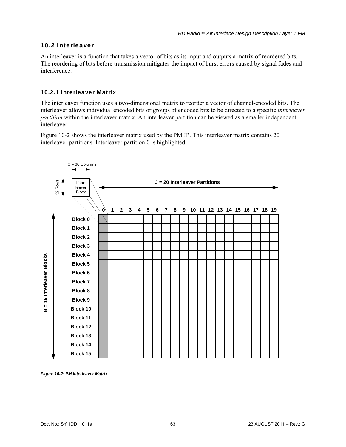## 10.2 Interleaver

An interleaver is a function that takes a vector of bits as its input and outputs a matrix of reordered bits. The reordering of bits before transmission mitigates the impact of burst errors caused by signal fades and interference.

## 10.2.1 Interleaver Matrix

The interleaver function uses a two-dimensional matrix to reorder a vector of channel-encoded bits. The interleaver allows individual encoded bits or groups of encoded bits to be directed to a specific *interleaver partition* within the interleaver matrix. An interleaver partition can be viewed as a smaller independent interleaver.

[Figure 10-2](#page-71-0) shows the interleaver matrix used by the PM IP. This interleaver matrix contains 20 interleaver partitions. Interleaver partition 0 is highlighted.



<span id="page-71-0"></span>*Figure 10-2: PM Interleaver Matrix*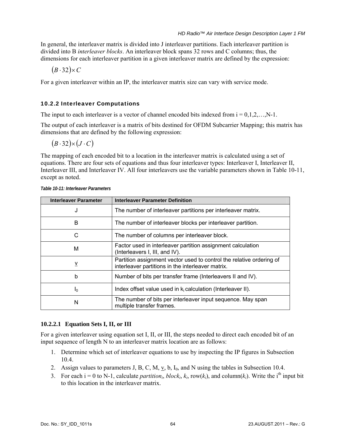In general, the interleaver matrix is divided into J interleaver partitions. Each interleaver partition is divided into B *interleaver blocks*. An interleaver block spans 32 rows and C columns; thus, the dimensions for each interleaver partition in a given interleaver matrix are defined by the expression:

 $(B.32) \times C$ 

For a given interleaver within an IP, the interleaver matrix size can vary with service mode.

# 10.2.2 Interleaver Computations

The input to each interleaver is a vector of channel encoded bits indexed from  $i = 0, 1, 2, \ldots, N-1$ .

The output of each interleaver is a matrix of bits destined for OFDM Subcarrier Mapping; this matrix has dimensions that are defined by the following expression:

 $(B.32) \times (J \cdot C)$ 

The mapping of each encoded bit to a location in the interleaver matrix is calculated using a set of equations. There are four sets of equations and thus four interleaver types: Interleaver I, Interleaver II, Interleaver III, and Interleaver IV. All four interleavers use the variable parameters shown in [Table 10-11,](#page-72-0) except as noted.

<span id="page-72-0"></span>

| <b>Interleaver Parameter</b> | <b>Interleaver Parameter Definition</b>                                                                                   |
|------------------------------|---------------------------------------------------------------------------------------------------------------------------|
| J                            | The number of interleaver partitions per interleaver matrix.                                                              |
| B                            | The number of interleaver blocks per interleaver partition.                                                               |
| С                            | The number of columns per interleaver block.                                                                              |
| M                            | Factor used in interleaver partition assignment calculation<br>(Interleavers I, III, and IV).                             |
| $\underline{v}$              | Partition assignment vector used to control the relative ordering of<br>interleaver partitions in the interleaver matrix. |
| b                            | Number of bits per transfer frame (Interleavers II and IV).                                                               |
| I <sub>0</sub>               | Index offset value used in $k_i$ calculation (Interleaver II).                                                            |
| N                            | The number of bits per interleaver input sequence. May span<br>multiple transfer frames.                                  |

*Table 10-11: Interleaver Parameters* 

# **10.2.2.1 Equation Sets I, II, or III**

For a given interleaver using equation set I, II, or III, the steps needed to direct each encoded bit of an input sequence of length N to an interleaver matrix location are as follows:

- 1. Determine which set of interleaver equations to use by inspecting the IP figures in Subsection [10.4](#page-81-0).
- 2. Assign values to parameters J, B, C, M,  $\underline{v}$ , b, I<sub>0</sub>, and N using the tables in Subsection [10.4.](#page-81-0)
- 3. For each  $i = 0$  to N-1, calculate *partition<sub>i</sub>*, *block<sub>i</sub>*,  $k_i$ , row( $k_i$ ), and column( $k_i$ ). Write the i<sup>th</sup> input bit to this location in the interleaver matrix.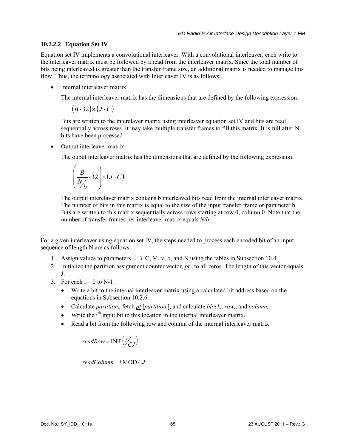### **10.2.2.2 Equation Set IV**

Equation set IV implements a convolutional interleaver. With a convolutional interleaver, each write to the interleaver matrix must be followed by a read from the interleaver matrix. Since the total number of bits being interleaved is greater than the transfer frame size, an additional matrix is needed to manage this flow. Thus, the terminology associated with Interleaver IV is as follows:

• Internal interleaver matrix

The internal interleaver matrix has the dimensions that are defined by the following expression:

 $(B.32) \times (J \cdot C)$ 

Bits are written to the interelaver matrix using interleaver equation set IV and bits are read sequentially across rows. It may take multiple transfer frames to fill this matrix. It is full after N bits have been processed.

• Output interleaver matrix

The ouput interleaver matrix has the dimensions that are defined by the following expression:

$$
\left(\frac{B}{N_b}\cdot 32\right) \times (J \cdot C)
$$

The output interelaver matrix contains b interleaved bits read from the internal interleaver matrix. The number of bits in this matrix is equal to the size of the input transfer frame or parameter b. Bits are written to this matrix sequentially across rows starting at row 0, column 0. Note that the number of transfer frames per interleaver matrix equals *N/b*.

For a given interleaver using equation set IV, the steps needed to process each encoded bit of an input sequence of length N are as follows:

- 1. Assign values to parameters J, B, C, M,  $\underline{v}$ , b, and N using the tables in Subsection [10.4](#page-81-0).
- 2. Initialize the partition assignment counter vector, *pt* , to all zeros. The length of this vector equals J.
- 3. For each  $i = 0$  to N-1:
	- Write a bit to the internal interleaver matrix using a calculated bit address based on the equations in Subsection [10.2.6.](#page-78-0)
	- Calculate *partition<sub>i</sub>*, fetch <u>*pt*</u> [*partition<sub>i</sub>*], and calculate *block<sub>i</sub>*, *row<sub>i</sub>*, and *column<sub>i</sub>*.
	- Write the  $i<sup>th</sup>$  input bit to this location in the internal interleaver matrix.
	- Read a bit from the following row and column of the internal interleaver matrix:

$$
readRow = INT\left(\frac{i}{CJ}\right)
$$

 $readColumn = i \, MOD \, CJ$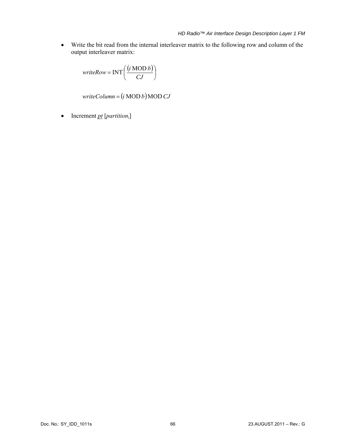• Write the bit read from the internal interleaver matrix to the following row and column of the output interleaver matrix:

$$
writeRow = INT\left(\frac{(i \text{ MOD } b)}{CJ}\right)
$$

 $writeColumn = (i \text{ MOD } b) \text{MOD } CJ$ 

• Increment *pt* [*partitioni*]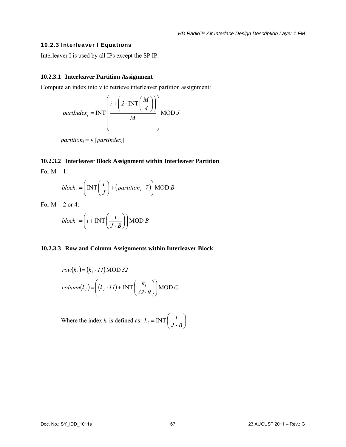#### 10.2.3 Interleaver I Equations

Interleaver I is used by all IPs except the SP IP.

#### **10.2.3.1 Interleaver Partition Assignment**

Compute an index into  $\underline{v}$  to retrieve interleaver partition assignment:

$$
partIndex_i = INT\left(\frac{i + \left(2 \cdot INT\left(\frac{M}{4}\right)\right)}{M}\right) MOD J
$$

*partition*<sub>*i*</sub> =  $\underline{v}$  [*partIndex<sub>i</sub>*]

# **10.2.3.2 Interleaver Block Assignment within Interleaver Partition**  For  $M = 1$ .

$$
[0.1 \text{ m} - 1]
$$

$$
block_i = \left( \text{INT} \left( \frac{i}{J} \right) + \left( \text{partition}_i \cdot 7 \right) \right) \text{MOD } B
$$

For  $M = 2$  or 4:

$$
block_i = \left(i + \text{INT}\left(\frac{i}{J \cdot B}\right)\right) \text{MOD } B
$$

#### **10.2.3.3 Row and Column Assignments within Interleaver Block**

$$
row(ki) = (ki \cdot II) \text{MOD } 32
$$
  
column(k<sub>i</sub>) = 
$$
\left( (ki \cdot II) + \text{INT} \left( \frac{ki}{32 \cdot 9} \right) \right) \text{MOD } C
$$

Where the index  $k_i$  is defined as:  $k_i = \text{INT} \left( \frac{1}{n_i - n_i} \right)$ ⎠  $\left(\frac{i}{\tau} \right)$ ⎝  $k_i = \text{INT}\left(\frac{i}{J \cdot B}\right)$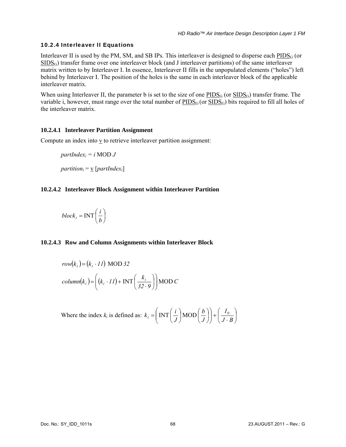# 10.2.4 Interleaver II Equations

Interleaver II is used by the PM, SM, and SB IPs. This interleaver is designed to disperse each  $PIDS<sub>G</sub>$  (or  $SIDS<sub>G</sub>$ ) transfer frame over one interleaver block (and J interleaver partitions) of the same interleaver matrix written to by Interleaver I. In essence, Interleaver II fills in the unpopulated elements ("holes") left behind by Interleaver I. The position of the holes is the same in each interleaver block of the applicable interleaver matrix.

When using Interleaver II, the parameter b is set to the size of one  $PIDS_G$  (or  $SIDS_G$ ) transfer frame. The variable i, however, must range over the total number of  $\underline{PIDS}_G$  (or  $\underline{SIDS}_G$ ) bits required to fill all holes of the interleaver matrix.

# **10.2.4.1 Interleaver Partition Assignment**

Compute an index into  $\underline{v}$  to retrieve interleaver partition assignment:

 $partIndex_i = i \text{ MOD } J$ *partition*<sub>*i*</sub> =  $\mathbf{v}$  [*partIndex<sub>i</sub>*]

# **10.2.4.2 Interleaver Block Assignment within Interleaver Partition**

$$
block_i = \text{INT}\left(\frac{i}{b}\right)
$$

# **10.2.4.3 Row and Column Assignments within Interleaver Block**

$$
row(ki) = (ki \cdot II) MOD 32
$$
  
column(k<sub>i</sub>) = 
$$
\left( (k_i \cdot II) + INT\left( \frac{k_i}{32 \cdot 9} \right) \right) MOD C
$$

Where the index  $k_i$  is defined as:  $k_i = |\text{INT}| \div |\text{MOD}| \div |\div |\div |\overline{\div n}|$ ⎠  $\left(\frac{I_{\theta}}{I_{\theta}}\right)$ ⎝  $+\left(\frac{I_{\ell}}{J}\right)$ ⎠ ⎞  $\parallel$ ⎝  $\left(\text{INT}\left(\frac{i}{b}\right)\text{MOD}\left(\frac{b}{c}\right)\right)$ ⎠  $\left(\frac{b}{a}\right)$ ⎝  $\vert$ MOD $\vert$ ⎠  $\left(\frac{i}{\tau}\right)$  $=\left(\text{INT}\left(\frac{i}{J}\right)\text{MOD}\left(\frac{b}{J}\right)\right)+\left(\frac{I_0}{J\cdot B}\right)$  $k_i = \left( \text{INT} \left( \frac{i}{J} \right) \text{MOD} \left( \frac{b}{J} \right) \right) + \left( \frac{I_0}{J}. \right)$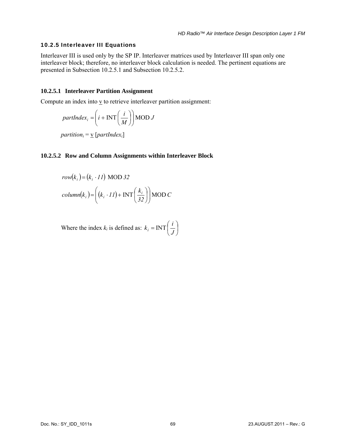#### 10.2.5 Interleaver III Equations

Interleaver III is used only by the SP IP. Interleaver matrices used by Interleaver III span only one interleaver block; therefore, no interleaver block calculation is needed. The pertinent equations are presented in Subsection [10.2.5.1](#page-77-0) and Subsection [10.2.5.2](#page-77-1).

#### <span id="page-77-0"></span>**10.2.5.1 Interleaver Partition Assignment**

Compute an index into  $\underline{v}$  to retrieve interleaver partition assignment:

$$
partIndex_i = \left(i + \text{INT}\left(\frac{i}{M}\right)\right) \text{MOD } J
$$

*partition*<sub>*i*</sub> =  $\mathbf{\underline{v}}$  [*partIndex<sub>i</sub>*]

#### <span id="page-77-1"></span>**10.2.5.2 Row and Column Assignments within Interleaver Block**

$$
row(ki) = (ki \cdot II) MOD 32
$$
  
column(k<sub>i</sub>) = 
$$
\left( (k_i \cdot II) + INT\left( \frac{k_i}{32} \right) \right) MOD C
$$

Where the index  $k_i$  is defined as:  $k_i = \text{INT} \left( \frac{1}{k_i} \right)$ ⎠  $\left(\frac{i}{\tau}\right)$  $k_i = \text{INT}\left(\frac{i}{J}\right)$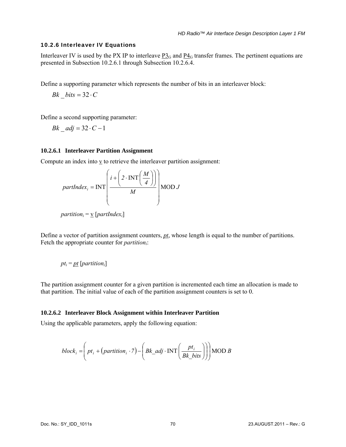#### <span id="page-78-0"></span>10.2.6 Interleaver IV Equations

Interleaver IV is used by the PX IP to interleave  $P_3G_$  and  $P_4G_$  transfer frames. The pertinent equations are presented in Subsection [10.2.6.1](#page-78-1) through Subsection [10.2.6.4.](#page-79-0)

Define a supporting parameter which represents the number of bits in an interleaver block:

 $Bk$   $bits = 32 \cdot C$ 

Define a second supporting parameter:

*Bk*  $adj = 32 \cdot C - 1$ 

#### <span id="page-78-1"></span>**10.2.6.1 Interleaver Partition Assignment**

Compute an index into  $\underline{v}$  to retrieve the interleaver partition assignment:

$$
partIndex_i = INT\left(\frac{i + \left(2 \cdot INT\left(\frac{M}{4}\right)\right)}{M}\right) MOD J
$$

Define a vector of partition assignment counters, *pt*, whose length is equal to the number of partitions. Fetch the appropriate counter for *partitioni*:

$$
pt_i = \underline{pt} [partition_i]
$$

The partition assignment counter for a given partition is incremented each time an allocation is made to that partition. The initial value of each of the partition assignment counters is set to 0.

#### **10.2.6.2 Interleaver Block Assignment within Interleaver Partition**

Using the applicable parameters, apply the following equation:

block<sub>i</sub> = 
$$
\left( pt_i + (partition_i \cdot 7) - \left( Bk\_adj \cdot INT \left( \frac{pt_i}{Bk\_bits} \right) \right) \right)
$$
 MOD B

*partition*<sub>*i*</sub> =  $\mathbf{\underline{v}}$  [*partIndex<sub>i</sub>*]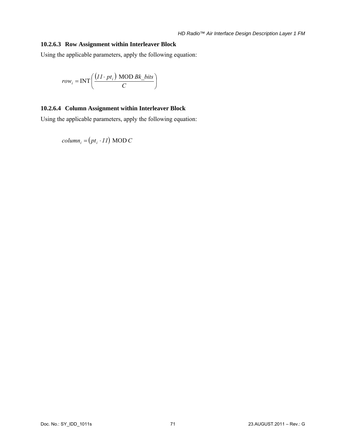# **10.2.6.3 Row Assignment within Interleaver Block**

Using the applicable parameters, apply the following equation:

$$
row_i = \text{INT}\left(\frac{(11 \cdot pt_i) \text{ MOD }Bk\_bits}{C}\right)
$$

# <span id="page-79-0"></span>**10.2.6.4 Column Assignment within Interleaver Block**

Using the applicable parameters, apply the following equation:

 $column_i = (pt_i \cdot 11) \text{ MOD } C$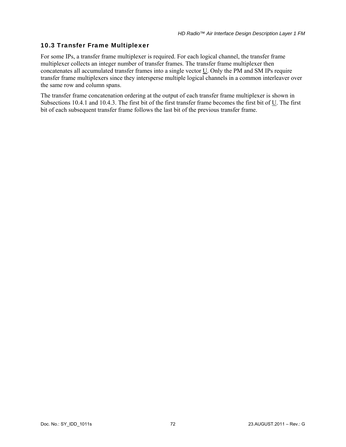# 10.3 Transfer Frame Multiplexer

For some IPs, a transfer frame multiplexer is required. For each logical channel, the transfer frame multiplexer collects an integer number of transfer frames. The transfer frame multiplexer then concatenates all accumulated transfer frames into a single vector U. Only the PM and SM IPs require transfer frame multiplexers since they intersperse multiple logical channels in a common interleaver over the same row and column spans.

The transfer frame concatenation ordering at the output of each transfer frame multiplexer is shown in Subsections [10.4.1](#page-81-1) and [10.4.3.](#page-91-0) The first bit of the first transfer frame becomes the first bit of U. The first bit of each subsequent transfer frame follows the last bit of the previous transfer frame.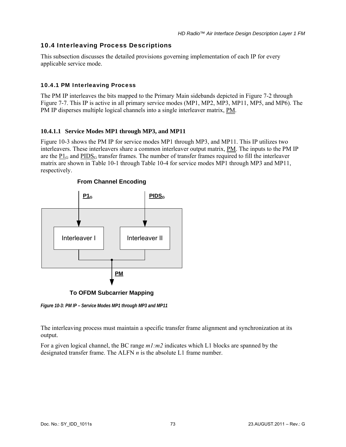# <span id="page-81-0"></span>10.4 Interleaving Process Descriptions

This subsection discusses the detailed provisions governing implementation of each IP for every applicable service mode.

# <span id="page-81-1"></span>10.4.1 PM Interleaving Process

The PM IP interleaves the bits mapped to the Primary Main sidebands depicted in [Figure 7-2](#page-43-0) through [Figure 7-7](#page-45-0). This IP is active in all primary service modes (MP1, MP2, MP3, MP11, MP5, and MP6). The PM IP disperses multiple logical channels into a single interleaver matrix, PM.

# <span id="page-81-3"></span>**10.4.1.1 Service Modes MP1 through MP3, and MP11**

[Figure 10-3](#page-81-2) shows the PM IP for service modes MP1 through MP3, and MP11. This IP utilizes two interleavers. These interleavers share a common interleaver output matrix, PM. The inputs to the PM IP are the  $PI_G$  and  $PIDS_G$  transfer frames. The number of transfer frames required to fill the interleaver matrix are shown in [Table 10-1](#page-67-0) through [Table 10-4](#page-68-0) for service modes MP1 through MP3 and MP11, respectively.



# **From Channel Encoding**

<span id="page-81-2"></span>*Figure 10-3: PM IP – Service Modes MP1 through MP3 and MP11* 

The interleaving process must maintain a specific transfer frame alignment and synchronization at its output.

For a given logical channel, the BC range *m1:m2* indicates which L1 blocks are spanned by the designated transfer frame. The ALFN *n* is the absolute L1 frame number.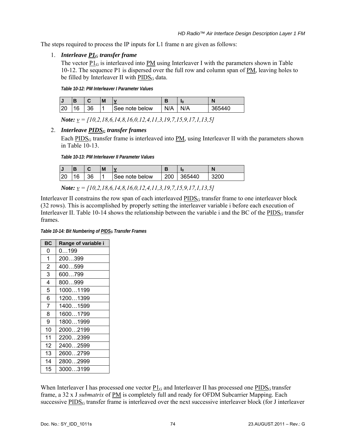The steps required to process the IP inputs for L1 frame n are given as follows:

# 1. *Interleave P1G transfer frame*

The vector  $P_1G$  is interleaved into PM using Interleaver I with the parameters shown in Table [10-12.](#page-82-0) The sequence P1 is dispersed over the full row and column span of PM, leaving holes to be filled by Interleaver II with  $\underline{PIDS}_G$  data.

*Table 10-12: PM Interleaver I Parameter Values* 

<span id="page-82-0"></span>

|            |   |          | M |                 |     | ı٥ | N      |
|------------|---|----------|---|-----------------|-----|----|--------|
| .00<br>້∠ພ | ⌒ | ኃፎ<br>აი |   | ISee note below | N/A | ΙА | 365440 |

*Note: v = [10,2,18,6,14,8,16,0,12,4,11,3,19,7,15,9,17,1,13,5]* 

# 2. *Interleave PIDSG transfer frames*

Each  $PIDS<sub>G</sub>$  transfer frame is interleaved into PM, using Interleaver II with the parameters shown in [Table 10-13.](#page-82-1)

*Table 10-13: PM Interleaver II Parameter Values* 

|           |   |          | M |                 |        | ı٥    | ľ    |
|-----------|---|----------|---|-----------------|--------|-------|------|
| nr.<br>Zu | ⌒ | oΩ<br>JΟ |   | ISee note below | $\sim$ | 85440 | 3200 |

*Note: v = [10,2,18,6,14,8,16,0,12,4,11,3,19,7,15,9,17,1,13,5]* 

<span id="page-82-1"></span>Interleaver II constrains the row span of each interleaved  $PIDS<sub>G</sub>$  transfer frame to one interleaver block (32 rows). This is accomplished by properly setting the interleaver variable i before each execution of Interleaver II. [Table 10-14](#page-82-2) shows the relationship between the variable i and the BC of the  $\underline{PIDS}_G$  transfer frames.

*Table 10-14: Bit Numbering of PIDSG Transfer Frames* 

<span id="page-82-2"></span>

| <b>BC</b>      | Range of variable i |
|----------------|---------------------|
| 0              | 0199                |
| 1              | 200399              |
| $\overline{2}$ | 400…599             |
| 3              | 600799              |
| 4              | 800999              |
| 5              | 10001199            |
| 6              | 12001399            |
| 7              | 14001599            |
| 8              | 16001799            |
| 9              | 18001999            |
| 10             | 20002199            |
| 11             | 22002399            |
| 12             | 24002599            |
| 13             | 26002799            |
| 14             | 28002999            |
| 15             | 30003199            |

When Interleaver I has processed one vector  $P1_G$  and Interleaver II has processed one  $PIDS_G$  transfer frame, a 32 x J *submatrix* of PM is completely full and ready for OFDM Subcarrier Mapping. Each successive PIDS<sub>G</sub> transfer frame is interleaved over the next successive interleaver block (for J interleaver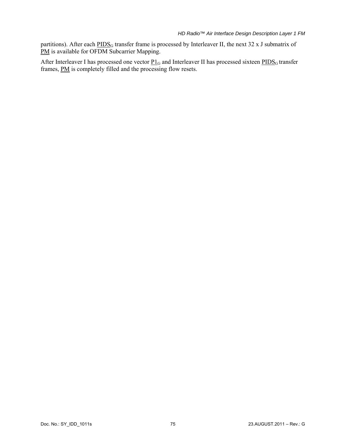partitions). After each PIDS<sub>G</sub> transfer frame is processed by Interleaver II, the next 32 x J submatrix of PM is available for OFDM Subcarrier Mapping.

After Interleaver I has processed one vector  $P1_G$  and Interleaver II has processed sixteen  $PIDS_G$  transfer frames, **PM** is completely filled and the processing flow resets.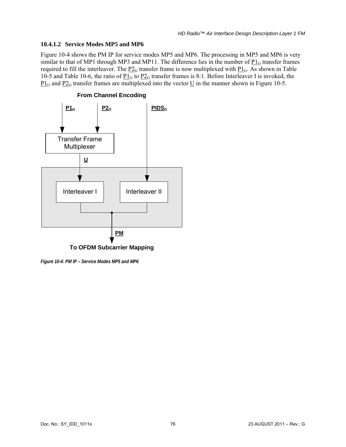## **10.4.1.2 Service Modes MP5 and MP6**

[Figure 10-4](#page-84-0) shows the PM IP for service modes MP5 and MP6. The processing in MP5 and MP6 is very similar to that of MP1 through MP3 and MP11. The difference lies in the number of  $P1_G$  transfer frames required to fill the interleaver. The  $\underline{P2}_G$  transfer frame is now multiplexed with  $\underline{P1}_G$ . As shown in Table [10-5](#page-68-1) and [Table 10-6,](#page-69-0) the ratio of  $\underline{P1_G}$  to  $\underline{P2_G}$  transfer frames is 8:1. Before Interleaver I is invoked, the  $P1_G$  and  $P2_G$  transfer frames are multiplexed into the vector U in the manner shown in [Figure 10-5.](#page-85-0)



<span id="page-84-0"></span>*Figure 10-4: PM IP – Service Modes MP5 and MP6*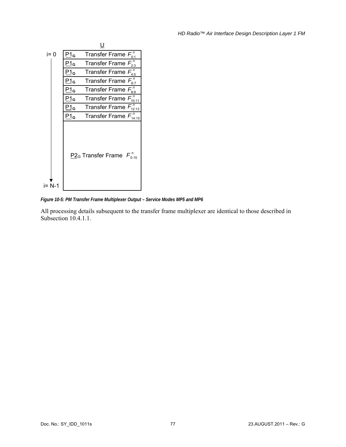

<span id="page-85-0"></span>*Figure 10-5: PM Transfer Frame Multiplexer Output – Service Modes MP5 and MP6* 

All processing details subsequent to the transfer frame multiplexer are identical to those described in Subsection [10.4.1.1.](#page-81-3)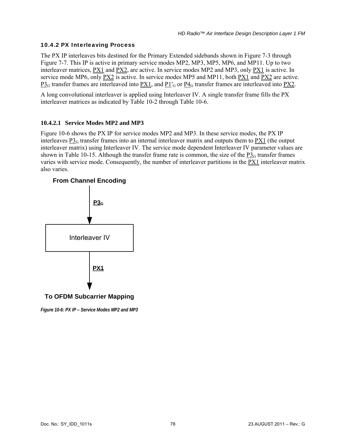# 10.4.2 PX Interleaving Process

The PX IP interleaves bits destined for the Primary Extended sidebands shown in [Figure 7-3](#page-43-1) through [Figure 7-7](#page-45-0). This IP is active in primary service modes MP2, MP3, MP5, MP6, and MP11. Up to two interleaver matrices, PX1 and PX2, are active. In service modes MP2 and MP3, only PX1 is active. In service mode MP6, only PX2 is active. In service modes MP5 and MP11, both PX1 and PX2 are active.  $P3<sub>G</sub>$  transfer frames are interleaved into PX1, and P1 $\frac{'}{G}$  or P4 $\frac{'}{G}$  transfer frames are interleaved into PX2.

A long convolutional interleaver is applied using Interleaver IV. A single transfer frame fills the PX interleaver matrices as indicated by [Table 10-2](#page-68-2) through [Table 10-6](#page-69-0).

# <span id="page-86-1"></span>**10.4.2.1 Service Modes MP2 and MP3**

[Figure 10-6](#page-86-0) shows the PX IP for service modes MP2 and MP3. In these service modes, the PX IP interleaves  $\frac{P_3}{G}$  transfer frames into an internal interleaver matrix and outputs them to  $\frac{P_3}{P_1}$  (the output interleaver matrix) using Interleaver IV. The service mode dependent Interleaver IV parameter values are shown in [Table 10-15](#page-87-0). Although the transfer frame rate is common, the size of the  $P_{3G}$  transfer frames varies with service mode. Consequently, the number of interleaver partitions in the PX1 interleaver matrix also varies.



<span id="page-86-0"></span>*Figure 10-6: PX IP – Service Modes MP2 and MP3*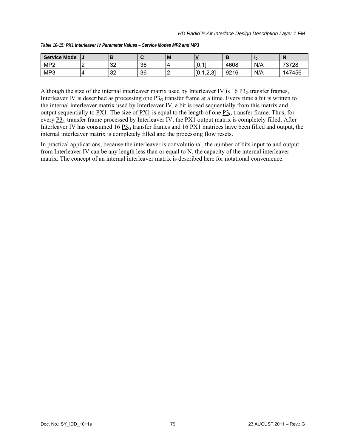<span id="page-87-0"></span>

| Service Mode    | IJ |          | £  | w |                                         |      |     | - IN   |
|-----------------|----|----------|----|---|-----------------------------------------|------|-----|--------|
| MP <sub>2</sub> |    | ററ<br>ےت | 36 |   | I <sub>IO</sub><br>$-47$                | 4608 | N/A | 73728  |
| MP3             |    | າາ<br>ےں | 36 | - | $\sqrt{10}$<br>. റ റീ<br>Įν<br>ا ب کہ ا | 9216 | N/A | 147456 |

*Table 10-15: PX1 Interleaver IV Parameter Values – Service Modes MP2 and MP3* 

Although the size of the internal interleaver matrix used by Interleaver IV is 16  $P_{\text{2G}}$  transfer frames, Interleaver IV is described as processing one  $\underline{P3}_G$  transfer frame at a time. Every time a bit is written to the internal interleaver matrix used by Interleaver IV, a bit is read sequentially from this matrix and output sequentially to  $\frac{PX1}{PX1}$ . The size of  $\frac{PX1}{PX1}$  is equal to the length of one  $P3<sub>G</sub>$  transfer frame. Thus, for every  $\overline{P3_G}$  transfer frame processed by Interleaver IV, the PX1 output matrix is completely filled. After Interleaver IV has consumed 16  $\underline{P3}_G$  transfer frames and 16  $\underline{PX1}$  matrices have been filled and output, the internal interleaver matrix is completely filled and the processing flow resets.

In practical applications, because the interleaver is convolutional, the number of bits input to and output from Interleaver IV can be any length less than or equal to N, the capacity of the internal interleaver matrix. The concept of an internal interleaver matrix is described here for notational convenience.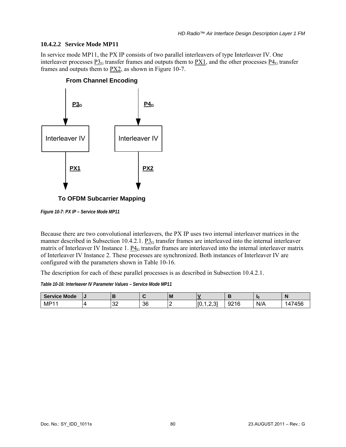## **10.4.2.2 Service Mode MP11**

In service mode MP11, the PX IP consists of two parallel interleavers of type Interleaver IV. One interleaver processes  $P_0^2$  transfer frames and outputs them to  $PX_1$ , and the other processes  $P_0^2$  transfer frames and outputs them to  $P_{12}$ , as shown in [Figure 10-7.](#page-88-0)



**To OFDM Subcarrier Mapping**

<span id="page-88-0"></span>*Figure 10-7: PX IP – Service Mode MP11* 

Because there are two convolutional interleavers, the PX IP uses two internal interleaver matrices in the manner described in Subsection [10.4.2.1.](#page-86-1)  $P_{\text{3G}}$  transfer frames are interleaved into the internal interleaver matrix of Interleaver IV Instance 1.  $\underline{P4}_G$  transfer frames are interleaved into the internal interleaver matrix of Interleaver IV Instance 2. These processes are synchronized. Both instances of Interleaver IV are configured with the parameters shown in [Table 10-16](#page-88-1).

The description for each of these parallel processes is as described in Subsection [10.4.2.1.](#page-86-1)

*Table 10-16: Interleaver IV Parameter Values – Service Mode MP11* 

<span id="page-88-1"></span>

| <b>Service Mode</b> | $\overline{\phantom{a}}$ |                |    | l M |                            |               | - In |              |
|---------------------|--------------------------|----------------|----|-----|----------------------------|---------------|------|--------------|
| MP1 <sup>-</sup>    |                          | $\Omega$<br>ےت | 36 |     | ຸ ຕະ<br>r o<br>ιv<br>ا ب ک | 0.24C<br>9216 | N/A  | '456<br>. 47 |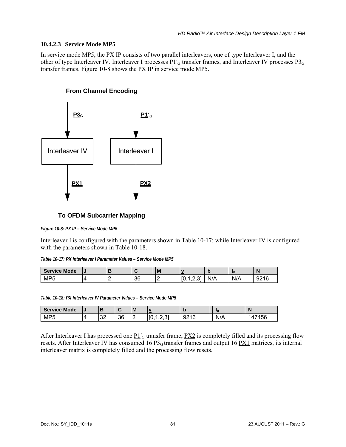#### **10.4.2.3 Service Mode MP5**

In service mode MP5, the PX IP consists of two parallel interleavers, one of type Interleaver I, and the other of type Interleaver IV. Interleaver I processes  $P1'_{G}$  transfer frames, and Interleaver IV processes  $P3_{G}$ transfer frames. [Figure 10-8](#page-89-0) shows the PX IP in service mode MP5.

# **From Channel Encoding**



# **To OFDM Subcarrier Mapping**

<span id="page-89-0"></span>*Figure 10-8: PX IP – Service Mode MP5* 

Interleaver I is configured with the parameters shown in [Table 10-17;](#page-89-1) while Interleaver IV is configured with the parameters shown in [Table 10-18.](#page-89-2)

| Table 10-17: PX Interleaver I Parameter Values - Service Mode MP5 |  |
|-------------------------------------------------------------------|--|
|                                                                   |  |

<span id="page-89-1"></span>

| <b>Service Mode</b> | $\overline{\phantom{a}}$ |    | ΙM | −                      |     | чь. | N               |
|---------------------|--------------------------|----|----|------------------------|-----|-----|-----------------|
| <b>MP5</b>          |                          | 36 |    | [0<br>∽<br>$\sim$<br>. | N/A | N/A | 0.24C<br>92 I G |

*Table 10-18: PX Interleaver IV Parameter Values – Service Mode MP5* 

<span id="page-89-2"></span>

| <b>Service Mode</b> | ں ו |              | $\sim$<br>. . | M | <b>The Company</b>      | w    | ı٥  | N          |
|---------------------|-----|--------------|---------------|---|-------------------------|------|-----|------------|
| MP <sub>5</sub>     |     | $\sim$<br>ےت | 36            | - | . ^*<br>$\sim$<br>ان.∠. | 9216 | N/A | 7456<br>IΔ |

After Interleaver I has processed one  $P1'_{G}$  transfer frame,  $PX2$  is completely filled and its processing flow resets. After Interleaver IV has consumed 16  $P_{G}$  transfer frames and output 16  $P_{X}$ 1 matrices, its internal interleaver matrix is completely filled and the processing flow resets.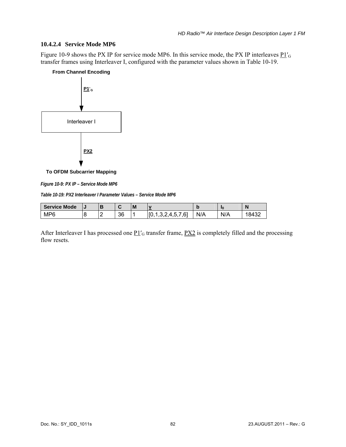#### **10.4.2.4 Service Mode MP6**

[Figure 10-9](#page-90-0) shows the PX IP for service mode MP6. In this service mode, the PX IP interleaves  $P1'_{G}$ transfer frames using Interleaver I, configured with the parameter values shown in [Table 10-19.](#page-90-1)

#### **From Channel Encoding**



**To OFDM Subcarrier Mapping**

<span id="page-90-0"></span>*Figure 10-9: PX IP – Service Mode MP6* 

*Table 10-19: PX2 Interleaver I Parameter Values – Service Mode MP6* 

<span id="page-90-1"></span>

| <b>Service Mode</b> | l J |    | l M |                                                      | M   | ı٥  | N     |
|---------------------|-----|----|-----|------------------------------------------------------|-----|-----|-------|
| MP <sub>6</sub>     | -   | 36 |     | ro,<br>61<br>$\Lambda$<br>∽<br>т.∪<br>. .<br>. v. L. | N/A | N/A | 18432 |

After Interleaver I has processed one  $\underline{P1'}_G$  transfer frame,  $\underline{PX2}$  is completely filled and the processing flow resets.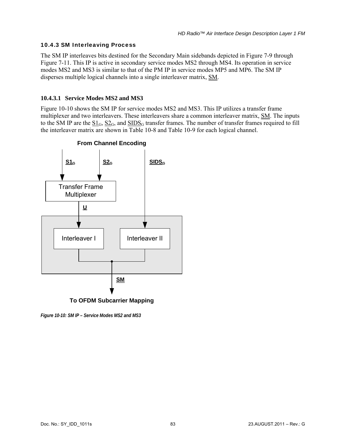## <span id="page-91-0"></span>10.4.3 SM Interleaving Process

The SM IP interleaves bits destined for the Secondary Main sidebands depicted in [Figure 7-9](#page-46-0) through [Figure 7-11.](#page-47-0) This IP is active in secondary service modes MS2 through MS4. Its operation in service modes MS2 and MS3 is similar to that of the PM IP in service modes MP5 and MP6. The SM IP disperses multiple logical channels into a single interleaver matrix, SM.

# **10.4.3.1 Service Modes MS2 and MS3**

[Figure 10-10](#page-91-1) shows the SM IP for service modes MS2 and MS3. This IP utilizes a transfer frame multiplexer and two interleavers. These interleavers share a common interleaver matrix, SM. The inputs to the SM IP are the  $SL_G$ ,  $SL_G$ , and  $SIDS_G$  transfer frames. The number of transfer frames required to fill the interleaver matrix are shown in [Table 10-8](#page-69-1) and [Table 10-9](#page-69-2) for each logical channel.



<span id="page-91-1"></span>*Figure 10-10: SM IP – Service Modes MS2 and MS3*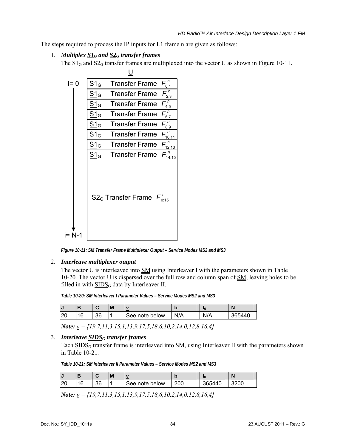The steps required to process the IP inputs for L1 frame n are given as follows:

## 1. *Multiplex S1G and S2G transfer frames*

The  $\frac{S1_G}{S2_G}$  transfer frames are multiplexed into the vector U as shown in [Figure 10-11.](#page-92-0)



*Figure 10-11: SM Transfer Frame Multiplexer Output – Service Modes MS2 and MS3* 

#### <span id="page-92-0"></span>2. *Interleave multiplexer output*

The vector  $\underline{U}$  is interleaved into  $\underline{SM}$  using Interleaver I with the parameters shown in Table [10-20.](#page-92-1) The vector U is dispersed over the full row and column span of SM, leaving holes to be filled in with  $\overline{SIDS_G}$  data by Interleaver II.

*Table 10-20: SM Interleaver I Parameter Values – Service Modes MS2 and MS3* 

<span id="page-92-1"></span>

| IJ |         |    | M |                | м   | ıη  | N      |
|----|---------|----|---|----------------|-----|-----|--------|
| 20 | 16<br>U | 36 |   | See note below | N/A | N/A | 365440 |

*Note: v = [19,7,11,3,15,1,13,9,17,5,18,6,10,2,14,0,12,8,16,4]* 

# <span id="page-92-2"></span>3. *Interleave SIDSG transfer frames*

Each SIDS<sub>G</sub> transfer frame is interleaved into  $SM$ , using Interleaver II with the parameters shown in [Table 10-21](#page-92-2)*.*

*Table 10-21: SM Interleaver II Parameter Values – Service Modes MS2 and MS3* 

| l J |                 | $\sim$<br>. . | M |                | ю   | ı٥          | N  |
|-----|-----------------|---------------|---|----------------|-----|-------------|----|
|     | $\sqrt{2}$<br>◡ | 36            |   | See note below | 200 | 36.<br>¦h44 | ŰŰ |

*Note: v = [19,7,11,3,15,1,13,9,17,5,18,6,10,2,14,0,12,8,16,4]*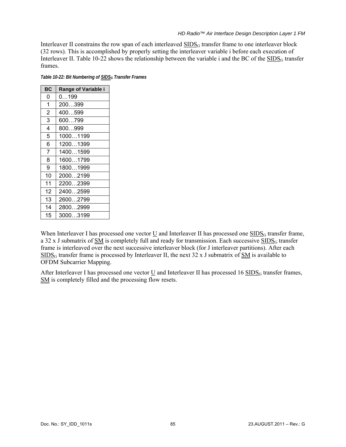Interleaver II constrains the row span of each interleaved  $\text{SIDS}_G$  transfer frame to one interleaver block (32 rows). This is accomplished by properly setting the interleaver variable i before each execution of Interleaver II. [Table 10-22](#page-93-0) shows the relationship between the variable i and the BC of the  $\frac{SIDS_G}{S}$  transfer frames.

*Table 10-22: Bit Numbering of SIDSG Transfer Frames* 

<span id="page-93-0"></span>

| <b>BC</b>      | <b>Range of Variable i</b> |
|----------------|----------------------------|
| 0              | 0199                       |
| 1              | 200399                     |
| $\overline{2}$ | 400599                     |
| 3              | 600799                     |
| 4              | 800999                     |
| 5              | 10001199                   |
| 6              | 12001399                   |
| $\overline{7}$ | 14001599                   |
| 8              | 16001799                   |
| 9              | 18001999                   |
| 10             | 20002199                   |
| 11             | 22002399                   |
| 12             | 24002599                   |
| 13             | 26002799                   |
| 14             | 28002999                   |
| 15             | 30003199                   |

When Interleaver I has processed one vector  $\underline{U}$  and Interleaver II has processed one  $\underline{SIDS}_G$  transfer frame, a 32 x J submatrix of  $SM$  is completely full and ready for transmission. Each successive  $SIDS_G$  transfer frame is interleaved over the next successive interleaver block (for J interleaver partitions). After each  $SIDS_G$  transfer frame is processed by Interleaver II, the next 32 x J submatrix of SM is available to OFDM Subcarrier Mapping.

After Interleaver I has processed one vector  $\underline{U}$  and Interleaver II has processed 16  $\underline{SIDS}_G$  transfer frames, SM is completely filled and the processing flow resets.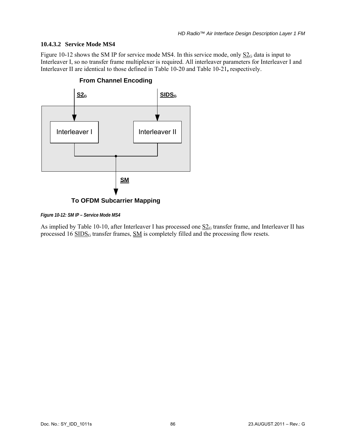# **10.4.3.2 Service Mode MS4**

[Figure 10-12](#page-94-0) shows the SM IP for service mode MS4. In this service mode, only  $S_{\text{2G}}$  data is input to Interleaver I, so no transfer frame multiplexer is required. All interleaver parameters for Interleaver I and Interleaver II are identical to those defined in [Table 10-20](#page-92-1) and [Table 10-21](#page-92-2)**,** respectively.



# **From Channel Encoding**

<span id="page-94-0"></span>*Figure 10-12: SM IP – Service Mode MS4* 

As implied by [Table 10-10](#page-70-0), after Interleaver I has processed one  $S2<sub>G</sub>$  transfer frame, and Interleaver II has processed 16 SIDS<sub>G</sub> transfer frames, SM is completely filled and the processing flow resets.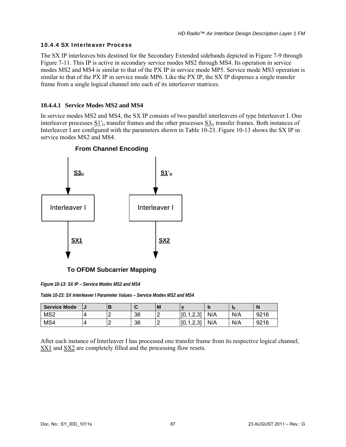## 10.4.4 SX Interleaver Process

The SX IP interleaves bits destined for the Secondary Extended sidebands depicted in [Figure 7-9](#page-46-0) through [Figure 7-11.](#page-47-0) This IP is active in secondary service modes MS2 through MS4. Its operation in service modes MS2 and MS4 is similar to that of the PX IP in service mode MP5. Service mode MS3 operation is similar to that of the PX IP in service mode MP6. Like the PX IP, the SX IP disperses a single transfer frame from a single logical channel into each of its interleaver matrices.

# **10.4.4.1 Service Modes MS2 and MS4**

In service modes MS2 and MS4, the SX IP consists of two parallel interleavers of type Interleaver I. One interleaver processes  $\frac{S1'}{G}$  transfer frames and the other processes  $\frac{S3}{G}$  transfer frames. Both instances of Interleaver I are configured with the parameters shown in [Table 10-23](#page-95-0). [Figure 10-13](#page-95-1) shows the SX IP in service modes MS2 and MS4.



**To OFDM Subcarrier Mapping**

<span id="page-95-1"></span>*Figure 10-13: SX IP – Service Modes MS2 and MS4* 

*Table 10-23: SX Interleaver I Parameter Values – Service Modes MS2 and MS4* 

<span id="page-95-0"></span>

| <b>Service Mode</b> | IJ | ◡  | ΙM |                             |     | 10  | N    |
|---------------------|----|----|----|-----------------------------|-----|-----|------|
| MS <sub>2</sub>     |    | 36 |    | 1 2 31<br>г∩<br>10, 1, 2, 0 | N/A | N/A | 9216 |
| MS4                 |    | 36 |    | 1231<br>ΓO<br>ں.ء           | N/A | N/A | 9216 |

After each instance of Interleaver I has processed one transfer frame from its respective logical channel, SX1 and SX2 are completely filled and the processing flow resets.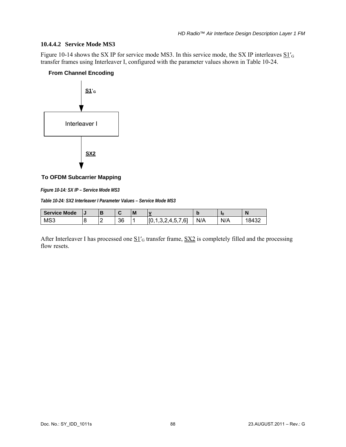## **10.4.4.2 Service Mode MS3**

[Figure 10-14](#page-96-0) shows the SX IP for service mode MS3. In this service mode, the SX IP interleaves  $\underline{S1}'_G$ transfer frames using Interleaver I, configured with the parameter values shown in [Table 10-24.](#page-96-1)

### **From Channel Encoding**



### **To OFDM Subcarrier Mapping**

<span id="page-96-0"></span>*Figure 10-14: SX IP – Service Mode MS3* 

*Table 10-24: SX2 Interleaver I Parameter Values – Service Mode MS3* 

<span id="page-96-1"></span>

| <b>Service Mode</b> | l J |    | l M |                                                | м   | ı٥  | N     |
|---------------------|-----|----|-----|------------------------------------------------|-----|-----|-------|
| MS3                 | -   | 36 |     | <b>FO</b><br>61<br>$\Lambda$<br>h<br>־…<br>. . | N/A | N/A | 18432 |

After Interleaver I has processed one  $\underline{S1'}_G$  transfer frame,  $\underline{SX2}$  is completely filled and the processing flow resets.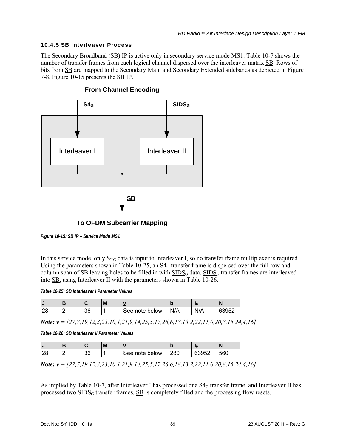# 10.4.5 SB Interleaver Process

The Secondary Broadband (SB) IP is active only in secondary service mode MS1. [Table 10-7](#page-69-3) shows the number of transfer frames from each logical channel dispersed over the interleaver matrix SB. Rows of bits from SB are mapped to the Secondary Main and Secondary Extended sidebands as depicted in [Figure](#page-46-1)  [7-8.](#page-46-1) [Figure 10-15](#page-97-0) presents the SB IP.



# **From Channel Encoding**

**To OFDM Subcarrier Mapping**

<span id="page-97-0"></span>*Figure 10-15: SB IP – Service Mode MS1* 

In this service mode, only  $\frac{S_4}{G}$  data is input to Interleaver I, so no transfer frame multiplexer is required. Using the parameters shown in [Table 10-25](#page-97-1), an  $\underline{S4}_G$  transfer frame is dispersed over the full row and column span of  $SB$  leaving holes to be filled in with  $SIDS_G$  data.  $SIDS_G$  transfer frames are interleaved into SB, using Interleaver II with the parameters shown in [Table 10-26.](#page-97-2)

*Table 10-25: SB Interleaver I Parameter Values* 

<span id="page-97-1"></span>

|          |    | IVI |                | M   |     |       |
|----------|----|-----|----------------|-----|-----|-------|
| ാറ<br>20 | 36 |     | See note below | N/A | N/A | 63952 |

*Note: v = [27,7,19,12,3,23,10,1,21,9,14,25,5,17,26,6,18,13,2,22,11,0,20,8,15,24,4,16]* 

*Table 10-26: SB Interleaver II Parameter Values* 

<span id="page-97-2"></span>

|         |    | M |                |     | ıω    |     |
|---------|----|---|----------------|-----|-------|-----|
| റ<br>20 | 36 |   | See note below | 280 | 63952 | 560 |

*Note: v = [27,7,19,12,3,23,10,1,21,9,14,25,5,17,26,6,18,13,2,22,11,0,20,8,15,24,4,16]* 

As implied by [Table 10-7,](#page-69-3) after Interleaver I has processed one  $S4<sub>G</sub>$  transfer frame, and Interleaver II has processed two  $\overline{SIDS_G}$  transfer frames,  $\overline{SB}$  is completely filled and the processing flow resets.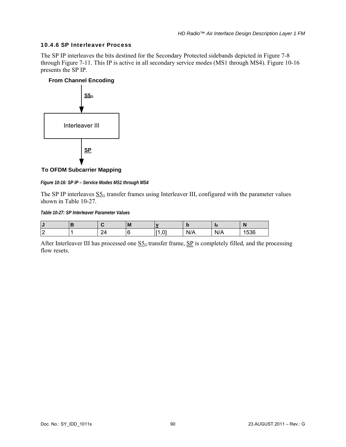## 10.4.6 SP Interleaver Process

The SP IP interleaves the bits destined for the Secondary Protected sidebands depicted in [Figure 7-8](#page-46-1)  through [Figure 7-11.](#page-47-0) This IP is active in all secondary service modes (MS1 through MS4). [Figure 10-16](#page-98-0) presents the SP IP.



**To OFDM Subcarrier Mapping**

<span id="page-98-0"></span>*Figure 10-16: SP IP – Service Modes MS1 through MS4* 

The SP IP interleaves  $S_0$  transfer frames using Interleaver III, configured with the parameter values shown in [Table 10-27](#page-98-1).

*Table 10-27: SP Interleaver Parameter Values* 

<span id="page-98-1"></span>

| IJ                       |           | . .<br>IVI |               |     | ı٥  | . . |
|--------------------------|-----------|------------|---------------|-----|-----|-----|
| $\sqrt{2}$<br>$\epsilon$ | 24<br>- 1 |            | $\sim$<br>. . | N/A | N/A | 536 |

After Interleaver III has processed one  $\underline{S5}_G$  transfer frame,  $\underline{SP}$  is completely filled, and the processing flow resets.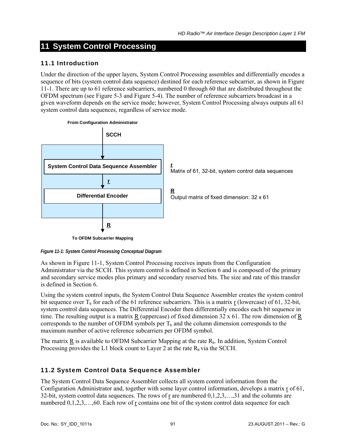# **11 System Control Processing**

# 11.1 Introduction

Under the direction of the upper layers, System Control Processing assembles and differentially encodes a sequence of bits (system control data sequence) destined for each reference subcarrier, as shown in [Figure](#page-99-0)  [11-1](#page-99-0). There are up to 61 reference subcarriers, numbered 0 through 60 that are distributed throughout the OFDM spectrum (see [Figure 5-3](#page-21-0) and [Figure 5-4\)](#page-21-1). The number of reference subcarriers broadcast in a given waveform depends on the service mode; however, System Control Processing always outputs all 61 system control data sequences, regardless of service mode.



<span id="page-99-0"></span>*Figure 11-1: System Control Processing Conceptual Diagram* 

As shown in [Figure 11-1](#page-99-0), System Control Processing receives inputs from the Configuration Administrator via the SCCH. This system control is defined in Section [6](#page-28-0) and is composed of the primary and secondary service modes plus primary and secondary reserved bits. The size and rate of this transfer is defined in Section [6](#page-28-0).

Using the system control inputs, the System Control Data Sequence Assembler creates the system control bit sequence over  $T_b$  for each of the 61 reference subcarriers. This is a matrix r (lowercase) of 61, 32-bit, system control data sequences. The Differential Encoder then differentially encodes each bit sequence in time. The resulting output is a matrix  $\underline{R}$  (uppercase) of fixed dimension 32 x 61. The row dimension of  $\underline{R}$ corresponds to the number of OFDM symbols per  $T<sub>b</sub>$  and the column dimension corresponds to the maximum number of active reference subcarriers per OFDM symbol.

The matrix  $\underline{R}$  is available to OFDM Subcarrier Mapping at the rate  $R_b$ . In addition, System Control Processing provides the L1 block count to Layer 2 at the rate  $R_b$  via the SCCH.

# 11.2 System Control Data Sequence Assembler

The System Control Data Sequence Assembler collects all system control information from the Configuration Administrator and, together with some layer control information, develops a matrix r of 61, 32-bit, system control data sequences. The rows of r are numbered  $0,1,2,3,...,31$  and the columns are numbered  $0,1,2,3,...,60$ . Each row of <u>r</u> contains one bit of the system control data sequence for each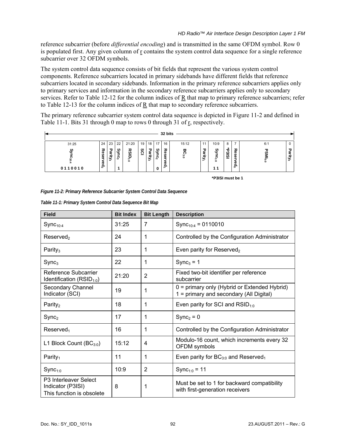reference subcarrier (before *differential encoding*) and is transmitted in the same OFDM symbol. Row 0 is populated first. Any given column of  $r$  contains the system control data sequence for a single reference subcarrier over 32 OFDM symbols.

The system control data sequence consists of bit fields that represent the various system control components. Reference subcarriers located in primary sidebands have different fields that reference subcarriers located in secondary sidebands. Information in the primary reference subcarriers applies only to primary services and information in the secondary reference subcarriers applies only to secondary services. Refer to [Table 12-12](#page-118-0) for the column indices of  $\overline{R}$  that map to primary reference subcarriers; refer to [Table 12-13](#page-119-0) for the column indices of  $\underline{R}$  that map to secondary reference subcarriers.

The primary reference subcarrier system control data sequence is depicted in [Figure 11-2](#page-100-0) and defined in [Table 11-1](#page-100-1). Bits 31 through 0 map to rows 0 through 31 of  $r<sub>r</sub>$ , respectively.



<span id="page-100-0"></span>*Figure 11-2: Primary Reference Subcarrier System Control Data Sequence* 

|  | Table 11-1: Primary System Control Data Sequence Bit Map |  |  |  |
|--|----------------------------------------------------------|--|--|--|
|  |                                                          |  |  |  |

<span id="page-100-1"></span>

| <b>Field</b>                                                                        | <b>Bit Index</b> | <b>Bit Length</b> | <b>Description</b>                                                                      |
|-------------------------------------------------------------------------------------|------------------|-------------------|-----------------------------------------------------------------------------------------|
| $Sync_{10:4}$                                                                       | 31:25            | 7                 | Sync <sub>10:4</sub> = 0110010                                                          |
| Reserved <sub>2</sub>                                                               | 24               | 1                 | Controlled by the Configuration Administrator                                           |
| Parity <sub>3</sub>                                                                 | 23               | 1                 | Even parity for Reserved <sub>2</sub>                                                   |
| Sync <sub>3</sub>                                                                   | 22               | 1                 | $Sync3 = 1$                                                                             |
| Reference Subcarrier<br>Identification ( $RSID_{1:0}$ )                             | 21:20            | $\overline{2}$    | Fixed two-bit identifier per reference<br>subcarrier                                    |
| Secondary Channel<br>Indicator (SCI)                                                | 19               | 1                 | 0 = primary only (Hybrid or Extended Hybrid)<br>1 = primary and secondary (All Digital) |
| Parity <sub>2</sub>                                                                 | 18               | 1                 | Even parity for SCI and $RSID_{1:0}$                                                    |
| Sync <sub>2</sub>                                                                   | 17               | 1                 | $\text{Sync}_2 = 0$                                                                     |
| Reserved <sub>1</sub>                                                               | 16               | 1                 | Controlled by the Configuration Administrator                                           |
| L1 Block Count $(BC_{3:0})$                                                         | 15:12            | 4                 | Modulo-16 count, which increments every 32<br>OFDM symbols                              |
| Parity <sub>1</sub>                                                                 | 11               | 1                 | Even parity for $BC_{3:0}$ and Reserved <sub>1</sub>                                    |
| $Sync_{1:0}$                                                                        | 10:9             | $\overline{2}$    | Sync <sub>1:0</sub> = 11                                                                |
| P <sub>3</sub> Interleaver Select<br>Indicator (P3ISI)<br>This function is obsolete | 8                | 1                 | Must be set to 1 for backward compatibility<br>with first-generation receivers          |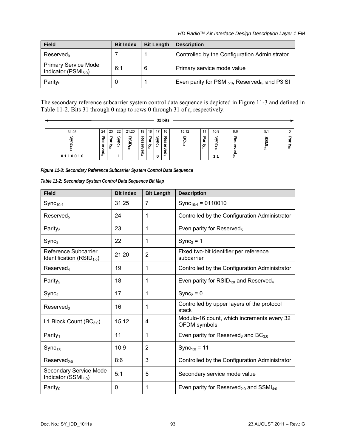| <b>Field</b>                                             | <b>Bit Index</b> | <b>Bit Length</b> | <b>Description</b>                                               |
|----------------------------------------------------------|------------------|-------------------|------------------------------------------------------------------|
| Reserved <sub>0</sub>                                    |                  |                   | Controlled by the Configuration Administrator                    |
| <b>Primary Service Mode</b><br>Indicator ( $PSMI_{50}$ ) | 6:1              | 6                 | Primary service mode value                                       |
| Parity <sub>0</sub>                                      | 0                |                   | Even parity for $PSMI_{5:0}$ , Reserved <sub>0</sub> , and P3ISI |

The secondary reference subcarrier system control data sequence is depicted in [Figure 11-3](#page-101-0) and defined in [Table 11-2](#page-101-1). Bits 31 through 0 map to rows 0 through 31 of  $\frac{1}{2}$ , respectively.

|              |                                   |             |                |             |               |                       |              | 32 bits                  |          |        |                    |              |                |                         |
|--------------|-----------------------------------|-------------|----------------|-------------|---------------|-----------------------|--------------|--------------------------|----------|--------|--------------------|--------------|----------------|-------------------------|
| 31:25        | 24                                | 23          | 22             | 21:20       | 19            | 18                    | 17           | 16                       | 15:12    | 11     | 10:9               | 8:6          | 5:1            |                         |
| ٯ<br>0110010 | ᇮ<br>c<br><b>D</b><br>Φ<br>௨<br>௬ | Parity<br>ພ | ଡ<br><u>ទី</u> | ᅏ<br>Ξ<br>ä | Res<br>ቋ<br>መ | 룋<br>-<br>ಾ<br>$\sim$ | ؈<br>S.<br>0 | Res<br>Φ<br>Φ<br>௨<br>تت | ᡂ<br>င္း | Parity | જી<br>ິ<br>ä<br>11 | یہ<br>$\sim$ | SS<br>s<br>4:0 | 品<br>Ξ.<br>ೆ<br>$\circ$ |

<span id="page-101-0"></span>*Figure 11-3: Secondary Reference Subcarrier System Control Data Sequence* 

| Table 11-2: Secondary System Control Data Sequence Bit Map |  |
|------------------------------------------------------------|--|
|------------------------------------------------------------|--|

<span id="page-101-1"></span>

| <b>Field</b>                                          | <b>Bit Index</b> | <b>Bit Length</b> | <b>Description</b>                                              |
|-------------------------------------------------------|------------------|-------------------|-----------------------------------------------------------------|
| $Sync_{10:4}$                                         | 31:25            | $\overline{7}$    | Sync <sub>10:4</sub> = 0110010                                  |
| Reserved <sub>5</sub>                                 | 24               | 1                 | Controlled by the Configuration Administrator                   |
| Parity <sub>3</sub>                                   | 23               | 1                 | Even parity for Reserved <sub>5</sub>                           |
| Sync <sub>3</sub>                                     | 22               | 1                 | $Sync3 = 1$                                                     |
| Reference Subcarrier<br>Identification $(RSID_{1:0})$ | 21:20            | $\overline{2}$    | Fixed two-bit identifier per reference<br>subcarrier            |
| Reserved <sub>4</sub>                                 | 19               | 1                 | Controlled by the Configuration Administrator                   |
| Parity <sub>2</sub>                                   | 18               | 1                 | Even parity for $RSID_{1:0}$ and Reserved <sub>4</sub>          |
| Sync <sub>2</sub>                                     | 17               | 1                 | $Sync2 = 0$                                                     |
| Reserved <sub>3</sub>                                 | 16               | 1                 | Controlled by upper layers of the protocol<br>stack             |
| L1 Block Count $(BC_{3:0})$                           | 15:12            | 4                 | Modulo-16 count, which increments every 32<br>OFDM symbols      |
| Parity <sub>1</sub>                                   | 11               | 1                 | Even parity for Reserved <sub>3</sub> and $BC_{3:0}$            |
| $Symc_{1:0}$                                          | 10:9             | $\overline{2}$    | Sync <sub>1:0</sub> = 11                                        |
| Reserved <sub>200</sub>                               | 8:6              | 3                 | Controlled by the Configuration Administrator                   |
| Secondary Service Mode<br>Indicator $(SSMI_{4:0})$    | 5:1              | 5                 | Secondary service mode value                                    |
| Parity <sub>0</sub>                                   | $\mathbf 0$      | 1                 | Even parity for Reserved <sub>2:0</sub> and SSMI <sub>4:0</sub> |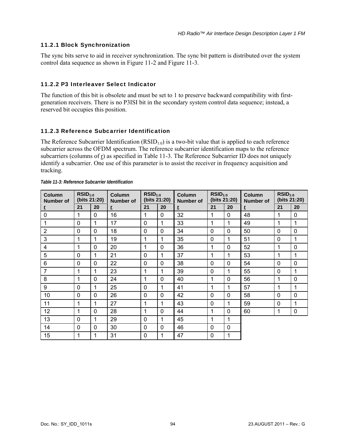# 11.2.1 Block Synchronization

The sync bits serve to aid in receiver synchronization. The sync bit pattern is distributed over the system control data sequence as shown in [Figure 11-2](#page-100-0) and [Figure 11-3](#page-101-0).

## 11.2.2 P3 Interleaver Select Indicator

The function of this bit is obsolete and must be set to 1 to preserve backward compatibility with firstgeneration receivers. There is no P3ISI bit in the secondary system control data sequence; instead, a reserved bit occupies this position.

### 11.2.3 Reference Subcarrier Identification

The Reference Subcarrier Identification  $(RSID<sub>1:0</sub>)$  is a two-bit value that is applied to each reference subcarrier across the OFDM spectrum. The reference subcarrier identification maps to the reference subcarriers (columns of  $\underline{r}$ ) as specified in [Table 11-3](#page-102-0). The Reference Subcarrier ID does not uniquely identify a subcarrier. One use of this parameter is to assist the receiver in frequency acquisition and tracking.

<span id="page-102-0"></span>

| <b>Column</b><br><b>Number of</b> | $RSID_{1:0}$<br>(bits 21:20) |             | $RSID_{1:0}$<br><b>Column</b><br>(bits 21:20)<br><b>Number of</b> |              | <b>Column</b><br><b>Number of</b> | $RSID_{1:0}$<br>(bits 21:20) |    | <b>Column</b><br><b>Number of</b> | $RSID_{1:0}$<br>(bits 21:20) |          |             |
|-----------------------------------|------------------------------|-------------|-------------------------------------------------------------------|--------------|-----------------------------------|------------------------------|----|-----------------------------------|------------------------------|----------|-------------|
| Ţ                                 | 21                           | 20          | $\mathbf{r}$                                                      | 21           | 20                                | $\overline{r}$               | 21 | 20                                | ŗ                            | 21       | 20          |
| $\mathbf 0$                       | 1                            | $\mathbf 0$ | 16                                                                | 1            | $\mathbf{0}$                      | 32                           | 1  | $\Omega$                          | 48                           |          | $\mathbf 0$ |
| 1                                 | $\mathbf 0$                  | 1           | 17                                                                | $\mathbf 0$  | 1                                 | 33                           | 1  | 1                                 | 49                           |          | 1           |
| $\overline{2}$                    | $\mathbf 0$                  | $\mathbf 0$ | 18                                                                | $\mathbf 0$  | $\mathbf 0$                       | 34                           | 0  | $\mathbf 0$                       | 50                           | $\Omega$ | $\mathbf 0$ |
| 3                                 | $\mathbf{1}$                 | 1           | 19                                                                | 1            | 1                                 | 35                           | 0  | 1                                 | 51                           | $\Omega$ | 1           |
| 4                                 | $\mathbf{1}$                 | $\mathbf 0$ | 20                                                                | $\mathbf{1}$ | $\mathbf{0}$                      | 36                           | 1  | $\Omega$                          | 52                           | 1        | $\mathbf 0$ |
| 5                                 | $\mathbf 0$                  | 1           | 21                                                                | $\mathbf{0}$ | 1                                 | 37                           | 1  | 1                                 | 53                           | 1        | 1           |
| 6                                 | $\mathbf 0$                  | $\mathbf 0$ | 22                                                                | $\mathbf 0$  | $\mathbf 0$                       | 38                           | 0  | $\mathbf 0$                       | 54                           | $\Omega$ | $\mathbf 0$ |
| $\overline{7}$                    | $\mathbf{1}$                 | 1           | 23                                                                | 1            | 1                                 | 39                           | 0  | 1                                 | 55                           | $\Omega$ | 1           |
| 8                                 | 1                            | $\Omega$    | 24                                                                | 1            | $\mathbf 0$                       | 40                           | 1  | $\Omega$                          | 56                           | 1        | $\mathbf 0$ |
| 9                                 | $\mathbf 0$                  | 1           | 25                                                                | $\mathbf 0$  | 1                                 | 41                           | 1  | 1                                 | 57                           | 1        | 1           |
| 10                                | $\mathbf 0$                  | $\Omega$    | 26                                                                | $\mathbf 0$  | $\mathbf 0$                       | 42                           | 0  | $\Omega$                          | 58                           | $\Omega$ | $\mathbf 0$ |
| 11                                | $\mathbf{1}$                 | 1           | 27                                                                | 1            | 1                                 | 43                           | 0  | 1                                 | 59                           | $\Omega$ | 1           |
| 12                                | 1                            | $\mathbf 0$ | 28                                                                | 1            | $\mathbf 0$                       | 44                           | 1  | $\mathbf 0$                       | 60                           | 1        | $\mathbf 0$ |
| 13                                | $\mathbf 0$                  | 1           | 29                                                                | $\mathbf 0$  | 1                                 | 45                           | 1  | 1                                 |                              |          |             |
| 14                                | $\mathbf 0$                  | $\Omega$    | 30                                                                | $\mathbf 0$  | 0                                 | 46                           | 0  | $\mathbf 0$                       |                              |          |             |
| 15                                | 1                            | 1           | 31                                                                | $\mathbf 0$  | 1                                 | 47                           | 0  | 1                                 |                              |          |             |

|  | Table 11-3: Reference Subcarrier Identification |
|--|-------------------------------------------------|
|  |                                                 |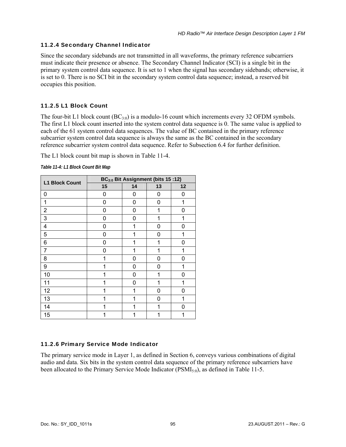# 11.2.4 Secondary Channel Indicator

Since the secondary sidebands are not transmitted in all waveforms, the primary reference subcarriers must indicate their presence or absence. The Secondary Channel Indicator (SCI) is a single bit in the primary system control data sequence. It is set to 1 when the signal has secondary sidebands; otherwise, it is set to 0. There is no SCI bit in the secondary system control data sequence; instead, a reserved bit occupies this position.

# 11.2.5 L1 Block Count

The four-bit L1 block count  $(BC_{30})$  is a modulo-16 count which increments every 32 OFDM symbols. The first L1 block count inserted into the system control data sequence is 0. The same value is applied to each of the 61 system control data sequences. The value of BC contained in the primary reference subcarrier system control data sequence is always the same as the BC contained in the secondary reference subcarrier system control data sequence. Refer to Subsection [6.4](#page-34-0) for further definition.

The L1 block count bit map is shown in [Table 11-4](#page-103-0).

<span id="page-103-0"></span>

| <b>L1 Block Count</b> | BC <sub>3:0</sub> Bit Assignment (bits 15 :12) |   |    |    |  |  |  |  |
|-----------------------|------------------------------------------------|---|----|----|--|--|--|--|
|                       | 15<br>14                                       |   | 13 | 12 |  |  |  |  |
| 0                     | 0                                              | 0 | 0  | 0  |  |  |  |  |
| 1                     | 0                                              | 0 | 0  | 1  |  |  |  |  |
| $\overline{2}$        | 0                                              | 0 | 1  | 0  |  |  |  |  |
| 3                     | 0                                              | 0 | 1  | 1  |  |  |  |  |
| 4                     | 0                                              | 1 | 0  | 0  |  |  |  |  |
| 5                     | 0                                              | 1 | 0  | 1  |  |  |  |  |
| 6                     | 0                                              | 1 | 1  | 0  |  |  |  |  |
| 7                     | 0                                              | 1 | 1  | 1  |  |  |  |  |
| 8                     | 1                                              | 0 | 0  | 0  |  |  |  |  |
| 9                     | 1                                              | 0 | 0  | 1  |  |  |  |  |
| 10                    | 1                                              | 0 | 1  | 0  |  |  |  |  |
| 11                    | 1                                              | 0 | 1  | 1  |  |  |  |  |
| 12                    | 1                                              | 1 | 0  | 0  |  |  |  |  |
| 13                    | 1                                              | 1 | 0  | 1  |  |  |  |  |
| 14                    | 1                                              | 1 | 1  | 0  |  |  |  |  |
| 15                    | 1                                              | 1 | 1  |    |  |  |  |  |

*Table 11-4: L1 Block Count Bit Map* 

# 11.2.6 Primary Service Mode Indicator

The primary service mode in Layer 1, as defined in Section [6](#page-28-0), conveys various combinations of digital audio and data. Six bits in the system control data sequence of the primary reference subcarriers have been allocated to the Primary Service Mode Indicator ( $PSMI_{50}$ ), as defined in [Table 11-5.](#page-104-0)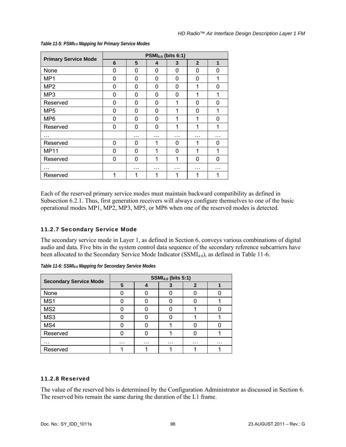<span id="page-104-0"></span>

| <b>Primary Service Mode</b> | $PSMI5:0$ (bits 6:1) |   |          |          |                |          |  |  |
|-----------------------------|----------------------|---|----------|----------|----------------|----------|--|--|
|                             | 6                    | 5 | 4        | 3        | $\overline{2}$ | 1        |  |  |
| None                        | $\Omega$             | 0 | $\Omega$ | 0        | 0              | 0        |  |  |
| MP <sub>1</sub>             | 0                    | 0 | 0        | 0        | 0              | 1        |  |  |
| MP <sub>2</sub>             | $\Omega$             | 0 | $\Omega$ | 0        | 1              | 0        |  |  |
| MP <sub>3</sub>             | $\Omega$             | 0 | 0        | $\Omega$ | 1              | 1        |  |  |
| Reserved                    | 0                    | 0 | $\Omega$ | 1        | 0              | 0        |  |  |
| MP <sub>5</sub>             | $\Omega$             | 0 | $\Omega$ | 1        | 0              | 1        |  |  |
| MP <sub>6</sub>             | $\Omega$             | 0 | 0        | 1        | 1              | $\Omega$ |  |  |
| Reserved                    | 0                    | 0 | 0        | 1        | 1              | 1        |  |  |
| .                           |                      | . | .        | .        | .              | .        |  |  |
| Reserved                    | 0                    | 0 | 1        | 0        | 1              | 0        |  |  |
| <b>MP11</b>                 | $\Omega$             | 0 | 1        | 0        | 1              | 1        |  |  |
| Reserved                    | 0                    | 0 | 1        | 1        | 0              | ∩        |  |  |
| .                           |                      | . | .        | .        | .              | .        |  |  |
| Reserved                    | 1                    | 1 | 1        |          |                |          |  |  |

#### *Table 11-5: PSMI5:0 Mapping for Primary Service Modes*

Each of the reserved primary service modes must maintain backward compatibility as defined in Subsection [6.2.1.](#page-30-0) Thus, first generation receivers will always configure themselves to one of the basic operational modes MP1, MP2, MP3, MP5, or MP6 when one of the reserved modes is detected.

# 11.2.7 Secondary Service Mode

The secondary service mode in Layer 1, as defined in Section [6](#page-28-0), conveys various combinations of digital audio and data. Five bits in the system control data sequence of the secondary reference subcarriers have been allocated to the Secondary Service Mode Indicator (SSMI<sub>4:0</sub>), as defined in [Table 11-6.](#page-104-1)

|                               | <b>SSMI<sub>4:0</sub></b> (bits 5:1) |          |   |              |          |  |  |
|-------------------------------|--------------------------------------|----------|---|--------------|----------|--|--|
| <b>Secondary Service Mode</b> | 5                                    |          |   | $\mathbf{2}$ |          |  |  |
| None                          |                                      |          |   |              |          |  |  |
| MS1                           |                                      |          |   |              |          |  |  |
| MS <sub>2</sub>               |                                      |          |   |              |          |  |  |
| MS3                           |                                      |          |   |              |          |  |  |
| MS4                           |                                      |          |   |              |          |  |  |
| Reserved                      |                                      |          |   |              |          |  |  |
| .                             | $\cdots$                             | $\cdots$ | . | $\cdots$     | $\cdots$ |  |  |
| Reserved                      |                                      |          |   |              |          |  |  |

<span id="page-104-1"></span>*Table 11-6: SSMI4:0 Mapping for Secondary Service Modes* 

# 11.2.8 Reserved

The value of the reserved bits is determined by the Configuration Administrator as discussed in Section [6.](#page-28-0) The reserved bits remain the same during the duration of the L1 frame.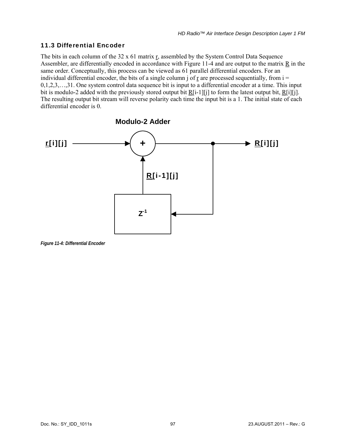# 11.3 Differential Encoder

The bits in each column of the 32 x 61 matrix r, assembled by the System Control Data Sequence Assembler, are differentially encoded in accordance with [Figure 11-4](#page-105-0) and are output to the matrix R in the same order. Conceptually, this process can be viewed as 61 parallel differential encoders. For an individual differential encoder, the bits of a single column j of  $r$  are processed sequentially, from  $i =$ 0,1,2,3,…,31. One system control data sequence bit is input to a differential encoder at a time. This input bit is modulo-2 added with the previously stored output bit  $\underline{R}[i-1][j]$  to form the latest output bit,  $\underline{R}[i][j]$ . The resulting output bit stream will reverse polarity each time the input bit is a 1. The initial state of each differential encoder is 0.



<span id="page-105-0"></span>*Figure 11-4: Differential Encoder*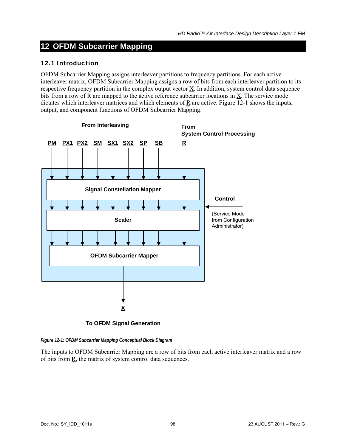# **12 OFDM Subcarrier Mapping**

#### 12.1 Introduction

OFDM Subcarrier Mapping assigns interleaver partitions to frequency partitions. For each active interleaver matrix, OFDM Subcarrier Mapping assigns a row of bits from each interleaver partition to its respective frequency partition in the complex output vector  $\underline{X}$ . In addition, system control data sequence bits from a row of  $\underline{R}$  are mapped to the active reference subcarrier locations in  $\underline{X}$ . The service mode dictates which interleaver matrices and which elements of  $R$  are active. [Figure 12-1](#page-106-0) shows the inputs, output, and component functions of OFDM Subcarrier Mapping.



**To OFDM Signal Generation**

<span id="page-106-0"></span>*Figure 12-1: OFDM Subcarrier Mapping Conceptual Block Diagram* 

The inputs to OFDM Subcarrier Mapping are a row of bits from each active interleaver matrix and a row of bits from  $R$ , the matrix of system control data sequences.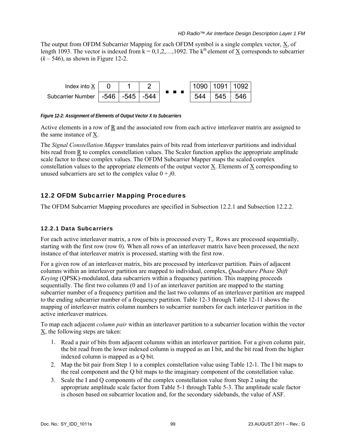The output from OFDM Subcarrier Mapping for each OFDM symbol is a single complex vector,  $\underline{X}$ , of length 1093. The vector is indexed from  $k = 0, 1, 2, \ldots, 1092$ . The k<sup>th</sup> element of X corresponds to subcarrier  $(k - 546)$ , as shown in [Figure 12-2.](#page-107-0)



<span id="page-107-0"></span>*Figure 12-2: Assignment of Elements of Output Vector X to Subcarriers* 

Active elements in a row of  $R$  and the associated row from each active interleaver matrix are assigned to the same instance of X.

The *Signal Constellation Mapper* translates pairs of bits read from interleaver partitions and individual bits read from  $\underline{R}$  to complex constellation values. The Scaler function applies the appropriate amplitude scale factor to these complex values. The OFDM Subcarrier Mapper maps the scaled complex constellation values to the appropriate elements of the output vector X. Elements of X corresponding to unused subcarriers are set to the complex value  $0 + j0$ .

# 12.2 OFDM Subcarrier Mapping Procedures

The OFDM Subcarrier Mapping procedures are specified in Subsection [12.2.1](#page-107-1) and Subsection [12.2.2.](#page-108-0)

# <span id="page-107-1"></span>12.2.1 Data Subcarriers

For each active interleaver matrix, a row of bits is processed every  $T_s$ . Rows are processed sequentially, starting with the first row (row 0). When all rows of an interleaver matrix have been processed, the next instance of that interleaver matrix is processed, starting with the first row.

For a given row of an interleaver matrix, bits are processed by interleaver partition. Pairs of adjacent columns within an interleaver partition are mapped to individual, complex, *Quadrature Phase Shift Keying* (QPSK)-modulated, data subcarriers within a frequency partition. This mapping proceeds sequentially. The first two columns (0 and 1) of an interleaver partition are mapped to the starting subcarrier number of a frequency partition and the last two columns of an interleaver partition are mapped to the ending subcarrier number of a frequency partition. [Table 12-3](#page-109-0) through [Table 12-11](#page-117-0) shows the mapping of interleaver matrix column numbers to subcarrier numbers for each interleaver partition in the active interleaver matrices.

To map each adjacent *column pair* within an interleaver partition to a subcarrier location within the vector  $\underline{X}$ , the following steps are taken:

- 1. Read a pair of bits from adjacent columns within an interleaver partition. For a given column pair, the bit read from the lower indexed column is mapped as an I bit, and the bit read from the higher indexed column is mapped as a Q bit.
- 2. Map the bit pair from Step 1 to a complex constellation value using [Table 12-1.](#page-108-1) The I bit maps to the real component and the Q bit maps to the imaginary component of the constellation value.
- 3. Scale the I and Q components of the complex constellation value from Step 2 using the appropriate amplitude scale factor from [Table 5-1](#page-23-0) through [Table 5-3](#page-27-0). The amplitude scale factor is chosen based on subcarrier location and, for the secondary sidebands, the value of ASF.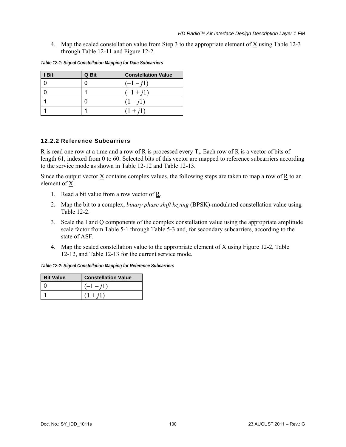4. Map the scaled constellation value from Step 3 to the appropriate element of X using [Table 12-3](#page-109-0)  through [Table 12-11](#page-117-0) and [Figure 12-2](#page-107-0).

| I Bit | Q Bit | <b>Constellation Value</b> |
|-------|-------|----------------------------|
|       |       | $(-1 - i1)$                |
|       |       | $(-1 + i1)$                |
|       |       | $(1 - j1)$                 |
|       |       | $(1 + i1)$                 |

*Table 12-1: Signal Constellation Mapping for Data Subcarriers* 

### 12.2.2 Reference Subcarriers

R is read one row at a time and a row of R is processed every  $T_s$ . Each row of R is a vector of bits of length 61, indexed from 0 to 60. Selected bits of this vector are mapped to reference subcarriers according to the service mode as shown in [Table 12-12](#page-118-0) and [Table 12-13.](#page-119-0)

Since the output vector  $\underline{X}$  contains complex values, the following steps are taken to map a row of  $\underline{R}$  to an element of X:

- 1. Read a bit value from a row vector of R.
- 2. Map the bit to a complex, *binary phase shift keying* (BPSK)-modulated constellation value using [Table 12-2.](#page-108-0)
- 3. Scale the I and Q components of the complex constellation value using the appropriate amplitude scale factor from [Table 5-1](#page-23-0) through [Table 5-3](#page-27-0) and, for secondary subcarriers, according to the state of ASF.
- 4. Map the scaled constellation value to the appropriate element of X using [Figure 12-2,](#page-107-0) [Table](#page-118-0)  [12-12,](#page-118-0) and [Table 12-13](#page-119-0) for the current service mode.

*Table 12-2: Signal Constellation Mapping for Reference Subcarriers* 

<span id="page-108-0"></span>

| <b>Bit Value</b> | <b>Constellation Value</b> |
|------------------|----------------------------|
|                  | $-1 - i1$                  |
|                  | $(1 + i1)$                 |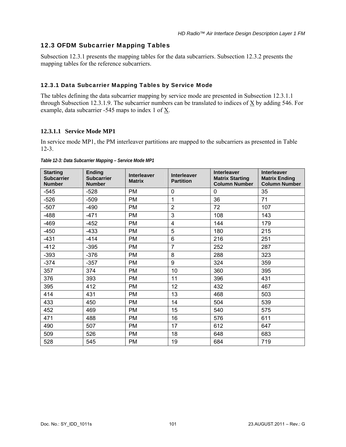# 12.3 OFDM Subcarrier Mapping Tables

Subsection [12.3.1](#page-109-1) presents the mapping tables for the data subcarriers. Subsection [12.3.2](#page-118-1) presents the mapping tables for the reference subcarriers.

# <span id="page-109-1"></span>12.3.1 Data Subcarrier Mapping Tables by Service Mode

The tables defining the data subcarrier mapping by service mode are presented in Subsection [12.3.1.1](#page-109-2)  through Subsection [12.3.1.9.](#page-117-1) The subcarrier numbers can be translated to indices of X by adding 546. For example, data subcarrier -545 maps to index 1 of X.

# <span id="page-109-2"></span>**12.3.1.1 Service Mode MP1**

In service mode MP1, the PM interleaver partitions are mapped to the subcarriers as presented in [Table](#page-109-0)  [12-3](#page-109-0).

<span id="page-109-0"></span>

| <b>Starting</b><br><b>Subcarrier</b><br><b>Number</b> | <b>Ending</b><br><b>Subcarrier</b><br><b>Number</b> | <b>Interleaver</b><br><b>Matrix</b> | <b>Interleaver</b><br><b>Partition</b> | <b>Interleaver</b><br><b>Matrix Starting</b><br><b>Column Number</b> | <b>Interleaver</b><br><b>Matrix Ending</b><br><b>Column Number</b> |
|-------------------------------------------------------|-----------------------------------------------------|-------------------------------------|----------------------------------------|----------------------------------------------------------------------|--------------------------------------------------------------------|
| $-545$                                                | $-528$                                              | <b>PM</b>                           | $\mathbf 0$                            | 0                                                                    | 35                                                                 |
| $-526$                                                | $-509$                                              | <b>PM</b>                           | 1                                      | 36                                                                   | 71                                                                 |
| $-507$                                                | $-490$                                              | <b>PM</b>                           | $\overline{2}$                         | 72                                                                   | 107                                                                |
| $-488$                                                | $-471$                                              | <b>PM</b>                           | 3                                      | 108                                                                  | 143                                                                |
| $-469$                                                | $-452$                                              | <b>PM</b>                           | 4                                      | 144                                                                  | 179                                                                |
| -450                                                  | $-433$                                              | <b>PM</b>                           | 5                                      | 180                                                                  | 215                                                                |
| $-431$                                                | $-414$                                              | <b>PM</b>                           | 6                                      | 216                                                                  | 251                                                                |
| $-412$                                                | $-395$                                              | <b>PM</b>                           | $\overline{7}$                         | 252                                                                  | 287                                                                |
| $-393$                                                | $-376$                                              | <b>PM</b>                           | 8                                      | 288                                                                  | 323                                                                |
| $-374$                                                | $-357$                                              | <b>PM</b>                           | 9                                      | 324                                                                  | 359                                                                |
| 357                                                   | 374                                                 | <b>PM</b>                           | 10                                     | 360                                                                  | 395                                                                |
| 376                                                   | 393                                                 | <b>PM</b>                           | 11                                     | 396                                                                  | 431                                                                |
| 395                                                   | 412                                                 | <b>PM</b>                           | 12                                     | 432                                                                  | 467                                                                |
| 414                                                   | 431                                                 | <b>PM</b>                           | 13                                     | 468                                                                  | 503                                                                |
| 433                                                   | 450                                                 | <b>PM</b>                           | 14                                     | 504                                                                  | 539                                                                |
| 452                                                   | 469                                                 | PM                                  | 15                                     | 540                                                                  | 575                                                                |
| 471                                                   | 488                                                 | <b>PM</b>                           | 16                                     | 576                                                                  | 611                                                                |
| 490                                                   | 507                                                 | PM                                  | 17                                     | 612                                                                  | 647                                                                |
| 509                                                   | 526                                                 | PM                                  | 18                                     | 648                                                                  | 683                                                                |
| 528                                                   | 545                                                 | <b>PM</b>                           | 19                                     | 684                                                                  | 719                                                                |

*Table 12-3: Data Subcarrier Mapping – Service Mode MP1*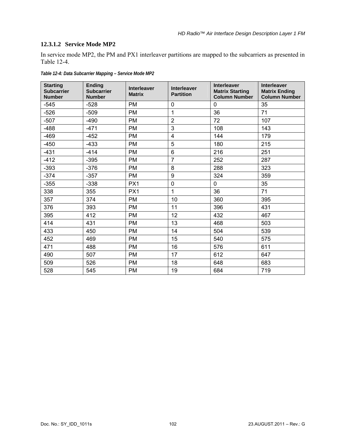# **12.3.1.2 Service Mode MP2**

In service mode MP2, the PM and PX1 interleaver partitions are mapped to the subcarriers as presented in [Table 12-4.](#page-110-0)

<span id="page-110-0"></span>

| <b>Starting</b><br><b>Subcarrier</b><br><b>Number</b> | <b>Ending</b><br><b>Subcarrier</b><br><b>Number</b> | <b>Interleaver</b><br><b>Matrix</b> | <b>Interleaver</b><br><b>Partition</b> | <b>Interleaver</b><br><b>Matrix Starting</b><br><b>Column Number</b> | <b>Interleaver</b><br><b>Matrix Ending</b><br><b>Column Number</b> |
|-------------------------------------------------------|-----------------------------------------------------|-------------------------------------|----------------------------------------|----------------------------------------------------------------------|--------------------------------------------------------------------|
| $-545$                                                | $-528$                                              | <b>PM</b>                           | 0                                      | 0                                                                    | 35                                                                 |
| $-526$                                                | $-509$                                              | <b>PM</b>                           | 1                                      | 36                                                                   | 71                                                                 |
| $-507$                                                | $-490$                                              | <b>PM</b>                           | $\overline{2}$                         | 72                                                                   | 107                                                                |
| $-488$                                                | -471                                                | <b>PM</b>                           | 3                                      | 108                                                                  | 143                                                                |
| $-469$                                                | $-452$                                              | <b>PM</b>                           | 4                                      | 144                                                                  | 179                                                                |
| $-450$                                                | $-433$                                              | <b>PM</b>                           | 5                                      | 180                                                                  | 215                                                                |
| $-431$                                                | $-414$                                              | <b>PM</b>                           | 6                                      | 216                                                                  | 251                                                                |
| $-412$                                                | $-395$                                              | PM                                  | $\overline{7}$                         | 252                                                                  | 287                                                                |
| $-393$                                                | $-376$                                              | <b>PM</b>                           | 8                                      | 288                                                                  | 323                                                                |
| $-374$                                                | $-357$                                              | <b>PM</b>                           | 9                                      | 324                                                                  | 359                                                                |
| $-355$                                                | $-338$                                              | PX1                                 | 0                                      | 0                                                                    | 35                                                                 |
| 338                                                   | 355                                                 | PX1                                 | 1                                      | 36                                                                   | 71                                                                 |
| 357                                                   | 374                                                 | <b>PM</b>                           | 10                                     | 360                                                                  | 395                                                                |
| 376                                                   | 393                                                 | <b>PM</b>                           | 11                                     | 396                                                                  | 431                                                                |
| 395                                                   | 412                                                 | <b>PM</b>                           | 12                                     | 432                                                                  | 467                                                                |
| 414                                                   | 431                                                 | <b>PM</b>                           | 13                                     | 468                                                                  | 503                                                                |
| 433                                                   | 450                                                 | <b>PM</b>                           | 14                                     | 504                                                                  | 539                                                                |
| 452                                                   | 469                                                 | <b>PM</b>                           | 15                                     | 540                                                                  | 575                                                                |
| 471                                                   | 488                                                 | <b>PM</b>                           | 16                                     | 576                                                                  | 611                                                                |
| 490                                                   | 507                                                 | <b>PM</b>                           | 17                                     | 612                                                                  | 647                                                                |
| 509                                                   | 526                                                 | <b>PM</b>                           | 18                                     | 648                                                                  | 683                                                                |
| 528                                                   | 545                                                 | <b>PM</b>                           | 19                                     | 684                                                                  | 719                                                                |

*Table 12-4: Data Subcarrier Mapping – Service Mode MP2*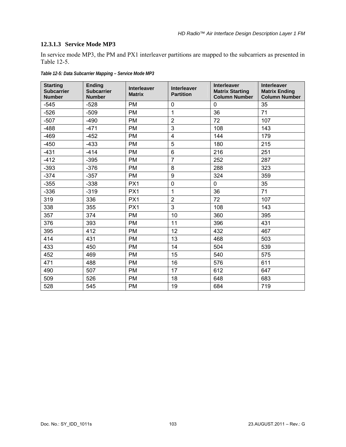# **12.3.1.3 Service Mode MP3**

In service mode MP3, the PM and PX1 interleaver partitions are mapped to the subcarriers as presented in [Table 12-5.](#page-111-0)

<span id="page-111-0"></span>

| <b>Starting</b><br><b>Subcarrier</b><br><b>Number</b> | <b>Ending</b><br><b>Subcarrier</b><br><b>Number</b> | <b>Interleaver</b><br><b>Matrix</b> | <b>Interleaver</b><br><b>Partition</b> | <b>Interleaver</b><br><b>Matrix Starting</b><br><b>Column Number</b> | <b>Interleaver</b><br><b>Matrix Ending</b><br><b>Column Number</b> |
|-------------------------------------------------------|-----------------------------------------------------|-------------------------------------|----------------------------------------|----------------------------------------------------------------------|--------------------------------------------------------------------|
| $-545$                                                | $-528$                                              | <b>PM</b>                           | $\mathbf 0$                            | $\mathbf 0$                                                          | 35                                                                 |
| $-526$                                                | $-509$                                              | <b>PM</b>                           | 1                                      | 36                                                                   | 71                                                                 |
| $-507$                                                | $-490$                                              | <b>PM</b>                           | $\overline{2}$                         | 72                                                                   | 107                                                                |
| $-488$                                                | $-471$                                              | <b>PM</b>                           | $\mathbf{3}$                           | 108                                                                  | 143                                                                |
| $-469$                                                | $-452$                                              | <b>PM</b>                           | $\overline{\mathbf{4}}$                | 144                                                                  | 179                                                                |
| $-450$                                                | $-433$                                              | <b>PM</b>                           | 5                                      | 180                                                                  | 215                                                                |
| $-431$                                                | $-414$                                              | <b>PM</b>                           | $6\phantom{1}$                         | 216                                                                  | 251                                                                |
| $-412$                                                | $-395$                                              | <b>PM</b>                           | $\overline{7}$                         | 252                                                                  | 287                                                                |
| $-393$                                                | $-376$                                              | <b>PM</b>                           | 8                                      | 288                                                                  | 323                                                                |
| $-374$                                                | $-357$                                              | <b>PM</b>                           | $\boldsymbol{9}$                       | 324                                                                  | 359                                                                |
| $-355$                                                | $-338$                                              | PX1                                 | $\mathbf 0$                            | 0                                                                    | 35                                                                 |
| $-336$                                                | $-319$                                              | PX1                                 | $\mathbf{1}$                           | 36                                                                   | 71                                                                 |
| 319                                                   | 336                                                 | PX1                                 | $\overline{2}$                         | 72                                                                   | 107                                                                |
| 338                                                   | 355                                                 | PX1                                 | 3                                      | 108                                                                  | 143                                                                |
| 357                                                   | 374                                                 | <b>PM</b>                           | 10                                     | 360                                                                  | 395                                                                |
| 376                                                   | 393                                                 | <b>PM</b>                           | 11                                     | 396                                                                  | 431                                                                |
| 395                                                   | 412                                                 | <b>PM</b>                           | 12                                     | 432                                                                  | 467                                                                |
| 414                                                   | 431                                                 | <b>PM</b>                           | 13                                     | 468                                                                  | 503                                                                |
| 433                                                   | 450                                                 | <b>PM</b>                           | 14                                     | 504                                                                  | 539                                                                |
| 452                                                   | 469                                                 | <b>PM</b>                           | 15                                     | 540                                                                  | 575                                                                |
| 471                                                   | 488                                                 | <b>PM</b>                           | 16                                     | 576                                                                  | 611                                                                |
| 490                                                   | 507                                                 | <b>PM</b>                           | 17                                     | 612                                                                  | 647                                                                |
| 509                                                   | 526                                                 | <b>PM</b>                           | 18                                     | 648                                                                  | 683                                                                |
| 528                                                   | 545                                                 | <b>PM</b>                           | 19                                     | 684                                                                  | 719                                                                |

*Table 12-5: Data Subcarrier Mapping – Service Mode MP3*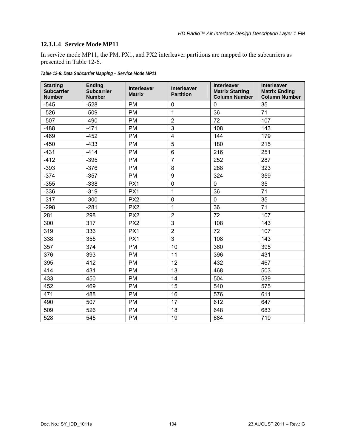# **12.3.1.4 Service Mode MP11**

In service mode MP11, the PM, PX1, and PX2 interleaver partitions are mapped to the subcarriers as presented in [Table 12-6](#page-112-0).

<span id="page-112-0"></span>

| <b>Starting</b><br><b>Subcarrier</b><br><b>Number</b> | <b>Ending</b><br><b>Subcarrier</b><br><b>Number</b> | <b>Interleaver</b><br><b>Matrix</b> | <b>Interleaver</b><br><b>Partition</b> | <b>Interleaver</b><br><b>Matrix Starting</b><br><b>Column Number</b> | Interleaver<br><b>Matrix Ending</b><br><b>Column Number</b> |
|-------------------------------------------------------|-----------------------------------------------------|-------------------------------------|----------------------------------------|----------------------------------------------------------------------|-------------------------------------------------------------|
| $-545$                                                | $-528$                                              | <b>PM</b>                           | $\mathbf 0$                            | $\mathbf 0$                                                          | 35                                                          |
| $-526$                                                | $-509$                                              | <b>PM</b>                           | $\mathbf{1}$                           | 36                                                                   | 71                                                          |
| $-507$                                                | $-490$                                              | <b>PM</b>                           | $\overline{2}$                         | 72                                                                   | 107                                                         |
| $-488$                                                | $-471$                                              | <b>PM</b>                           | 3                                      | 108                                                                  | 143                                                         |
| $-469$                                                | $-452$                                              | <b>PM</b>                           | $\overline{4}$                         | 144                                                                  | 179                                                         |
| $-450$                                                | $-433$                                              | <b>PM</b>                           | 5                                      | 180                                                                  | 215                                                         |
| $-431$                                                | $-414$                                              | <b>PM</b>                           | $6\phantom{1}$                         | 216                                                                  | 251                                                         |
| $-412$                                                | $-395$                                              | <b>PM</b>                           | $\overline{7}$                         | 252                                                                  | 287                                                         |
| $-393$                                                | $-376$                                              | <b>PM</b>                           | 8                                      | 288                                                                  | 323                                                         |
| $-374$                                                | $-357$                                              | PM                                  | $\boldsymbol{9}$                       | 324                                                                  | 359                                                         |
| $-355$                                                | $-338$                                              | PX1                                 | $\mathbf 0$                            | $\pmb{0}$                                                            | 35                                                          |
| $-336$                                                | $-319$                                              | PX1                                 | $\mathbf{1}$                           | 36                                                                   | 71                                                          |
| $-317$                                                | $-300$                                              | PX <sub>2</sub>                     | $\overline{0}$                         | $\mathbf 0$                                                          | 35                                                          |
| $-298$                                                | $-281$                                              | PX <sub>2</sub>                     | $\mathbf{1}$                           | 36                                                                   | 71                                                          |
| 281                                                   | 298                                                 | PX <sub>2</sub>                     | $\overline{2}$                         | 72                                                                   | 107                                                         |
| 300                                                   | 317                                                 | PX <sub>2</sub>                     | 3                                      | 108                                                                  | 143                                                         |
| 319                                                   | 336                                                 | PX1                                 | $\overline{2}$                         | 72                                                                   | 107                                                         |
| 338                                                   | 355                                                 | PX1                                 | 3                                      | 108                                                                  | 143                                                         |
| 357                                                   | 374                                                 | <b>PM</b>                           | 10                                     | 360                                                                  | 395                                                         |
| 376                                                   | 393                                                 | <b>PM</b>                           | 11                                     | 396                                                                  | 431                                                         |
| 395                                                   | 412                                                 | <b>PM</b>                           | 12                                     | 432                                                                  | 467                                                         |
| 414                                                   | 431                                                 | <b>PM</b>                           | 13                                     | 468                                                                  | 503                                                         |
| 433                                                   | 450                                                 | <b>PM</b>                           | 14                                     | 504                                                                  | 539                                                         |
| 452                                                   | 469                                                 | <b>PM</b>                           | 15                                     | 540                                                                  | 575                                                         |
| 471                                                   | 488                                                 | <b>PM</b>                           | 16                                     | 576                                                                  | 611                                                         |
| 490                                                   | 507                                                 | <b>PM</b>                           | 17                                     | 612                                                                  | 647                                                         |
| 509                                                   | 526                                                 | <b>PM</b>                           | 18                                     | 648                                                                  | 683                                                         |
| 528                                                   | 545                                                 | <b>PM</b>                           | 19                                     | 684                                                                  | 719                                                         |

*Table 12-6: Data Subcarrier Mapping – Service Mode MP11*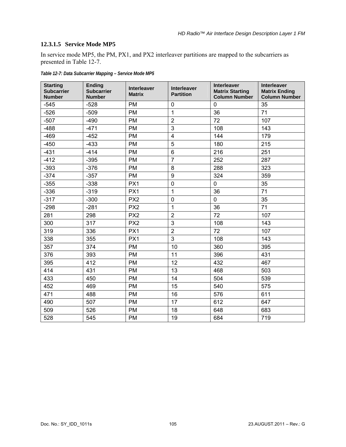# **12.3.1.5 Service Mode MP5**

In service mode MP5, the PM, PX1, and PX2 interleaver partitions are mapped to the subcarriers as presented in [Table 12-7](#page-113-0).

<span id="page-113-0"></span>

| <b>Starting</b><br><b>Subcarrier</b><br><b>Number</b> | <b>Ending</b><br><b>Subcarrier</b><br><b>Number</b> | <b>Interleaver</b><br><b>Matrix</b> | <b>Interleaver</b><br><b>Partition</b> | Interleaver<br><b>Matrix Starting</b><br><b>Column Number</b> | <b>Interleaver</b><br><b>Matrix Ending</b><br><b>Column Number</b> |
|-------------------------------------------------------|-----------------------------------------------------|-------------------------------------|----------------------------------------|---------------------------------------------------------------|--------------------------------------------------------------------|
| $-545$                                                | $-528$                                              | <b>PM</b>                           | $\overline{0}$                         | $\mathbf 0$                                                   | 35                                                                 |
| $-526$                                                | $-509$                                              | <b>PM</b>                           | $\mathbf{1}$                           | 36                                                            | 71                                                                 |
| $-507$                                                | $-490$                                              | <b>PM</b>                           | $\overline{2}$                         | 72                                                            | 107                                                                |
| $-488$                                                | $-471$                                              | <b>PM</b>                           | 3                                      | 108                                                           | 143                                                                |
| $-469$                                                | $-452$                                              | <b>PM</b>                           | $\overline{\mathbf{4}}$                | 144                                                           | 179                                                                |
| $-450$                                                | $-433$                                              | <b>PM</b>                           | 5                                      | 180                                                           | 215                                                                |
| $-431$                                                | $-414$                                              | <b>PM</b>                           | 6                                      | 216                                                           | 251                                                                |
| $-412$                                                | $-395$                                              | <b>PM</b>                           | $\overline{7}$                         | 252                                                           | 287                                                                |
| $-393$                                                | $-376$                                              | <b>PM</b>                           | 8                                      | 288                                                           | 323                                                                |
| $-374$                                                | $-357$                                              | <b>PM</b>                           | 9                                      | 324                                                           | 359                                                                |
| $-355$                                                | $-338$                                              | PX1                                 | $\mathbf 0$                            | $\mathbf 0$                                                   | 35                                                                 |
| $-336$                                                | $-319$                                              | PX1                                 | $\mathbf{1}$                           | 36                                                            | 71                                                                 |
| $-317$                                                | $-300$                                              | PX <sub>2</sub>                     | 0                                      | $\mathbf 0$                                                   | 35                                                                 |
| $-298$                                                | $-281$                                              | PX <sub>2</sub>                     | 1                                      | 36                                                            | 71                                                                 |
| 281                                                   | 298                                                 | PX <sub>2</sub>                     | $\overline{2}$                         | 72                                                            | 107                                                                |
| 300                                                   | 317                                                 | PX <sub>2</sub>                     | 3                                      | 108                                                           | 143                                                                |
| 319                                                   | 336                                                 | PX1                                 | $\overline{2}$                         | 72                                                            | 107                                                                |
| 338                                                   | 355                                                 | PX1                                 | 3                                      | 108                                                           | 143                                                                |
| 357                                                   | 374                                                 | <b>PM</b>                           | 10                                     | 360                                                           | 395                                                                |
| 376                                                   | 393                                                 | <b>PM</b>                           | 11                                     | 396                                                           | 431                                                                |
| 395                                                   | 412                                                 | <b>PM</b>                           | 12                                     | 432                                                           | 467                                                                |
| 414                                                   | 431                                                 | <b>PM</b>                           | 13                                     | 468                                                           | 503                                                                |
| 433                                                   | 450                                                 | <b>PM</b>                           | 14                                     | 504                                                           | 539                                                                |
| 452                                                   | 469                                                 | <b>PM</b>                           | 15                                     | 540                                                           | 575                                                                |
| 471                                                   | 488                                                 | <b>PM</b>                           | 16                                     | 576                                                           | 611                                                                |
| 490                                                   | 507                                                 | <b>PM</b>                           | 17                                     | 612                                                           | 647                                                                |
| 509                                                   | 526                                                 | <b>PM</b>                           | 18                                     | 648                                                           | 683                                                                |
| 528                                                   | 545                                                 | <b>PM</b>                           | 19                                     | 684                                                           | 719                                                                |

*Table 12-7: Data Subcarrier Mapping – Service Mode MP5*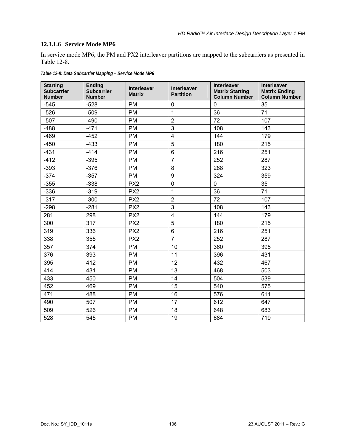# **12.3.1.6 Service Mode MP6**

In service mode MP6, the PM and PX2 interleaver partitions are mapped to the subcarriers as presented in [Table 12-8.](#page-114-0)

<span id="page-114-0"></span>

| <b>Starting</b><br><b>Subcarrier</b><br><b>Number</b> | <b>Ending</b><br><b>Subcarrier</b><br><b>Number</b> | <b>Interleaver</b><br><b>Matrix</b> | <b>Interleaver</b><br><b>Partition</b> | <b>Interleaver</b><br><b>Matrix Starting</b><br><b>Column Number</b> | Interleaver<br><b>Matrix Ending</b><br><b>Column Number</b> |
|-------------------------------------------------------|-----------------------------------------------------|-------------------------------------|----------------------------------------|----------------------------------------------------------------------|-------------------------------------------------------------|
| $-545$                                                | $-528$                                              | <b>PM</b>                           | 0                                      | 0                                                                    | 35                                                          |
| $-526$                                                | $-509$                                              | <b>PM</b>                           | $\mathbf{1}$                           | 36                                                                   | 71                                                          |
| $-507$                                                | $-490$                                              | <b>PM</b>                           | $\overline{2}$                         | 72                                                                   | 107                                                         |
| $-488$                                                | $-471$                                              | <b>PM</b>                           | 3                                      | 108                                                                  | 143                                                         |
| $-469$                                                | $-452$                                              | <b>PM</b>                           | $\overline{\mathbf{4}}$                | 144                                                                  | 179                                                         |
| $-450$                                                | $-433$                                              | <b>PM</b>                           | 5                                      | 180                                                                  | 215                                                         |
| $-431$                                                | $-414$                                              | <b>PM</b>                           | 6                                      | 216                                                                  | 251                                                         |
| $-412$                                                | $-395$                                              | <b>PM</b>                           | $\overline{7}$                         | 252                                                                  | 287                                                         |
| $-393$                                                | $-376$                                              | <b>PM</b>                           | 8                                      | 288                                                                  | 323                                                         |
| $-374$                                                | $-357$                                              | <b>PM</b>                           | 9                                      | 324                                                                  | 359                                                         |
| $-355$                                                | $-338$                                              | PX <sub>2</sub>                     | $\mathbf 0$                            | $\mathbf 0$                                                          | 35                                                          |
| $-336$                                                | $-319$                                              | PX <sub>2</sub>                     | $\mathbf{1}$                           | 36                                                                   | 71                                                          |
| $-317$                                                | $-300$                                              | PX <sub>2</sub>                     | $\overline{2}$                         | 72                                                                   | 107                                                         |
| $-298$                                                | $-281$                                              | PX <sub>2</sub>                     | 3                                      | 108                                                                  | 143                                                         |
| 281                                                   | 298                                                 | PX <sub>2</sub>                     | 4                                      | 144                                                                  | 179                                                         |
| 300                                                   | 317                                                 | PX <sub>2</sub>                     | 5                                      | 180                                                                  | 215                                                         |
| 319                                                   | 336                                                 | PX <sub>2</sub>                     | 6                                      | 216                                                                  | 251                                                         |
| 338                                                   | 355                                                 | PX <sub>2</sub>                     | $\overline{7}$                         | 252                                                                  | 287                                                         |
| 357                                                   | 374                                                 | <b>PM</b>                           | 10                                     | 360                                                                  | 395                                                         |
| 376                                                   | 393                                                 | <b>PM</b>                           | 11                                     | 396                                                                  | 431                                                         |
| 395                                                   | 412                                                 | <b>PM</b>                           | 12                                     | 432                                                                  | 467                                                         |
| 414                                                   | 431                                                 | <b>PM</b>                           | 13                                     | 468                                                                  | 503                                                         |
| 433                                                   | 450                                                 | <b>PM</b>                           | 14                                     | 504                                                                  | 539                                                         |
| 452                                                   | 469                                                 | <b>PM</b>                           | 15                                     | 540                                                                  | 575                                                         |
| 471                                                   | 488                                                 | <b>PM</b>                           | 16                                     | 576                                                                  | 611                                                         |
| 490                                                   | 507                                                 | <b>PM</b>                           | 17                                     | 612                                                                  | 647                                                         |
| 509                                                   | 526                                                 | <b>PM</b>                           | 18                                     | 648                                                                  | 683                                                         |
| 528                                                   | 545                                                 | <b>PM</b>                           | 19                                     | 684                                                                  | 719                                                         |

*Table 12-8: Data Subcarrier Mapping – Service Mode MP6*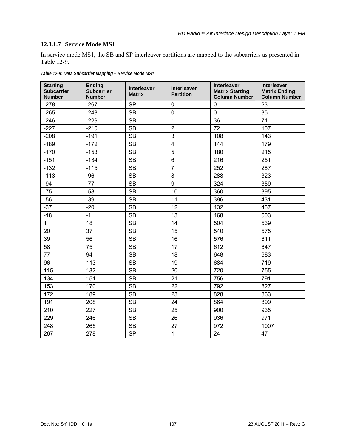# **12.3.1.7 Service Mode MS1**

In service mode MS1, the SB and SP interleaver partitions are mapped to the subcarriers as presented in [Table 12-9.](#page-115-0)

<span id="page-115-0"></span>

| <b>Starting</b><br><b>Subcarrier</b><br><b>Number</b> | <b>Ending</b><br><b>Subcarrier</b><br><b>Number</b> | <b>Interleaver</b><br><b>Matrix</b> | <b>Interleaver</b><br><b>Partition</b> | <b>Interleaver</b><br><b>Matrix Starting</b><br><b>Column Number</b> | <b>Interleaver</b><br><b>Matrix Ending</b><br><b>Column Number</b> |
|-------------------------------------------------------|-----------------------------------------------------|-------------------------------------|----------------------------------------|----------------------------------------------------------------------|--------------------------------------------------------------------|
| $-278$                                                | $-267$                                              | <b>SP</b>                           | $\mathbf 0$                            | $\mathbf 0$                                                          | 23                                                                 |
| $-265$                                                | $-248$                                              | <b>SB</b>                           | $\mathbf 0$                            | $\mathbf 0$                                                          | 35                                                                 |
| $-246$                                                | $-229$                                              | <b>SB</b>                           | $\mathbf{1}$                           | 36                                                                   | 71                                                                 |
| $-227$                                                | $-210$                                              | <b>SB</b>                           | $\overline{2}$                         | 72                                                                   | 107                                                                |
| $-208$                                                | $-191$                                              | <b>SB</b>                           | 3                                      | 108                                                                  | 143                                                                |
| $-189$                                                | $-172$                                              | <b>SB</b>                           | 4                                      | 144                                                                  | 179                                                                |
| $-170$                                                | $-153$                                              | <b>SB</b>                           | 5                                      | 180                                                                  | 215                                                                |
| $-151$                                                | $-134$                                              | <b>SB</b>                           | 6                                      | 216                                                                  | 251                                                                |
| $-132$                                                | $-115$                                              | <b>SB</b>                           | $\overline{7}$                         | 252                                                                  | 287                                                                |
| $-113$                                                | $-96$                                               | <b>SB</b>                           | 8                                      | 288                                                                  | 323                                                                |
| $-94$                                                 | $-77$                                               | <b>SB</b>                           | 9                                      | 324                                                                  | 359                                                                |
| $-75$                                                 | $-58$                                               | <b>SB</b>                           | 10                                     | 360                                                                  | 395                                                                |
| $-56$                                                 | $-39$                                               | <b>SB</b>                           | 11                                     | 396                                                                  | 431                                                                |
| $-37$                                                 | $-20$                                               | <b>SB</b>                           | 12                                     | 432                                                                  | 467                                                                |
| $-18$                                                 | $-1$                                                | <b>SB</b>                           | 13                                     | 468                                                                  | 503                                                                |
| $\mathbf{1}$                                          | 18                                                  | <b>SB</b>                           | 14                                     | 504                                                                  | 539                                                                |
| 20                                                    | 37                                                  | <b>SB</b>                           | 15                                     | 540                                                                  | 575                                                                |
| 39                                                    | 56                                                  | <b>SB</b>                           | 16                                     | 576                                                                  | 611                                                                |
| 58                                                    | 75                                                  | <b>SB</b>                           | 17                                     | 612                                                                  | 647                                                                |
| 77                                                    | 94                                                  | <b>SB</b>                           | 18                                     | 648                                                                  | 683                                                                |
| 96                                                    | 113                                                 | <b>SB</b>                           | 19                                     | 684                                                                  | 719                                                                |
| 115                                                   | 132                                                 | <b>SB</b>                           | 20                                     | 720                                                                  | 755                                                                |
| 134                                                   | 151                                                 | <b>SB</b>                           | 21                                     | 756                                                                  | 791                                                                |
| 153                                                   | 170                                                 | <b>SB</b>                           | 22                                     | 792                                                                  | 827                                                                |
| 172                                                   | 189                                                 | <b>SB</b>                           | 23                                     | 828                                                                  | 863                                                                |
| 191                                                   | 208                                                 | <b>SB</b>                           | 24                                     | 864                                                                  | 899                                                                |
| 210                                                   | 227                                                 | <b>SB</b>                           | 25                                     | 900                                                                  | 935                                                                |
| 229                                                   | 246                                                 | <b>SB</b>                           | 26                                     | 936                                                                  | 971                                                                |
| 248                                                   | 265                                                 | <b>SB</b>                           | 27                                     | 972                                                                  | 1007                                                               |
| 267                                                   | 278                                                 | <b>SP</b>                           | $\mathbf{1}$                           | 24                                                                   | 47                                                                 |

*Table 12-9: Data Subcarrier Mapping – Service Mode MS1*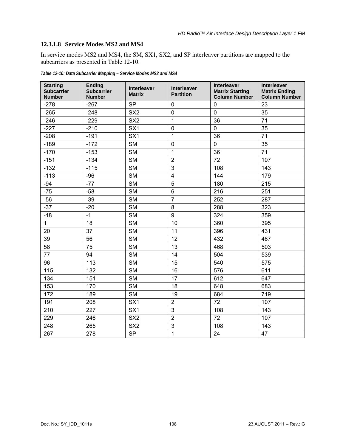## **12.3.1.8 Service Modes MS2 and MS4**

In service modes MS2 and MS4, the SM, SX1, SX2, and SP interleaver partitions are mapped to the subcarriers as presented in [Table 12-10.](#page-116-0)

<span id="page-116-0"></span>

| <b>Starting</b><br><b>Subcarrier</b><br><b>Number</b> | <b>Ending</b><br><b>Subcarrier</b><br><b>Number</b> | <b>Interleaver</b><br><b>Matrix</b> | <b>Interleaver</b><br><b>Partition</b> | <b>Interleaver</b><br><b>Matrix Starting</b><br><b>Column Number</b> | Interleaver<br><b>Matrix Ending</b><br><b>Column Number</b> |
|-------------------------------------------------------|-----------------------------------------------------|-------------------------------------|----------------------------------------|----------------------------------------------------------------------|-------------------------------------------------------------|
| $-278$                                                | $-267$                                              | <b>SP</b>                           | $\mathbf 0$                            | $\mathbf 0$                                                          | 23                                                          |
| $-265$                                                | $-248$                                              | SX <sub>2</sub>                     | $\mathbf 0$                            | $\mathbf 0$                                                          | 35                                                          |
| $-246$                                                | $-229$                                              | SX <sub>2</sub>                     | 1                                      | 36                                                                   | 71                                                          |
| $-227$                                                | $-210$                                              | SX <sub>1</sub>                     | $\mathbf 0$                            | $\mathbf 0$                                                          | 35                                                          |
| $-208$                                                | $-191$                                              | SX <sub>1</sub>                     | $\mathbf{1}$                           | 36                                                                   | 71                                                          |
| $-189$                                                | $-172$                                              | <b>SM</b>                           | $\mathbf 0$                            | $\overline{0}$                                                       | 35                                                          |
| $-170$                                                | $-153$                                              | <b>SM</b>                           | $\mathbf{1}$                           | 36                                                                   | 71                                                          |
| $-151$                                                | $-134$                                              | <b>SM</b>                           | $\overline{2}$                         | 72                                                                   | 107                                                         |
| $-132$                                                | $-115$                                              | <b>SM</b>                           | 3                                      | 108                                                                  | 143                                                         |
| $-113$                                                | $-96$                                               | <b>SM</b>                           | $\overline{\mathbf{4}}$                | 144                                                                  | 179                                                         |
| $-94$                                                 | $-77$                                               | <b>SM</b>                           | 5                                      | 180                                                                  | 215                                                         |
| $-75$                                                 | $-58$                                               | <b>SM</b>                           | 6                                      | 216                                                                  | 251                                                         |
| $-56$                                                 | $-39$                                               | <b>SM</b>                           | $\overline{7}$                         | 252                                                                  | 287                                                         |
| $-37$                                                 | $-20$                                               | <b>SM</b>                           | 8                                      | 288                                                                  | 323                                                         |
| $-18$                                                 | $-1$                                                | <b>SM</b>                           | $\boldsymbol{9}$                       | 324                                                                  | 359                                                         |
| $\mathbf{1}$                                          | 18                                                  | <b>SM</b>                           | 10                                     | 360                                                                  | 395                                                         |
| 20                                                    | 37                                                  | <b>SM</b>                           | 11                                     | 396                                                                  | 431                                                         |
| 39                                                    | 56                                                  | <b>SM</b>                           | 12                                     | 432                                                                  | 467                                                         |
| 58                                                    | 75                                                  | <b>SM</b>                           | 13                                     | 468                                                                  | 503                                                         |
| 77                                                    | 94                                                  | <b>SM</b>                           | 14                                     | 504                                                                  | 539                                                         |
| 96                                                    | 113                                                 | <b>SM</b>                           | 15                                     | 540                                                                  | 575                                                         |
| 115                                                   | 132                                                 | <b>SM</b>                           | 16                                     | 576                                                                  | 611                                                         |
| 134                                                   | 151                                                 | <b>SM</b>                           | 17                                     | 612                                                                  | 647                                                         |
| 153                                                   | 170                                                 | <b>SM</b>                           | 18                                     | 648                                                                  | 683                                                         |
| 172                                                   | 189                                                 | <b>SM</b>                           | 19                                     | 684                                                                  | 719                                                         |
| 191                                                   | 208                                                 | SX <sub>1</sub>                     | $\overline{2}$                         | 72                                                                   | 107                                                         |
| 210                                                   | 227                                                 | SX <sub>1</sub>                     | 3                                      | 108                                                                  | 143                                                         |
| 229                                                   | 246                                                 | SX <sub>2</sub>                     | $\overline{2}$                         | 72                                                                   | 107                                                         |
| 248                                                   | 265                                                 | SX <sub>2</sub>                     | 3                                      | 108                                                                  | 143                                                         |
| 267                                                   | 278                                                 | <b>SP</b>                           | $\mathbf{1}$                           | 24                                                                   | 47                                                          |

*Table 12-10: Data Subcarrier Mapping – Service Modes MS2 and MS4*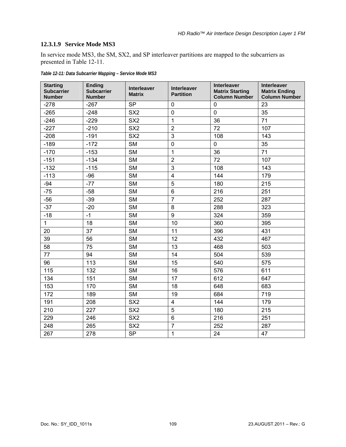## <span id="page-117-1"></span>**12.3.1.9 Service Mode MS3**

In service mode MS3, the SM, SX2, and SP interleaver partitions are mapped to the subcarriers as presented in [Table 12-11.](#page-117-0)

<span id="page-117-0"></span>

| <b>Starting</b><br><b>Subcarrier</b><br><b>Number</b> | <b>Ending</b><br><b>Subcarrier</b><br><b>Number</b> | <b>Interleaver</b><br><b>Matrix</b> | <b>Interleaver</b><br><b>Partition</b> | <b>Interleaver</b><br><b>Matrix Starting</b><br><b>Column Number</b> | <b>Interleaver</b><br><b>Matrix Ending</b><br><b>Column Number</b> |
|-------------------------------------------------------|-----------------------------------------------------|-------------------------------------|----------------------------------------|----------------------------------------------------------------------|--------------------------------------------------------------------|
| $-278$                                                | $-267$                                              | <b>SP</b>                           | $\mathbf 0$                            | $\mathbf 0$                                                          | 23                                                                 |
| $-265$                                                | $-248$                                              | SX <sub>2</sub>                     | $\mathbf 0$                            | $\mathbf 0$                                                          | 35                                                                 |
| $-246$                                                | $-229$                                              | SX <sub>2</sub>                     | $\mathbf{1}$                           | 36                                                                   | 71                                                                 |
| $-227$                                                | $-210$                                              | SX <sub>2</sub>                     | $\overline{2}$                         | 72                                                                   | 107                                                                |
| $-208$                                                | $-191$                                              | SX <sub>2</sub>                     | 3                                      | 108                                                                  | 143                                                                |
| $-189$                                                | $-172$                                              | <b>SM</b>                           | 0                                      | 0                                                                    | 35                                                                 |
| $-170$                                                | $-153$                                              | <b>SM</b>                           | $\mathbf{1}$                           | 36                                                                   | 71                                                                 |
| $-151$                                                | $-134$                                              | <b>SM</b>                           | $\overline{2}$                         | 72                                                                   | 107                                                                |
| $-132$                                                | $-115$                                              | <b>SM</b>                           | 3                                      | 108                                                                  | 143                                                                |
| $-113$                                                | $-96$                                               | <b>SM</b>                           | $\overline{\mathbf{4}}$                | 144                                                                  | 179                                                                |
| $-94$                                                 | $-77$                                               | <b>SM</b>                           | 5                                      | 180                                                                  | 215                                                                |
| $-75$                                                 | $-58$                                               | <b>SM</b>                           | 6                                      | 216                                                                  | 251                                                                |
| $-56$                                                 | $-39$                                               | <b>SM</b>                           | $\overline{7}$                         | 252                                                                  | 287                                                                |
| $-37$                                                 | $-20$                                               | <b>SM</b>                           | 8                                      | 288                                                                  | 323                                                                |
| $-18$                                                 | $-1$                                                | <b>SM</b>                           | 9                                      | 324                                                                  | 359                                                                |
| 1                                                     | 18                                                  | <b>SM</b>                           | 10                                     | 360                                                                  | 395                                                                |
| 20                                                    | 37                                                  | <b>SM</b>                           | 11                                     | 396                                                                  | 431                                                                |
| 39                                                    | 56                                                  | <b>SM</b>                           | 12                                     | 432                                                                  | 467                                                                |
| 58                                                    | 75                                                  | <b>SM</b>                           | 13                                     | 468                                                                  | 503                                                                |
| 77                                                    | 94                                                  | <b>SM</b>                           | 14                                     | 504                                                                  | 539                                                                |
| 96                                                    | 113                                                 | <b>SM</b>                           | 15                                     | 540                                                                  | 575                                                                |
| 115                                                   | 132                                                 | <b>SM</b>                           | 16                                     | 576                                                                  | 611                                                                |
| 134                                                   | 151                                                 | <b>SM</b>                           | 17                                     | 612                                                                  | 647                                                                |
| 153                                                   | 170                                                 | <b>SM</b>                           | 18                                     | 648                                                                  | 683                                                                |
| 172                                                   | 189                                                 | <b>SM</b>                           | 19                                     | 684                                                                  | 719                                                                |
| 191                                                   | 208                                                 | SX <sub>2</sub>                     | 4                                      | 144                                                                  | 179                                                                |
| 210                                                   | 227                                                 | SX <sub>2</sub>                     | 5                                      | 180                                                                  | 215                                                                |
| 229                                                   | 246                                                 | SX <sub>2</sub>                     | $6\phantom{a}$                         | 216                                                                  | 251                                                                |
| 248                                                   | 265                                                 | SX <sub>2</sub>                     | $\overline{7}$                         | 252                                                                  | 287                                                                |
| 267                                                   | 278                                                 | <b>SP</b>                           | $\mathbf{1}$                           | 24                                                                   | 47                                                                 |

*Table 12-11: Data Subcarrier Mapping – Service Mode MS3*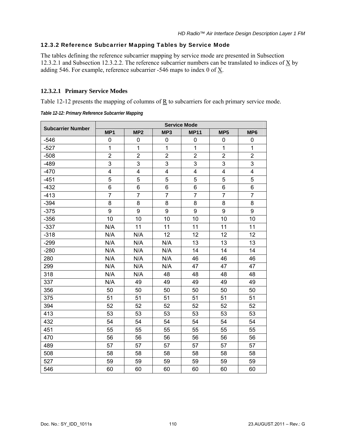# <span id="page-118-1"></span>12.3.2 Reference Subcarrier Mapping Tables by Service Mode

The tables defining the reference subcarrier mapping by service mode are presented in Subsection [12.3.2.1](#page-118-2) and Subsection [12.3.2.2.](#page-119-1) The reference subcarrier numbers can be translated to indices of  $\underline{X}$  by adding 546. For example, reference subcarrier -546 maps to index 0 of  $\underline{X}$ .

## <span id="page-118-2"></span>**12.3.2.1 Primary Service Modes**

[Table 12-12](#page-118-0) presents the mapping of columns of  $\underline{R}$  to subcarriers for each primary service mode.

*Table 12-12: Primary Reference Subcarrier Mapping* 

<span id="page-118-0"></span>

| <b>Subcarrier Number</b> | <b>Service Mode</b> |                 |                |                |                 |                         |
|--------------------------|---------------------|-----------------|----------------|----------------|-----------------|-------------------------|
|                          | MP <sub>1</sub>     | MP <sub>2</sub> | MP3            | <b>MP11</b>    | MP <sub>5</sub> | MP <sub>6</sub>         |
| $-546$                   | 0                   | 0               | 0              | 0              | 0               | 0                       |
| $-527$                   | $\mathbf{1}$        | $\mathbf{1}$    | $\mathbf{1}$   | $\mathbf{1}$   | $\mathbf{1}$    | 1                       |
| $-508$                   | $\overline{2}$      | $\overline{c}$  | $\overline{2}$ | $\overline{2}$ | $\overline{2}$  | $\overline{2}$          |
| $-489$                   | 3                   | 3               | 3              | 3              | 3               | 3                       |
| $-470$                   | 4                   | 4               | 4              | 4              | 4               | $\overline{\mathbf{4}}$ |
| $-451$                   | 5                   | 5               | 5              | 5              | 5               | 5                       |
| $-432$                   | 6                   | 6               | 6              | 6              | 6               | 6                       |
| $-413$                   | $\overline{7}$      | $\overline{7}$  | $\overline{7}$ | $\overline{7}$ | $\overline{7}$  | $\overline{7}$          |
| $-394$                   | 8                   | 8               | 8              | 8              | 8               | 8                       |
| $-375$                   | 9                   | 9               | 9              | 9              | 9               | 9                       |
| $-356$                   | 10                  | 10              | 10             | 10             | 10              | 10                      |
| $-337$                   | N/A                 | 11              | 11             | 11             | 11              | 11                      |
| $-318$                   | N/A                 | N/A             | 12             | 12             | 12              | 12                      |
| $-299$                   | N/A                 | N/A             | N/A            | 13             | 13              | 13                      |
| $-280$                   | N/A                 | N/A             | N/A            | 14             | 14              | 14                      |
| 280                      | N/A                 | N/A             | N/A            | 46             | 46              | 46                      |
| 299                      | N/A                 | N/A             | N/A            | 47             | 47              | 47                      |
| 318                      | N/A                 | N/A             | 48             | 48             | 48              | 48                      |
| 337                      | N/A                 | 49              | 49             | 49             | 49              | 49                      |
| 356                      | 50                  | 50              | 50             | 50             | 50              | 50                      |
| 375                      | 51                  | 51              | 51             | 51             | 51              | 51                      |
| 394                      | 52                  | 52              | 52             | 52             | 52              | 52                      |
| 413                      | 53                  | 53              | 53             | 53             | 53              | 53                      |
| 432                      | 54                  | 54              | 54             | 54             | 54              | 54                      |
| 451                      | 55                  | 55              | 55             | 55             | 55              | 55                      |
| 470                      | 56                  | 56              | 56             | 56             | 56              | 56                      |
| 489                      | 57                  | 57              | 57             | 57             | 57              | 57                      |
| 508                      | 58                  | 58              | 58             | 58             | 58              | 58                      |
| 527                      | 59                  | 59              | 59             | 59             | 59              | 59                      |
| 546                      | 60                  | 60              | 60             | 60             | 60              | 60                      |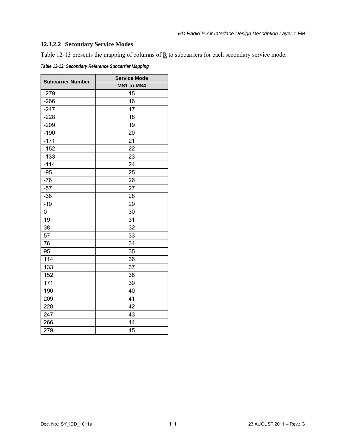# <span id="page-119-1"></span>**12.3.2.2 Secondary Service Modes**

[Table 12-13](#page-119-0) presents the mapping of columns of  $\underline{R}$  to subcarriers for each secondary service mode.

<span id="page-119-0"></span>

| <b>Subcarrier Number</b> | <b>Service Mode</b> |
|--------------------------|---------------------|
|                          | MS1 to MS4          |
| $-279$                   | 15                  |
| $-266$                   | 16                  |
| $-247$                   | 17                  |
| $-228$                   | 18                  |
| $-209$                   | 19                  |
| $-190$                   | 20                  |
| $-171$                   | 21                  |
| $-152$                   | 22                  |
| $-133$                   | 23                  |
| $-114$                   | 24                  |
| $-95$                    | 25                  |
| $-76$                    | 26                  |
| $-57$                    | 27                  |
| $-38$                    | 28                  |
| $-19$                    | 29                  |
| 0                        | 30                  |
| 19                       | 31                  |
| 38                       | 32                  |
| 57                       | 33                  |
| 76                       | 34                  |
| 95                       | 35                  |
| 114                      | 36                  |
| 133                      | 37                  |
| 152                      | 38                  |
| 171                      | 39                  |
| 190                      | 40                  |
| 209                      | 41                  |
| 228                      | 42                  |
| 247                      | 43                  |
| 266                      | 44                  |
| 279                      | 45                  |

*Table 12-13: Secondary Reference Subcarrier Mapping*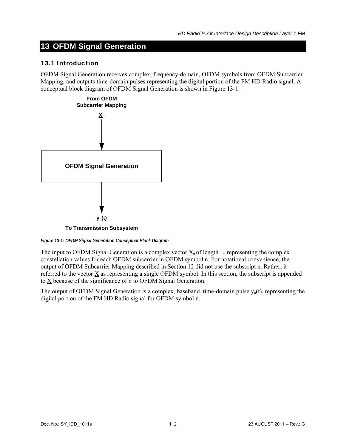# **13 OFDM Signal Generation**

## 13.1 Introduction

OFDM Signal Generation receives complex, frequency-domain, OFDM symbols from OFDM Subcarrier Mapping, and outputs time-domain pulses representing the digital portion of the FM HD Radio signal. A conceptual block diagram of OFDM Signal Generation is shown in [Figure 13-1.](#page-120-0)



<span id="page-120-0"></span>*Figure 13-1: OFDM Signal Generation Conceptual Block Diagram* 

The input to OFDM Signal Generation is a complex vector  $\underline{X}_n$  of length L, representing the complex constellation values for each OFDM subcarrier in OFDM symbol n. For notational convenience, the output of OFDM Subcarrier Mapping described in Section [12](#page-106-0) did not use the subscript n. Rather, it referred to the vector X as representing a single OFDM symbol. In this section, the subscript is appended to X because of the significance of n to OFDM Signal Generation.

The output of OFDM Signal Generation is a complex, baseband, time-domain pulse  $y_n(t)$ , representing the digital portion of the FM HD Radio signal for OFDM symbol n.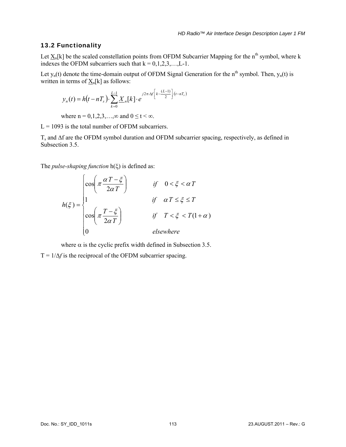## 13.2 Functionality

Let  $\underline{X}_n[k]$  be the scaled constellation points from OFDM Subcarrier Mapping for the n<sup>th</sup> symbol, where k indexes the OFDM subcarriers such that  $k = 0, 1, 2, 3, \ldots, L-1$ .

Let  $y_n(t)$  denote the time-domain output of OFDM Signal Generation for the n<sup>th</sup> symbol. Then,  $y_n(t)$  is written in terms of  $X_n[k]$  as follows:

$$
y_n(t) = h(t - nT_s) \cdot \sum_{k=0}^{L-1} \underline{X}_n[k] \cdot e^{j2\pi \cdot \Delta f \left[k - \frac{(L-1)}{2}\right] \cdot (t - nT_s)}
$$

where  $n = 0, 1, 2, 3, \ldots, \infty$  and  $0 \le t < \infty$ .

 $L = 1093$  is the total number of OFDM subcarriers.

 $T_s$  and  $\Delta f$  are the OFDM symbol duration and OFDM subcarrier spacing, respectively, as defined in Subsection [3.5.](#page-14-0)

The *pulse-shaping function* h(ξ) is defined as:

$$
h(\xi) = \begin{cases} \cos\left(\pi \frac{\alpha T - \xi}{2\alpha T}\right) & \text{if } 0 < \xi < \alpha T \\ 1 & \text{if } \alpha T \le \xi \le T \\ \cos\left(\pi \frac{T - \xi}{2\alpha T}\right) & \text{if } T < \xi < T(1 + \alpha) \\ 0 & \text{elsewhere} \end{cases}
$$

where  $\alpha$  is the cyclic prefix width defined in Subsection [3.5](#page-14-0).

 $T = 1/\Delta f$  is the reciprocal of the OFDM subcarrier spacing.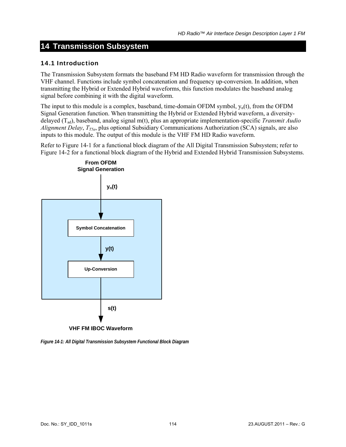# **14 Transmission Subsystem**

### 14.1 Introduction

The Transmission Subsystem formats the baseband FM HD Radio waveform for transmission through the VHF channel. Functions include symbol concatenation and frequency up-conversion. In addition, when transmitting the Hybrid or Extended Hybrid waveforms, this function modulates the baseband analog signal before combining it with the digital waveform.

The input to this module is a complex, baseband, time-domain OFDM symbol,  $y_n(t)$ , from the OFDM Signal Generation function. When transmitting the Hybrid or Extended Hybrid waveform, a diversitydelayed (Tad), baseband, analog signal m(t), plus an appropriate implementation-specific *Transmit Audio Alignment Delay, T<sub>T5a</sub>*, plus optional Subsidiary Communications Authorization (SCA) signals, are also inputs to this module. The output of this module is the VHF FM HD Radio waveform.

Refer to [Figure 14-1](#page-122-0) for a functional block diagram of the All Digital Transmission Subsystem; refer to [Figure 14-2](#page-123-0) for a functional block diagram of the Hybrid and Extended Hybrid Transmission Subsystems.



<span id="page-122-0"></span>*Figure 14-1: All Digital Transmission Subsystem Functional Block Diagram*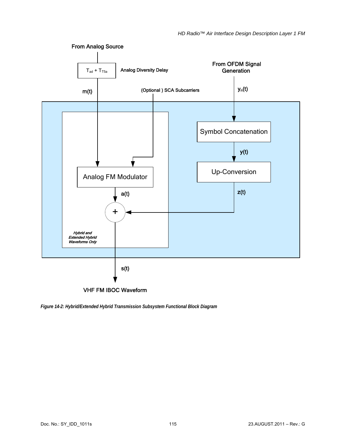

<span id="page-123-0"></span>*Figure 14-2: Hybrid/Extended Hybrid Transmission Subsystem Functional Block Diagram*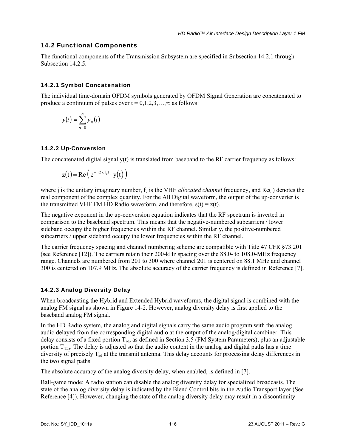# 14.2 Functional Components

The functional components of the Transmission Subsystem are specified in Subsection [14.2.1](#page-124-0) through Subsection 14.2.5

# <span id="page-124-0"></span>14.2.1 Symbol Concatenation

The individual time-domain OFDM symbols generated by OFDM Signal Generation are concatenated to produce a continuum of pulses over  $t = 0, 1, 2, 3, \ldots, \infty$  as follows:

$$
y(t) = \sum_{n=0}^{\infty} y_n(t)
$$

# 14.2.2 Up-Conversion

The concatenated digital signal  $y(t)$  is translated from baseband to the RF carrier frequency as follows:

$$
z(t) = Re\left(e^{-j2\pi f_c t} \cdot y(t)\right)
$$

where j is the unitary imaginary number,  $f_c$  is the VHF *allocated channel* frequency, and Re() denotes the real component of the complex quantity. For the All Digital waveform, the output of the up-converter is the transmitted VHF FM HD Radio waveform, and therefore,  $s(t) = z(t)$ .

The negative exponent in the up-conversion equation indicates that the RF spectrum is inverted in comparison to the baseband spectrum. This means that the negative-numbered subcarriers / lower sideband occupy the higher frequencies within the RF channel. Similarly, the positive-numbered subcarriers / upper sideband occupy the lower frequencies within the RF channel.

The carrier frequency spacing and channel numbering scheme are compatible with Title 47 CFR §73.201 (see Reference [12]). The carriers retain their 200-kHz spacing over the 88.0- to 108.0-MHz frequency range. Channels are numbered from 201 to 300 where channel 201 is centered on 88.1 MHz and channel 300 is centered on 107.9 MHz. The absolute accuracy of the carrier frequency is defined in Reference [7].

# 14.2.3 Analog Diversity Delay

When broadcasting the Hybrid and Extended Hybrid waveforms, the digital signal is combined with the analog FM signal as shown in [Figure 14-2](#page-123-0). However, analog diversity delay is first applied to the baseband analog FM signal.

In the HD Radio system, the analog and digital signals carry the same audio program with the analog audio delayed from the corresponding digital audio at the output of the analog/digital combiner. This delay consists of a fixed portion  $T_{ad}$ , as defined in Section [3.5 \(FM System Parameters\)](#page-14-0), plus an adjustable portion  $T_{T5a}$ . The delay is adjusted so that the audio content in the analog and digital paths has a time diversity of precisely Tad at the transmit antenna. This delay accounts for processing delay differences in the two signal paths.

The absolute accuracy of the analog diversity delay, when enabled, is defined in [7].

Ball-game mode: A radio station can disable the analog diversity delay for specialized broadcasts. The state of the analog diversity delay is indicated by the Blend Control bits in the Audio Transport layer (See Reference [4]). However, changing the state of the analog diversity delay may result in a discontinuity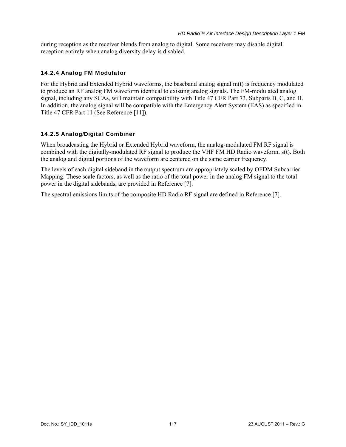during reception as the receiver blends from analog to digital. Some receivers may disable digital reception entirely when analog diversity delay is disabled.

### 14.2.4 Analog FM Modulator

For the Hybrid and Extended Hybrid waveforms, the baseband analog signal m(t) is frequency modulated to produce an RF analog FM waveform identical to existing analog signals. The FM-modulated analog signal, including any SCAs, will maintain compatibility with Title 47 CFR Part 73, Subparts B, C, and H. In addition, the analog signal will be compatible with the Emergency Alert System (EAS) as specified in Title 47 CFR Part 11 (See Reference [11]).

### <span id="page-125-0"></span>14.2.5 Analog/Digital Combiner

When broadcasting the Hybrid or Extended Hybrid waveform, the analog-modulated FM RF signal is combined with the digitally-modulated RF signal to produce the VHF FM HD Radio waveform, s(t). Both the analog and digital portions of the waveform are centered on the same carrier frequency.

The levels of each digital sideband in the output spectrum are appropriately scaled by OFDM Subcarrier Mapping. These scale factors, as well as the ratio of the total power in the analog FM signal to the total power in the digital sidebands, are provided in Reference [7].

The spectral emissions limits of the composite HD Radio RF signal are defined in Reference [7].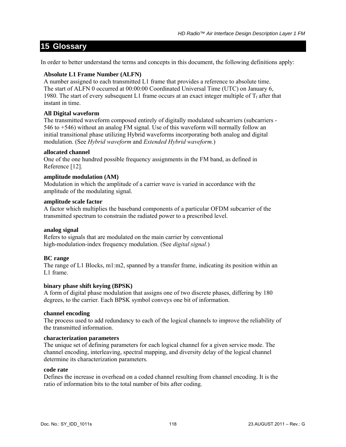# **15 Glossary**

In order to better understand the terms and concepts in this document, the following definitions apply:

### **Absolute L1 Frame Number (ALFN)**

A number assigned to each transmitted L1 frame that provides a reference to absolute time. The start of ALFN 0 occurred at 00:00:00 Coordinated Universal Time (UTC) on January 6, 1980. The start of every subsequent L1 frame occurs at an exact integer multiple of  $T_f$  after that instant in time.

### **All Digital waveform**

The transmitted waveform composed entirely of digitally modulated subcarriers (subcarriers - 546 to +546) without an analog FM signal. Use of this waveform will normally follow an initial transitional phase utilizing Hybrid waveforms incorporating both analog and digital modulation. (See *Hybrid waveform* and *Extended Hybrid waveform.*)

### **allocated channel**

One of the one hundred possible frequency assignments in the FM band, as defined in Reference [12].

### **amplitude modulation (AM)**

Modulation in which the amplitude of a carrier wave is varied in accordance with the amplitude of the modulating signal.

### **amplitude scale factor**

A factor which multiplies the baseband components of a particular OFDM subcarrier of the transmitted spectrum to constrain the radiated power to a prescribed level.

### **analog signal**

Refers to signals that are modulated on the main carrier by conventional high-modulation-index frequency modulation. (See *digital signal.*)

# **BC range**

The range of L1 Blocks, m1:m2, spanned by a transfer frame, indicating its position within an L<sub>1</sub> frame

### **binary phase shift keying (BPSK)**

A form of digital phase modulation that assigns one of two discrete phases, differing by 180 degrees, to the carrier. Each BPSK symbol conveys one bit of information.

### **channel encoding**

The process used to add redundancy to each of the logical channels to improve the reliability of the transmitted information.

### **characterization parameters**

The unique set of defining parameters for each logical channel for a given service mode. The channel encoding, interleaving, spectral mapping, and diversity delay of the logical channel determine its characterization parameters.

### **code rate**

Defines the increase in overhead on a coded channel resulting from channel encoding. It is the ratio of information bits to the total number of bits after coding.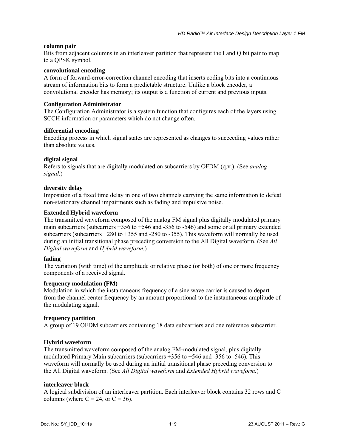### **column pair**

Bits from adjacent columns in an interleaver partition that represent the I and Q bit pair to map to a QPSK symbol.

### **convolutional encoding**

A form of forward-error-correction channel encoding that inserts coding bits into a continuous stream of information bits to form a predictable structure. Unlike a block encoder, a convolutional encoder has memory; its output is a function of current and previous inputs.

### **Configuration Administrator**

The Configuration Administrator is a system function that configures each of the layers using SCCH information or parameters which do not change often.

### **differential encoding**

Encoding process in which signal states are represented as changes to succeeding values rather than absolute values.

### **digital signal**

Refers to signals that are digitally modulated on subcarriers by OFDM (q.v.). (See *analog signal.*)

### **diversity delay**

Imposition of a fixed time delay in one of two channels carrying the same information to defeat non-stationary channel impairments such as fading and impulsive noise.

### **Extended Hybrid waveform**

The transmitted waveform composed of the analog FM signal plus digitally modulated primary main subcarriers (subcarriers +356 to +546 and -356 to -546) and some or all primary extended subcarriers (subcarriers +280 to +355 and -280 to -355). This waveform will normally be used during an initial transitional phase preceding conversion to the All Digital waveform. (See *All Digital waveform* and *Hybrid waveform.*)

### **fading**

The variation (with time) of the amplitude or relative phase (or both) of one or more frequency components of a received signal.

#### **frequency modulation (FM)**

Modulation in which the instantaneous frequency of a sine wave carrier is caused to depart from the channel center frequency by an amount proportional to the instantaneous amplitude of the modulating signal.

### **frequency partition**

A group of 19 OFDM subcarriers containing 18 data subcarriers and one reference subcarrier.

### **Hybrid waveform**

The transmitted waveform composed of the analog FM-modulated signal, plus digitally modulated Primary Main subcarriers (subcarriers +356 to +546 and -356 to -546). This waveform will normally be used during an initial transitional phase preceding conversion to the All Digital waveform. (See *All Digital waveform* and *Extended Hybrid waveform.*)

#### **interleaver block**

A logical subdivision of an interleaver partition. Each interleaver block contains 32 rows and C columns (where  $C = 24$ , or  $C = 36$ ).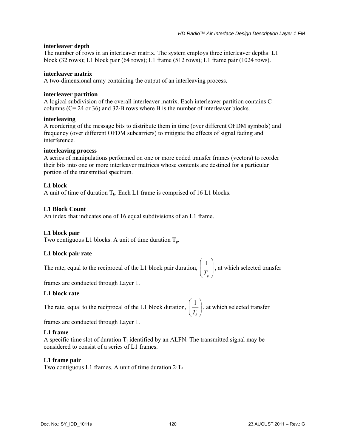### **interleaver depth**

The number of rows in an interleaver matrix. The system employs three interleaver depths: L1 block (32 rows); L1 block pair (64 rows); L1 frame (512 rows); L1 frame pair (1024 rows).

### **interleaver matrix**

A two-dimensional array containing the output of an interleaving process.

### **interleaver partition**

A logical subdivision of the overall interleaver matrix. Each interleaver partition contains C columns (C= 24 or 36) and 32·B rows where B is the number of interleaver blocks.

### **interleaving**

A reordering of the message bits to distribute them in time (over different OFDM symbols) and frequency (over different OFDM subcarriers) to mitigate the effects of signal fading and interference.

### **interleaving process**

A series of manipulations performed on one or more coded transfer frames (vectors) to reorder their bits into one or more interleaver matrices whose contents are destined for a particular portion of the transmitted spectrum.

### **L1 block**

A unit of time of duration  $T_b$ . Each L1 frame is comprised of 16 L1 blocks.

### **L1 Block Count**

An index that indicates one of 16 equal subdivisions of an L1 frame.

### **L1 block pair**

Two contiguous L1 blocks. A unit of time duration  $T_p$ .

# **L1 block pair rate**

The rate, equal to the reciprocal of the L1 block pair duration,  $\left| \frac{1}{T} \right|$ ⎠ ⎞  $\overline{a}$  $\mathsf{L}$ ⎝  $\big($  $T_p$  $\left(\frac{1}{2}\right)$ , at which selected transfer

frames are conducted through Layer 1.

# **L1 block rate**

The rate, equal to the reciprocal of the L1 block duration,  $\left| \frac{1}{T} \right|$ ⎠ ⎞  $\overline{\phantom{a}}$ ⎝  $\big($  $T_b$  $\left(\frac{1}{2}\right)$ , at which selected transfer

frames are conducted through Layer 1.

# **L1 frame**

A specific time slot of duration  $T_f$  identified by an ALFN. The transmitted signal may be considered to consist of a series of L1 frames.

# **L1 frame pair**

Two contiguous L1 frames. A unit of time duration  $2 \cdot T_f$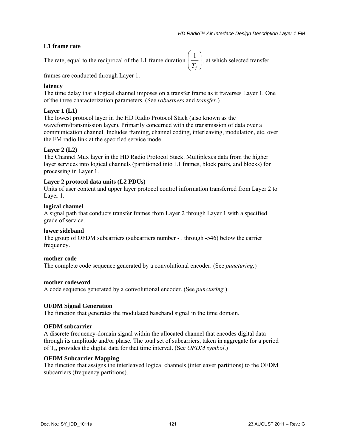## **L1 frame rate**

The rate, equal to the reciprocal of the L1 frame duration  $\frac{1}{T_{c}}$ ⎞  $\overline{a}$  $\mathsf{L}$  $\big($  $T_f$  $\left(\frac{1}{2}\right)$ , at which selected transfer

frames are conducted through Layer 1.

### **latency**

The time delay that a logical channel imposes on a transfer frame as it traverses Layer 1. One of the three characterization parameters. (See *robustness* and *transfer.*)

⎠

⎝

### **Layer 1 (L1)**

The lowest protocol layer in the HD Radio Protocol Stack (also known as the waveform/transmission layer). Primarily concerned with the transmission of data over a communication channel. Includes framing, channel coding, interleaving, modulation, etc. over the FM radio link at the specified service mode.

### **Layer 2 (L2)**

The Channel Mux layer in the HD Radio Protocol Stack. Multiplexes data from the higher layer services into logical channels (partitioned into L1 frames, block pairs, and blocks) for processing in Layer 1.

### **Layer 2 protocol data units (L2 PDUs)**

Units of user content and upper layer protocol control information transferred from Layer 2 to Layer 1.

### **logical channel**

A signal path that conducts transfer frames from Layer 2 through Layer 1 with a specified grade of service.

### **lower sideband**

The group of OFDM subcarriers (subcarriers number -1 through -546) below the carrier frequency.

### **mother code**

The complete code sequence generated by a convolutional encoder. (See *puncturing.*)

### **mother codeword**

A code sequence generated by a convolutional encoder. (See *puncturing.*)

### **OFDM Signal Generation**

The function that generates the modulated baseband signal in the time domain.

### **OFDM subcarrier**

A discrete frequency-domain signal within the allocated channel that encodes digital data through its amplitude and/or phase. The total set of subcarriers, taken in aggregate for a period of Ts, provides the digital data for that time interval. (See *OFDM symbol*.)

### **OFDM Subcarrier Mapping**

The function that assigns the interleaved logical channels (interleaver partitions) to the OFDM subcarriers (frequency partitions).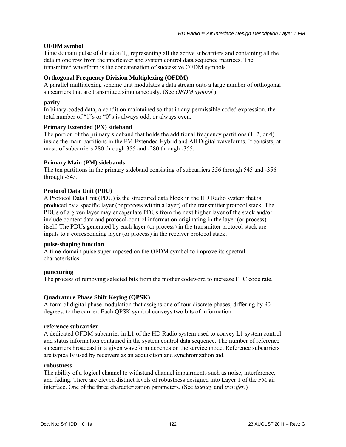## **OFDM symbol**

Time domain pulse of duration  $T_s$ , representing all the active subcarriers and containing all the data in one row from the interleaver and system control data sequence matrices. The transmitted waveform is the concatenation of successive OFDM symbols.

## **Orthogonal Frequency Division Multiplexing (OFDM)**

A parallel multiplexing scheme that modulates a data stream onto a large number of orthogonal subcarriers that are transmitted simultaneously. (See *OFDM symbol.*)

### **parity**

In binary-coded data, a condition maintained so that in any permissible coded expression, the total number of "1"s or "0"s is always odd, or always even.

### **Primary Extended (PX) sideband**

The portion of the primary sideband that holds the additional frequency partitions (1, 2, or 4) inside the main partitions in the FM Extended Hybrid and All Digital waveforms. It consists, at most, of subcarriers 280 through 355 and -280 through -355.

### **Primary Main (PM) sidebands**

The ten partitions in the primary sideband consisting of subcarriers 356 through 545 and -356 through -545.

### **Protocol Data Unit (PDU)**

A Protocol Data Unit (PDU) is the structured data block in the HD Radio system that is produced by a specific layer (or process within a layer) of the transmitter protocol stack. The PDUs of a given layer may encapsulate PDUs from the next higher layer of the stack and/or include content data and protocol-control information originating in the layer (or process) itself. The PDUs generated by each layer (or process) in the transmitter protocol stack are inputs to a corresponding layer (or process) in the receiver protocol stack.

#### **pulse-shaping function**

A time-domain pulse superimposed on the OFDM symbol to improve its spectral characteristics.

#### **puncturing**

The process of removing selected bits from the mother codeword to increase FEC code rate.

### **Quadrature Phase Shift Keying (QPSK)**

A form of digital phase modulation that assigns one of four discrete phases, differing by 90 degrees, to the carrier. Each QPSK symbol conveys two bits of information.

#### **reference subcarrier**

A dedicated OFDM subcarrier in L1 of the HD Radio system used to convey L1 system control and status information contained in the system control data sequence. The number of reference subcarriers broadcast in a given waveform depends on the service mode. Reference subcarriers are typically used by receivers as an acquisition and synchronization aid.

#### **robustness**

The ability of a logical channel to withstand channel impairments such as noise, interference, and fading. There are eleven distinct levels of robustness designed into Layer 1 of the FM air interface. One of the three characterization parameters. (See *latency* and *transfer.*)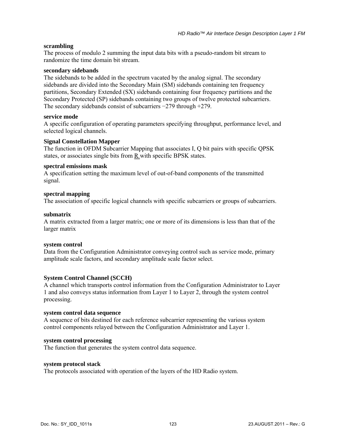### **scrambling**

The process of modulo 2 summing the input data bits with a pseudo-random bit stream to randomize the time domain bit stream.

#### **secondary sidebands**

The sidebands to be added in the spectrum vacated by the analog signal. The secondary sidebands are divided into the Secondary Main (SM) sidebands containing ten frequency partitions, Secondary Extended (SX) sidebands containing four frequency partitions and the Secondary Protected (SP) sidebands containing two groups of twelve protected subcarriers. The secondary sidebands consist of subcarriers −279 through +279.

#### **service mode**

A specific configuration of operating parameters specifying throughput, performance level, and selected logical channels.

### **Signal Constellation Mapper**

The function in OFDM Subcarrier Mapping that associates I, Q bit pairs with specific QPSK states, or associates single bits from  $\underline{R}$  with specific BPSK states.

#### **spectral emissions mask**

A specification setting the maximum level of out-of-band components of the transmitted signal.

### **spectral mapping**

The association of specific logical channels with specific subcarriers or groups of subcarriers.

### **submatrix**

A matrix extracted from a larger matrix; one or more of its dimensions is less than that of the larger matrix

#### **system control**

Data from the Configuration Administrator conveying control such as service mode, primary amplitude scale factors, and secondary amplitude scale factor select.

### **System Control Channel (SCCH)**

A channel which transports control information from the Configuration Administrator to Layer 1 and also conveys status information from Layer 1 to Layer 2, through the system control processing.

#### **system control data sequence**

A sequence of bits destined for each reference subcarrier representing the various system control components relayed between the Configuration Administrator and Layer 1.

#### **system control processing**

The function that generates the system control data sequence.

### **system protocol stack**

The protocols associated with operation of the layers of the HD Radio system.